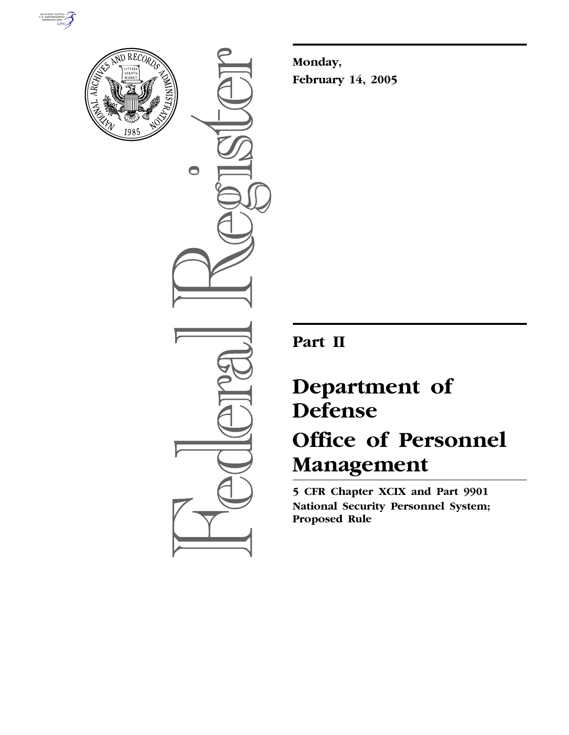



 $\bullet$ 

**Monday, February 14, 2005**

## **Part II**

# **Department of Defense Office of Personnel Management**

**5 CFR Chapter XCIX and Part 9901 National Security Personnel System; Proposed Rule**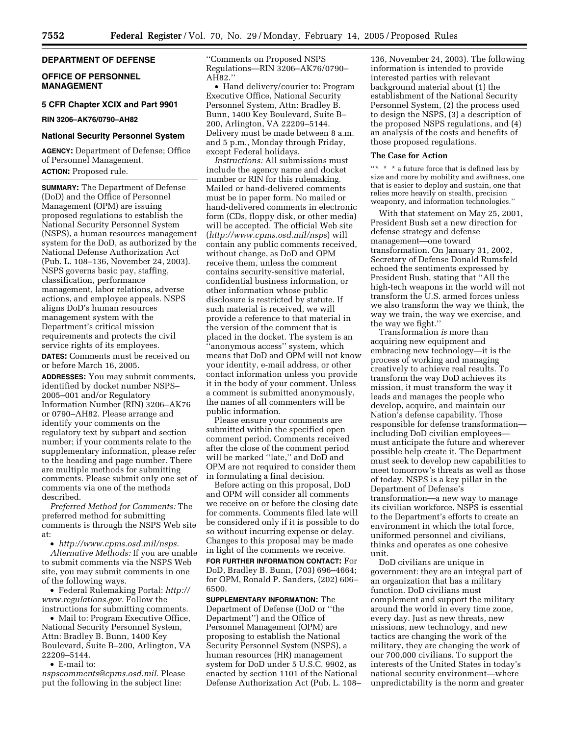## **DEPARTMENT OF DEFENSE**

## **OFFICE OF PERSONNEL MANAGEMENT**

## **5 CFR Chapter XCIX and Part 9901**

**RIN 3206–AK76/0790–AH82** 

## **National Security Personnel System**

**AGENCY:** Department of Defense; Office of Personnel Management.

**ACTION:** Proposed rule.

**SUMMARY:** The Department of Defense (DoD) and the Office of Personnel Management (OPM) are issuing proposed regulations to establish the National Security Personnel System (NSPS), a human resources management system for the DoD, as authorized by the National Defense Authorization Act (Pub. L. 108–136, November 24, 2003). NSPS governs basic pay, staffing, classification, performance management, labor relations, adverse actions, and employee appeals. NSPS aligns DoD's human resources management system with the Department's critical mission requirements and protects the civil service rights of its employees.

**DATES:** Comments must be received on or before March 16, 2005.

**ADDRESSES:** You may submit comments, identified by docket number NSPS– 2005–001 and/or Regulatory Information Number (RIN) 3206–AK76 or 0790–AH82. Please arrange and identify your comments on the regulatory text by subpart and section number; if your comments relate to the supplementary information, please refer to the heading and page number. There are multiple methods for submitting comments. Please submit only one set of comments via one of the methods described.

*Preferred Method for Comments:* The preferred method for submitting comments is through the NSPS Web site at:

• *http://www.cpms.osd.mil/nsps. Alternative Methods:* If you are unable to submit comments via the NSPS Web site, you may submit comments in one of the following ways.

• Federal Rulemaking Portal: *http:// www.regulations.gov.* Follow the instructions for submitting comments.

• Mail to: Program Executive Office, National Security Personnel System, Attn: Bradley B. Bunn, 1400 Key Boulevard, Suite B–200, Arlington, VA 22209–5144.

• E-mail to:

*nspscomments@cpms.osd.mil.* Please put the following in the subject line:

''Comments on Proposed NSPS Regulations—RIN 3206–AK76/0790– AH82.''

• Hand delivery/courier to: Program Executive Office, National Security Personnel System, Attn: Bradley B. Bunn, 1400 Key Boulevard, Suite B– 200, Arlington, VA 22209–5144. Delivery must be made between 8 a.m. and 5 p.m., Monday through Friday, except Federal holidays.

*Instructions:* All submissions must include the agency name and docket number or RIN for this rulemaking. Mailed or hand-delivered comments must be in paper form. No mailed or hand-delivered comments in electronic form (CDs, floppy disk, or other media) will be accepted. The official Web site (*http://www.cpms.osd.mil/nsps*) will contain any public comments received, without change, as DoD and OPM receive them, unless the comment contains security-sensitive material, confidential business information, or other information whose public disclosure is restricted by statute. If such material is received, we will provide a reference to that material in the version of the comment that is placed in the docket. The system is an 'anonymous access'' system, which means that DoD and OPM will not know your identity, e-mail address, or other contact information unless you provide it in the body of your comment. Unless a comment is submitted anonymously, the names of all commenters will be public information.

Please ensure your comments are submitted within the specified open comment period. Comments received after the close of the comment period will be marked ''late,'' and DoD and OPM are not required to consider them in formulating a final decision.

Before acting on this proposal, DoD and OPM will consider all comments we receive on or before the closing date for comments. Comments filed late will be considered only if it is possible to do so without incurring expense or delay. Changes to this proposal may be made in light of the comments we receive.

**FOR FURTHER INFORMATION CONTACT:** For DoD, Bradley B. Bunn, (703) 696–4664; for OPM, Ronald P. Sanders, (202) 606– 6500.

**SUPPLEMENTARY INFORMATION:** The Department of Defense (DoD or ''the Department'') and the Office of Personnel Management (OPM) are proposing to establish the National Security Personnel System (NSPS), a human resources (HR) management system for DoD under 5 U.S.C. 9902, as enacted by section 1101 of the National Defense Authorization Act (Pub. L. 108–

136, November 24, 2003). The following information is intended to provide interested parties with relevant background material about (1) the establishment of the National Security Personnel System, (2) the process used to design the NSPS, (3) a description of the proposed NSPS regulations, and (4) an analysis of the costs and benefits of those proposed regulations.

#### **The Case for Action**

 $\lq{**}$   $\ast$   $\lq$  a future force that is defined less by size and more by mobility and swiftness, one that is easier to deploy and sustain, one that relies more heavily on stealth, precision weaponry, and information technologies.''

With that statement on May 25, 2001, President Bush set a new direction for defense strategy and defense management—one toward transformation. On January 31, 2002, Secretary of Defense Donald Rumsfeld echoed the sentiments expressed by President Bush, stating that ''All the high-tech weapons in the world will not transform the U.S. armed forces unless we also transform the way we think, the way we train, the way we exercise, and the way we fight.''

Transformation *is* more than acquiring new equipment and embracing new technology—it is the process of working and managing creatively to achieve real results. To transform the way DoD achieves its mission, it must transform the way it leads and manages the people who develop, acquire, and maintain our Nation's defense capability. Those responsible for defense transformation including DoD civilian employees must anticipate the future and wherever possible help create it. The Department must seek to develop new capabilities to meet tomorrow's threats as well as those of today. NSPS is a key pillar in the Department of Defense's transformation—a new way to manage its civilian workforce. NSPS is essential to the Department's efforts to create an environment in which the total force, uniformed personnel and civilians, thinks and operates as one cohesive unit.

DoD civilians are unique in government: they are an integral part of an organization that has a military function. DoD civilians must complement and support the military around the world in every time zone, every day. Just as new threats, new missions, new technology, and new tactics are changing the work of the military, they are changing the work of our 700,000 civilians. To support the interests of the United States in today's national security environment—where unpredictability is the norm and greater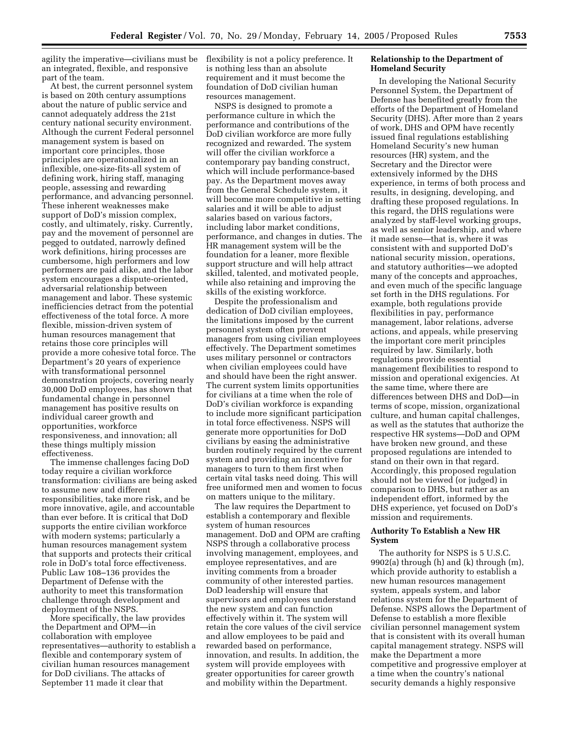agility the imperative—civilians must be flexibility is not a policy preference. It an integrated, flexible, and responsive part of the team.

At best, the current personnel system is based on 20th century assumptions about the nature of public service and cannot adequately address the 21st century national security environment. Although the current Federal personnel management system is based on important core principles, those principles are operationalized in an inflexible, one-size-fits-all system of defining work, hiring staff, managing people, assessing and rewarding performance, and advancing personnel. These inherent weaknesses make support of DoD's mission complex, costly, and ultimately, risky. Currently, pay and the movement of personnel are pegged to outdated, narrowly defined work definitions, hiring processes are cumbersome, high performers and low performers are paid alike, and the labor system encourages a dispute-oriented, adversarial relationship between management and labor. These systemic inefficiencies detract from the potential effectiveness of the total force. A more flexible, mission-driven system of human resources management that retains those core principles will provide a more cohesive total force. The Department's 20 years of experience with transformational personnel demonstration projects, covering nearly 30,000 DoD employees, has shown that fundamental change in personnel management has positive results on individual career growth and opportunities, workforce responsiveness, and innovation; all these things multiply mission effectiveness.

The immense challenges facing DoD today require a civilian workforce transformation: civilians are being asked to assume new and different responsibilities, take more risk, and be more innovative, agile, and accountable than ever before. It is critical that DoD supports the entire civilian workforce with modern systems; particularly a human resources management system that supports and protects their critical role in DoD's total force effectiveness. Public Law 108–136 provides the Department of Defense with the authority to meet this transformation challenge through development and deployment of the NSPS.

More specifically, the law provides the Department and OPM—in collaboration with employee representatives—authority to establish a flexible and contemporary system of civilian human resources management for DoD civilians. The attacks of September 11 made it clear that

is nothing less than an absolute requirement and it must become the foundation of DoD civilian human resources management.

NSPS is designed to promote a performance culture in which the performance and contributions of the DoD civilian workforce are more fully recognized and rewarded. The system will offer the civilian workforce a contemporary pay banding construct, which will include performance-based pay. As the Department moves away from the General Schedule system, it will become more competitive in setting salaries and it will be able to adjust salaries based on various factors, including labor market conditions, performance, and changes in duties. The HR management system will be the foundation for a leaner, more flexible support structure and will help attract skilled, talented, and motivated people, while also retaining and improving the skills of the existing workforce.

Despite the professionalism and dedication of DoD civilian employees, the limitations imposed by the current personnel system often prevent managers from using civilian employees effectively. The Department sometimes uses military personnel or contractors when civilian employees could have and should have been the right answer. The current system limits opportunities for civilians at a time when the role of DoD's civilian workforce is expanding to include more significant participation in total force effectiveness. NSPS will generate more opportunities for DoD civilians by easing the administrative burden routinely required by the current system and providing an incentive for managers to turn to them first when certain vital tasks need doing. This will free uniformed men and women to focus on matters unique to the military.

The law requires the Department to establish a contemporary and flexible system of human resources management. DoD and OPM are crafting NSPS through a collaborative process involving management, employees, and employee representatives, and are inviting comments from a broader community of other interested parties. DoD leadership will ensure that supervisors and employees understand the new system and can function effectively within it. The system will retain the core values of the civil service and allow employees to be paid and rewarded based on performance, innovation, and results. In addition, the system will provide employees with greater opportunities for career growth and mobility within the Department.

## **Relationship to the Department of Homeland Security**

In developing the National Security Personnel System, the Department of Defense has benefited greatly from the efforts of the Department of Homeland Security (DHS). After more than 2 years of work, DHS and OPM have recently issued final regulations establishing Homeland Security's new human resources (HR) system, and the Secretary and the Director were extensively informed by the DHS experience, in terms of both process and results, in designing, developing, and drafting these proposed regulations. In this regard, the DHS regulations were analyzed by staff-level working groups, as well as senior leadership, and where it made sense—that is, where it was consistent with and supported DoD's national security mission, operations, and statutory authorities—we adopted many of the concepts and approaches, and even much of the specific language set forth in the DHS regulations. For example, both regulations provide flexibilities in pay, performance management, labor relations, adverse actions, and appeals, while preserving the important core merit principles required by law. Similarly, both regulations provide essential management flexibilities to respond to mission and operational exigencies. At the same time, where there are differences between DHS and DoD—in terms of scope, mission, organizational culture, and human capital challenges, as well as the statutes that authorize the respective HR systems—DoD and OPM have broken new ground, and these proposed regulations are intended to stand on their own in that regard. Accordingly, this proposed regulation should not be viewed (or judged) in comparison to DHS, but rather as an independent effort, informed by the DHS experience, yet focused on DoD's mission and requirements.

## **Authority To Establish a New HR System**

The authority for NSPS is 5 U.S.C. 9902(a) through (h) and (k) through (m), which provide authority to establish a new human resources management system, appeals system, and labor relations system for the Department of Defense. NSPS allows the Department of Defense to establish a more flexible civilian personnel management system that is consistent with its overall human capital management strategy. NSPS will make the Department a more competitive and progressive employer at a time when the country's national security demands a highly responsive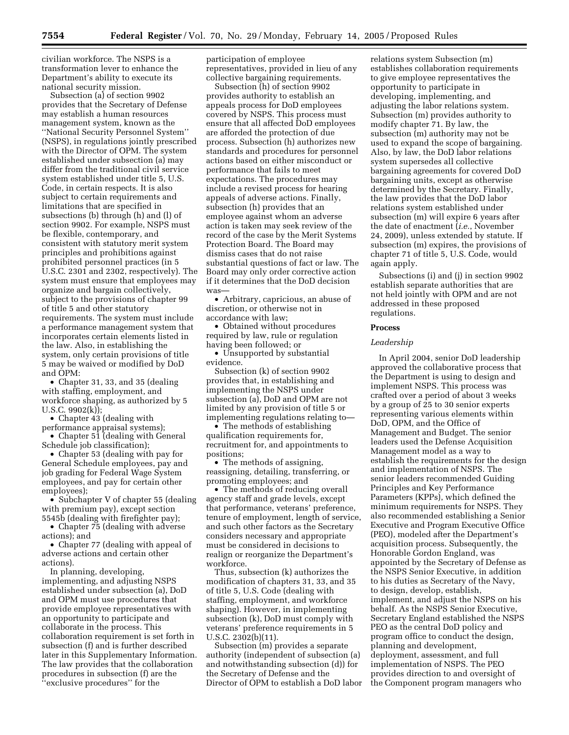civilian workforce. The NSPS is a transformation lever to enhance the Department's ability to execute its national security mission.

Subsection (a) of section 9902 provides that the Secretary of Defense may establish a human resources management system, known as the ''National Security Personnel System'' (NSPS), in regulations jointly prescribed with the Director of OPM. The system established under subsection (a) may differ from the traditional civil service system established under title 5, U.S. Code, in certain respects. It is also subject to certain requirements and limitations that are specified in subsections (b) through (h) and (l) of section 9902. For example, NSPS must be flexible, contemporary, and consistent with statutory merit system principles and prohibitions against prohibited personnel practices (in 5 U.S.C. 2301 and 2302, respectively). The system must ensure that employees may organize and bargain collectively, subject to the provisions of chapter 99 of title 5 and other statutory requirements. The system must include a performance management system that incorporates certain elements listed in the law. Also, in establishing the system, only certain provisions of title 5 may be waived or modified by DoD and OPM:

• Chapter 31, 33, and 35 (dealing with staffing, employment, and workforce shaping, as authorized by 5 U.S.C. 9902(k));

• Chapter 43 (dealing with

performance appraisal systems); • Chapter 51 (dealing with General

Schedule job classification);

• Chapter 53 (dealing with pay for General Schedule employees, pay and job grading for Federal Wage System employees, and pay for certain other employees);

• Subchapter V of chapter 55 (dealing with premium pay), except section 5545b (dealing with firefighter pay);

• Chapter 75 (dealing with adverse actions); and

• Chapter 77 (dealing with appeal of adverse actions and certain other actions).

In planning, developing, implementing, and adjusting NSPS established under subsection (a), DoD and OPM must use procedures that provide employee representatives with an opportunity to participate and collaborate in the process. This collaboration requirement is set forth in subsection (f) and is further described later in this Supplementary Information. The law provides that the collaboration procedures in subsection (f) are the ''exclusive procedures'' for the

participation of employee representatives, provided in lieu of any collective bargaining requirements.

Subsection (h) of section 9902 provides authority to establish an appeals process for DoD employees covered by NSPS. This process must ensure that all affected DoD employees are afforded the protection of due process. Subsection (h) authorizes new standards and procedures for personnel actions based on either misconduct or performance that fails to meet expectations. The procedures may include a revised process for hearing appeals of adverse actions. Finally, subsection (h) provides that an employee against whom an adverse action is taken may seek review of the record of the case by the Merit Systems Protection Board. The Board may dismiss cases that do not raise substantial questions of fact or law. The Board may only order corrective action if it determines that the DoD decision was-

• Arbitrary, capricious, an abuse of discretion, or otherwise not in accordance with law;

• Obtained without procedures required by law, rule or regulation having been followed; or

• Unsupported by substantial evidence.

Subsection (k) of section 9902 provides that, in establishing and implementing the NSPS under subsection (a), DoD and OPM are not limited by any provision of title 5 or implementing regulations relating to—

• The methods of establishing qualification requirements for, recruitment for, and appointments to positions;

• The methods of assigning, reassigning, detailing, transferring, or promoting employees; and

• The methods of reducing overall agency staff and grade levels, except that performance, veterans' preference, tenure of employment, length of service, and such other factors as the Secretary considers necessary and appropriate must be considered in decisions to realign or reorganize the Department's workforce.

Thus, subsection (k) authorizes the modification of chapters 31, 33, and 35 of title 5, U.S. Code (dealing with staffing, employment, and workforce shaping). However, in implementing subsection (k), DoD must comply with veterans' preference requirements in 5 U.S.C. 2302(b)(11).

Subsection (m) provides a separate authority (independent of subsection (a) and notwithstanding subsection (d)) for the Secretary of Defense and the Director of OPM to establish a DoD labor relations system Subsection (m) establishes collaboration requirements to give employee representatives the opportunity to participate in developing, implementing, and adjusting the labor relations system. Subsection (m) provides authority to modify chapter 71. By law, the subsection (m) authority may not be used to expand the scope of bargaining. Also, by law, the DoD labor relations system supersedes all collective bargaining agreements for covered DoD bargaining units, except as otherwise determined by the Secretary. Finally, the law provides that the DoD labor relations system established under subsection (m) will expire 6 years after the date of enactment (*i.e.*, November 24, 2009), unless extended by statute. If subsection (m) expires, the provisions of chapter 71 of title 5, U.S. Code, would again apply.

Subsections (i) and (j) in section 9902 establish separate authorities that are not held jointly with OPM and are not addressed in these proposed regulations.

#### **Process**

## *Leadership*

In April 2004, senior DoD leadership approved the collaborative process that the Department is using to design and implement NSPS. This process was crafted over a period of about 3 weeks by a group of 25 to 30 senior experts representing various elements within DoD, OPM, and the Office of Management and Budget. The senior leaders used the Defense Acquisition Management model as a way to establish the requirements for the design and implementation of NSPS. The senior leaders recommended Guiding Principles and Key Performance Parameters (KPPs), which defined the minimum requirements for NSPS. They also recommended establishing a Senior Executive and Program Executive Office (PEO), modeled after the Department's acquisition process. Subsequently, the Honorable Gordon England, was appointed by the Secretary of Defense as the NSPS Senior Executive, in addition to his duties as Secretary of the Navy, to design, develop, establish, implement, and adjust the NSPS on his behalf. As the NSPS Senior Executive, Secretary England established the NSPS PEO as the central DoD policy and program office to conduct the design, planning and development, deployment, assessment, and full implementation of NSPS. The PEO provides direction to and oversight of the Component program managers who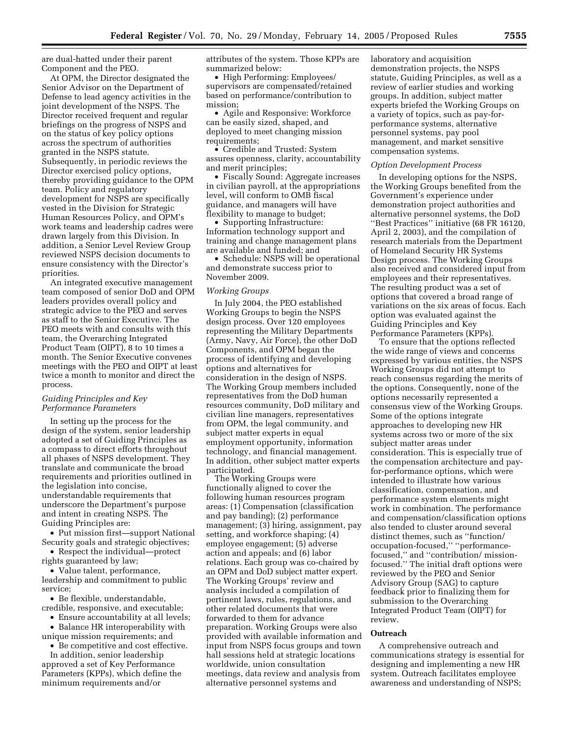are dual-hatted under their parent Component and the PEO.

At OPM, the Director designated the Senior Advisor on the Department of Defense to lead agency activities in the joint development of the NSPS. The Director received frequent and regular briefings on the progress of NSPS and on the status of key policy options across the spectrum of authorities granted in the NSPS statute. Subsequently, in periodic reviews the Director exercised policy options, thereby providing guidance to the OPM team. Policy and regulatory development for NSPS are specifically vested in the Division for Strategic Human Resources Policy, and OPM's work teams and leadership cadres were drawn largely from this Division. In addition, a Senior Level Review Group reviewed NSPS decision documents to ensure consistency with the Director's priorities.

An integrated executive management team composed of senior DoD and OPM leaders provides overall policy and strategic advice to the PEO and serves as staff to the Senior Executive. The PEO meets with and consults with this team, the Overarching Integrated Product Team (OIPT), 8 to 10 times a month. The Senior Executive convenes meetings with the PEO and OIPT at least twice a month to monitor and direct the process.

## *Guiding Principles and Key Performance Parameters*

In setting up the process for the design of the system, senior leadership adopted a set of Guiding Principles as a compass to direct efforts throughout all phases of NSPS development. They translate and communicate the broad requirements and priorities outlined in the legislation into concise, understandable requirements that underscore the Department's purpose and intent in creating NSPS. The Guiding Principles are:

• Put mission first—support National Security goals and strategic objectives;

• Respect the individual—protect rights guaranteed by law;

• Value talent, performance, leadership and commitment to public service;

• Be flexible, understandable, credible, responsive, and executable;

• Ensure accountability at all levels;

• Balance HR interoperability with unique mission requirements; and

• Be competitive and cost effective.

In addition, senior leadership approved a set of Key Performance Parameters (KPPs), which define the minimum requirements and/or

attributes of the system. Those KPPs are summarized below:

• High Performing: Employees/ supervisors are compensated/retained based on performance/contribution to mission;

• Agile and Responsive: Workforce can be easily sized, shaped, and deployed to meet changing mission requirements;

• Credible and Trusted: System assures openness, clarity, accountability and merit principles;

• Fiscally Sound: Aggregate increases in civilian payroll, at the appropriations level, will conform to OMB fiscal guidance, and managers will have flexibility to manage to budget;

• Supporting Infrastructure: Information technology support and training and change management plans are available and funded; and

• Schedule: NSPS will be operational and demonstrate success prior to November 2009.

#### *Working Groups*

In July 2004, the PEO established Working Groups to begin the NSPS design process. Over 120 employees representing the Military Departments (Army, Navy, Air Force), the other DoD Components, and OPM began the process of identifying and developing options and alternatives for consideration in the design of NSPS. The Working Group members included representatives from the DoD human resources community, DoD military and civilian line managers, representatives from OPM, the legal community, and subject matter experts in equal employment opportunity, information technology, and financial management. In addition, other subject matter experts participated.

The Working Groups were functionally aligned to cover the following human resources program areas: (1) Compensation (classification and pay banding); (2) performance management; (3) hiring, assignment, pay setting, and workforce shaping; (4) employee engagement; (5) adverse action and appeals; and (6) labor relations. Each group was co-chaired by an OPM and DoD subject matter expert. The Working Groups' review and analysis included a compilation of pertinent laws, rules, regulations, and other related documents that were forwarded to them for advance preparation. Working Groups were also provided with available information and input from NSPS focus groups and town hall sessions held at strategic locations worldwide, union consultation meetings, data review and analysis from alternative personnel systems and

laboratory and acquisition demonstration projects, the NSPS statute, Guiding Principles, as well as a review of earlier studies and working groups. In addition, subject matter experts briefed the Working Groups on a variety of topics, such as pay-forperformance systems, alternative personnel systems, pay pool management, and market sensitive compensation systems.

#### *Option Development Process*

In developing options for the NSPS, the Working Groups benefited from the Government's experience under demonstration project authorities and alternative personnel systems, the DoD ''Best Practices'' initiative (68 FR 16120, April 2, 2003), and the compilation of research materials from the Department of Homeland Security HR Systems Design process. The Working Groups also received and considered input from employees and their representatives. The resulting product was a set of options that covered a broad range of variations on the six areas of focus. Each option was evaluated against the Guiding Principles and Key Performance Parameters (KPPs).

To ensure that the options reflected the wide range of views and concerns expressed by various entities, the NSPS Working Groups did not attempt to reach consensus regarding the merits of the options. Consequently, none of the options necessarily represented a consensus view of the Working Groups. Some of the options integrate approaches to developing new HR systems across two or more of the six subject matter areas under consideration. This is especially true of the compensation architecture and payfor-performance options, which were intended to illustrate how various classification, compensation, and performance system elements might work in combination. The performance and compensation/classification options also tended to cluster around several distinct themes, such as ''function/ occupation-focused,'' ''performancefocused,'' and ''contribution/ missionfocused.'' The initial draft options were reviewed by the PEO and Senior Advisory Group (SAG) to capture feedback prior to finalizing them for submission to the Overarching Integrated Product Team (OIPT) for review.

#### **Outreach**

A comprehensive outreach and communications strategy is essential for designing and implementing a new HR system. Outreach facilitates employee awareness and understanding of NSPS;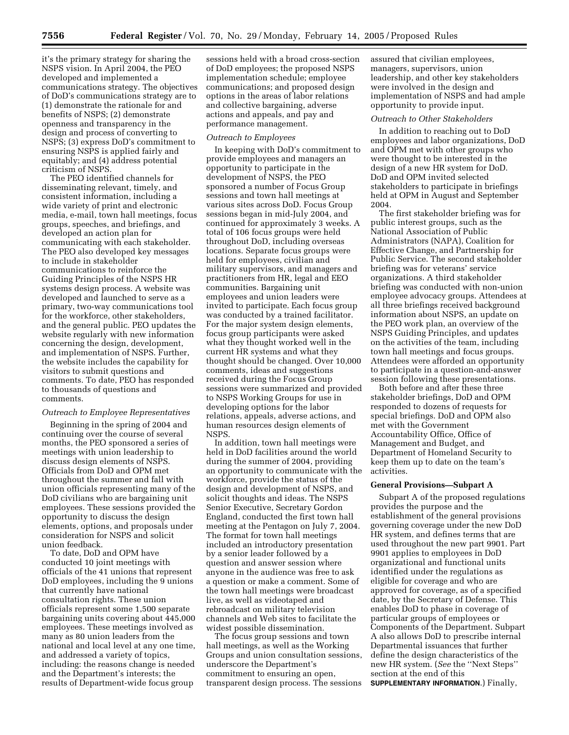it's the primary strategy for sharing the NSPS vision. In April 2004, the PEO developed and implemented a communications strategy. The objectives of DoD's communications strategy are to (1) demonstrate the rationale for and benefits of NSPS; (2) demonstrate openness and transparency in the design and process of converting to NSPS; (3) express DoD's commitment to ensuring NSPS is applied fairly and equitably; and (4) address potential criticism of NSPS.

The PEO identified channels for disseminating relevant, timely, and consistent information, including a wide variety of print and electronic media, e-mail, town hall meetings, focus groups, speeches, and briefings, and developed an action plan for communicating with each stakeholder. The PEO also developed key messages to include in stakeholder communications to reinforce the Guiding Principles of the NSPS HR systems design process. A website was developed and launched to serve as a primary, two-way communications tool for the workforce, other stakeholders, and the general public. PEO updates the website regularly with new information concerning the design, development, and implementation of NSPS. Further, the website includes the capability for visitors to submit questions and comments. To date, PEO has responded to thousands of questions and comments.

#### *Outreach to Employee Representatives*

Beginning in the spring of 2004 and continuing over the course of several months, the PEO sponsored a series of meetings with union leadership to discuss design elements of NSPS. Officials from DoD and OPM met throughout the summer and fall with union officials representing many of the DoD civilians who are bargaining unit employees. These sessions provided the opportunity to discuss the design elements, options, and proposals under consideration for NSPS and solicit union feedback.

To date, DoD and OPM have conducted 10 joint meetings with officials of the 41 unions that represent DoD employees, including the 9 unions that currently have national consultation rights. These union officials represent some 1,500 separate bargaining units covering about 445,000 employees. These meetings involved as many as 80 union leaders from the national and local level at any one time, and addressed a variety of topics, including: the reasons change is needed and the Department's interests; the results of Department-wide focus group

sessions held with a broad cross-section of DoD employees; the proposed NSPS implementation schedule; employee communications; and proposed design options in the areas of labor relations and collective bargaining, adverse actions and appeals, and pay and performance management.

#### *Outreach to Employees*

In keeping with DoD's commitment to provide employees and managers an opportunity to participate in the development of NSPS, the PEO sponsored a number of Focus Group sessions and town hall meetings at various sites across DoD. Focus Group sessions began in mid-July 2004, and continued for approximately 3 weeks. A total of 106 focus groups were held throughout DoD, including overseas locations. Separate focus groups were held for employees, civilian and military supervisors, and managers and practitioners from HR, legal and EEO communities. Bargaining unit employees and union leaders were invited to participate. Each focus group was conducted by a trained facilitator. For the major system design elements, focus group participants were asked what they thought worked well in the current HR systems and what they thought should be changed. Over 10,000 comments, ideas and suggestions received during the Focus Group sessions were summarized and provided to NSPS Working Groups for use in developing options for the labor relations, appeals, adverse actions, and human resources design elements of NSPS.

In addition, town hall meetings were held in DoD facilities around the world during the summer of 2004, providing an opportunity to communicate with the workforce, provide the status of the design and development of NSPS, and solicit thoughts and ideas. The NSPS Senior Executive, Secretary Gordon England, conducted the first town hall meeting at the Pentagon on July 7, 2004. The format for town hall meetings included an introductory presentation by a senior leader followed by a question and answer session where anyone in the audience was free to ask a question or make a comment. Some of the town hall meetings were broadcast live, as well as videotaped and rebroadcast on military television channels and Web sites to facilitate the widest possible dissemination.

The focus group sessions and town hall meetings, as well as the Working Groups and union consultation sessions, underscore the Department's commitment to ensuring an open, transparent design process. The sessions

assured that civilian employees, managers, supervisors, union leadership, and other key stakeholders were involved in the design and implementation of NSPS and had ample opportunity to provide input.

#### *Outreach to Other Stakeholders*

In addition to reaching out to DoD employees and labor organizations, DoD and OPM met with other groups who were thought to be interested in the design of a new HR system for DoD. DoD and OPM invited selected stakeholders to participate in briefings held at OPM in August and September 2004.

The first stakeholder briefing was for public interest groups, such as the National Association of Public Administrators (NAPA), Coalition for Effective Change, and Partnership for Public Service. The second stakeholder briefing was for veterans' service organizations. A third stakeholder briefing was conducted with non-union employee advocacy groups. Attendees at all three briefings received background information about NSPS, an update on the PEO work plan, an overview of the NSPS Guiding Principles, and updates on the activities of the team, including town hall meetings and focus groups. Attendees were afforded an opportunity to participate in a question-and-answer session following these presentations.

Both before and after these three stakeholder briefings, DoD and OPM responded to dozens of requests for special briefings. DoD and OPM also met with the Government Accountability Office, Office of Management and Budget, and Department of Homeland Security to keep them up to date on the team's activities.

#### **General Provisions—Subpart A**

Subpart A of the proposed regulations provides the purpose and the establishment of the general provisions governing coverage under the new DoD HR system, and defines terms that are used throughout the new part 9901. Part 9901 applies to employees in DoD organizational and functional units identified under the regulations as eligible for coverage and who are approved for coverage, as of a specified date, by the Secretary of Defense. This enables DoD to phase in coverage of particular groups of employees or Components of the Department. Subpart A also allows DoD to prescribe internal Departmental issuances that further define the design characteristics of the new HR system. (*See* the ''Next Steps'' section at the end of this **SUPPLEMENTARY INFORMATION**.) Finally,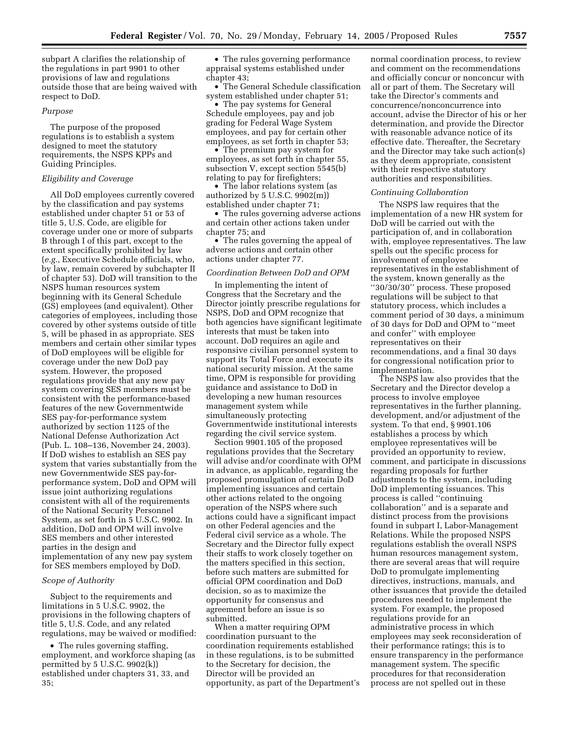subpart A clarifies the relationship of the regulations in part 9901 to other provisions of law and regulations outside those that are being waived with respect to DoD.

#### *Purpose*

The purpose of the proposed regulations is to establish a system designed to meet the statutory requirements, the NSPS KPPs and Guiding Principles.

## *Eligibility and Coverage*

All DoD employees currently covered by the classification and pay systems established under chapter 51 or 53 of title 5, U.S. Code, are eligible for coverage under one or more of subparts B through I of this part, except to the extent specifically prohibited by law (*e.g.*, Executive Schedule officials, who, by law, remain covered by subchapter II of chapter 53). DoD will transition to the NSPS human resources system beginning with its General Schedule (GS) employees (and equivalent). Other categories of employees, including those covered by other systems outside of title 5, will be phased in as appropriate. SES members and certain other similar types of DoD employees will be eligible for coverage under the new DoD pay system. However, the proposed regulations provide that any new pay system covering SES members must be consistent with the performance-based features of the new Governmentwide SES pay-for-performance system authorized by section 1125 of the National Defense Authorization Act (Pub. L. 108–136, November 24, 2003). If DoD wishes to establish an SES pay system that varies substantially from the new Governmentwide SES pay-forperformance system, DoD and OPM will issue joint authorizing regulations consistent with all of the requirements of the National Security Personnel System, as set forth in 5 U.S.C. 9902. In addition, DoD and OPM will involve SES members and other interested parties in the design and implementation of any new pay system for SES members employed by DoD.

## *Scope of Authority*

Subject to the requirements and limitations in 5 U.S.C. 9902, the provisions in the following chapters of title 5, U.S. Code, and any related regulations, may be waived or modified:

• The rules governing staffing, employment, and workforce shaping (as permitted by 5 U.S.C. 9902(k)) established under chapters 31, 33, and 35;

• The rules governing performance appraisal systems established under chapter 43;

• The General Schedule classification system established under chapter 51;

• The pay systems for General Schedule employees, pay and job grading for Federal Wage System employees, and pay for certain other employees, as set forth in chapter 53;

• The premium pay system for employees, as set forth in chapter 55, subsection V, except section 5545(b) relating to pay for firefighters;

• The labor relations system (as authorized by  $5$  U.S.C.  $9902(m)$ established under chapter 71;

• The rules governing adverse actions and certain other actions taken under chapter 75; and

• The rules governing the appeal of adverse actions and certain other actions under chapter 77.

#### *Coordination Between DoD and OPM*

In implementing the intent of Congress that the Secretary and the Director jointly prescribe regulations for NSPS, DoD and OPM recognize that both agencies have significant legitimate interests that must be taken into account. DoD requires an agile and responsive civilian personnel system to support its Total Force and execute its national security mission. At the same time, OPM is responsible for providing guidance and assistance to DoD in developing a new human resources management system while simultaneously protecting Governmentwide institutional interests regarding the civil service system.

Section 9901.105 of the proposed regulations provides that the Secretary will advise and/or coordinate with OPM in advance, as applicable, regarding the proposed promulgation of certain DoD implementing issuances and certain other actions related to the ongoing operation of the NSPS where such actions could have a significant impact on other Federal agencies and the Federal civil service as a whole. The Secretary and the Director fully expect their staffs to work closely together on the matters specified in this section, before such matters are submitted for official OPM coordination and DoD decision, so as to maximize the opportunity for consensus and agreement before an issue is so submitted.

When a matter requiring OPM coordination pursuant to the coordination requirements established in these regulations, is to be submitted to the Secretary for decision, the Director will be provided an opportunity, as part of the Department's

normal coordination process, to review and comment on the recommendations and officially concur or nonconcur with all or part of them. The Secretary will take the Director's comments and concurrence/nonconcurrence into account, advise the Director of his or her determination, and provide the Director with reasonable advance notice of its effective date. Thereafter, the Secretary and the Director may take such action(s) as they deem appropriate, consistent with their respective statutory authorities and responsibilities.

#### *Continuing Collaboration*

The NSPS law requires that the implementation of a new HR system for DoD will be carried out with the participation of, and in collaboration with, employee representatives. The law spells out the specific process for involvement of employee representatives in the establishment of the system, known generally as the ''30/30/30'' process. These proposed regulations will be subject to that statutory process, which includes a comment period of 30 days, a minimum of 30 days for DoD and OPM to ''meet and confer'' with employee representatives on their recommendations, and a final 30 days for congressional notification prior to implementation.

The NSPS law also provides that the Secretary and the Director develop a process to involve employee representatives in the further planning, development, and/or adjustment of the system. To that end, § 9901.106 establishes a process by which employee representatives will be provided an opportunity to review, comment, and participate in discussions regarding proposals for further adjustments to the system, including DoD implementing issuances. This process is called ''continuing collaboration'' and is a separate and distinct process from the provisions found in subpart I, Labor-Management Relations. While the proposed NSPS regulations establish the overall NSPS human resources management system, there are several areas that will require DoD to promulgate implementing directives, instructions, manuals, and other issuances that provide the detailed procedures needed to implement the system. For example, the proposed regulations provide for an administrative process in which employees may seek reconsideration of their performance ratings; this is to ensure transparency in the performance management system. The specific procedures for that reconsideration process are not spelled out in these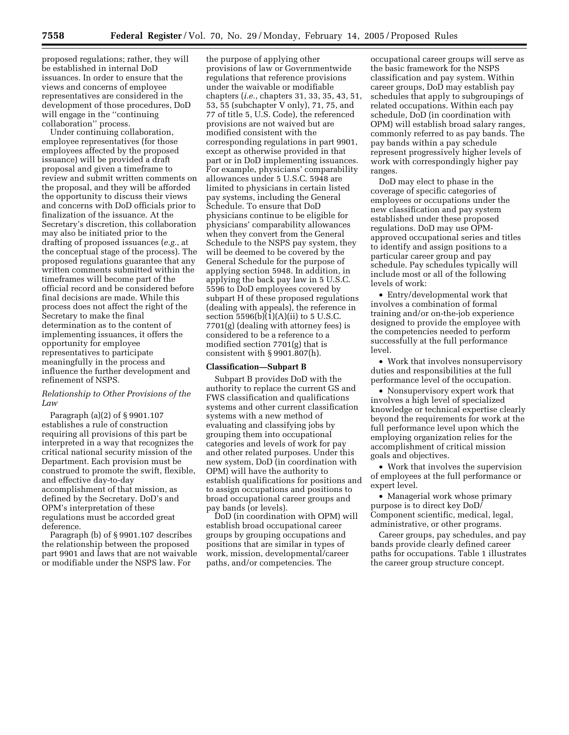proposed regulations; rather, they will be established in internal DoD issuances. In order to ensure that the views and concerns of employee representatives are considered in the development of those procedures, DoD will engage in the ''continuing collaboration'' process.

Under continuing collaboration, employee representatives (for those employees affected by the proposed issuance) will be provided a draft proposal and given a timeframe to review and submit written comments on the proposal, and they will be afforded the opportunity to discuss their views and concerns with DoD officials prior to finalization of the issuance. At the Secretary's discretion, this collaboration may also be initiated prior to the drafting of proposed issuances (*e.g.*, at the conceptual stage of the process). The proposed regulations guarantee that any written comments submitted within the timeframes will become part of the official record and be considered before final decisions are made. While this process does not affect the right of the Secretary to make the final determination as to the content of implementing issuances, it offers the opportunity for employee representatives to participate meaningfully in the process and influence the further development and refinement of NSPS.

## *Relationship to Other Provisions of the Law*

Paragraph (a)(2) of § 9901.107 establishes a rule of construction requiring all provisions of this part be interpreted in a way that recognizes the critical national security mission of the Department. Each provision must be construed to promote the swift, flexible, and effective day-to-day accomplishment of that mission, as defined by the Secretary. DoD's and OPM's interpretation of these regulations must be accorded great deference.

Paragraph (b) of § 9901.107 describes the relationship between the proposed part 9901 and laws that are not waivable or modifiable under the NSPS law. For

the purpose of applying other provisions of law or Governmentwide regulations that reference provisions under the waivable or modifiable chapters (*i.e.*, chapters 31, 33, 35, 43, 51, 53, 55 (subchapter V only), 71, 75, and 77 of title 5, U.S. Code), the referenced provisions are not waived but are modified consistent with the corresponding regulations in part 9901, except as otherwise provided in that part or in DoD implementing issuances. For example, physicians' comparability allowances under 5 U.S.C. 5948 are limited to physicians in certain listed pay systems, including the General Schedule. To ensure that DoD physicians continue to be eligible for physicians' comparability allowances when they convert from the General Schedule to the NSPS pay system, they will be deemed to be covered by the General Schedule for the purpose of applying section 5948. In addition, in applying the back pay law in 5 U.S.C. 5596 to DoD employees covered by subpart H of these proposed regulations (dealing with appeals), the reference in section  $5596(b)(1)(A)(ii)$  to 5 U.S.C. 7701(g) (dealing with attorney fees) is considered to be a reference to a modified section 7701(g) that is consistent with § 9901.807(h).

## **Classification—Subpart B**

Subpart B provides DoD with the authority to replace the current GS and FWS classification and qualifications systems and other current classification systems with a new method of evaluating and classifying jobs by grouping them into occupational categories and levels of work for pay and other related purposes. Under this new system, DoD (in coordination with OPM) will have the authority to establish qualifications for positions and to assign occupations and positions to broad occupational career groups and pay bands (or levels).

DoD (in coordination with OPM) will establish broad occupational career groups by grouping occupations and positions that are similar in types of work, mission, developmental/career paths, and/or competencies. The

occupational career groups will serve as the basic framework for the NSPS classification and pay system. Within career groups, DoD may establish pay schedules that apply to subgroupings of related occupations. Within each pay schedule, DoD (in coordination with OPM) will establish broad salary ranges, commonly referred to as pay bands. The pay bands within a pay schedule represent progressively higher levels of work with correspondingly higher pay ranges.

DoD may elect to phase in the coverage of specific categories of employees or occupations under the new classification and pay system established under these proposed regulations. DoD may use OPMapproved occupational series and titles to identify and assign positions to a particular career group and pay schedule. Pay schedules typically will include most or all of the following levels of work:

• Entry/developmental work that involves a combination of formal training and/or on-the-job experience designed to provide the employee with the competencies needed to perform successfully at the full performance level.

• Work that involves nonsupervisory duties and responsibilities at the full performance level of the occupation.

• Nonsupervisory expert work that involves a high level of specialized knowledge or technical expertise clearly beyond the requirements for work at the full performance level upon which the employing organization relies for the accomplishment of critical mission goals and objectives.

• Work that involves the supervision of employees at the full performance or expert level.

• Managerial work whose primary purpose is to direct key DoD/ Component scientific, medical, legal, administrative, or other programs.

Career groups, pay schedules, and pay bands provide clearly defined career paths for occupations. Table 1 illustrates the career group structure concept.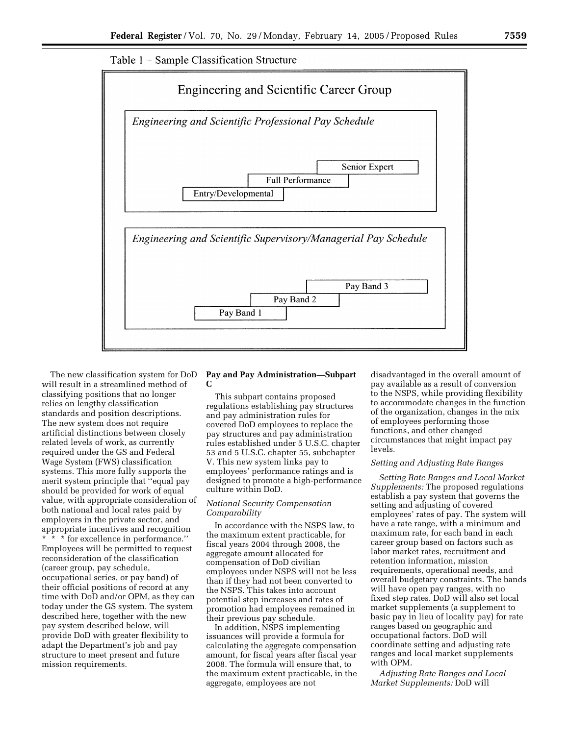



The new classification system for DoD will result in a streamlined method of classifying positions that no longer relies on lengthy classification standards and position descriptions. The new system does not require artificial distinctions between closely related levels of work, as currently required under the GS and Federal Wage System (FWS) classification systems. This more fully supports the merit system principle that ''equal pay should be provided for work of equal value, with appropriate consideration of both national and local rates paid by employers in the private sector, and appropriate incentives and recognition \* for excellence in performance.' Employees will be permitted to request reconsideration of the classification (career group, pay schedule, occupational series, or pay band) of their official positions of record at any time with DoD and/or OPM, as they can today under the GS system. The system described here, together with the new pay system described below, will provide DoD with greater flexibility to adapt the Department's job and pay structure to meet present and future mission requirements.

## **Pay and Pay Administration—Subpart C**

This subpart contains proposed regulations establishing pay structures and pay administration rules for covered DoD employees to replace the pay structures and pay administration rules established under 5 U.S.C. chapter 53 and 5 U.S.C. chapter 55, subchapter V. This new system links pay to employees' performance ratings and is designed to promote a high-performance culture within DoD.

## *National Security Compensation Comparability*

In accordance with the NSPS law, to the maximum extent practicable, for fiscal years 2004 through 2008, the aggregate amount allocated for compensation of DoD civilian employees under NSPS will not be less than if they had not been converted to the NSPS. This takes into account potential step increases and rates of promotion had employees remained in their previous pay schedule.

In addition, NSPS implementing issuances will provide a formula for calculating the aggregate compensation amount, for fiscal years after fiscal year 2008. The formula will ensure that, to the maximum extent practicable, in the aggregate, employees are not

disadvantaged in the overall amount of pay available as a result of conversion to the NSPS, while providing flexibility to accommodate changes in the function of the organization, changes in the mix of employees performing those functions, and other changed circumstances that might impact pay levels.

## *Setting and Adjusting Rate Ranges*

*Setting Rate Ranges and Local Market Supplements:* The proposed regulations establish a pay system that governs the setting and adjusting of covered employees' rates of pay. The system will have a rate range, with a minimum and maximum rate, for each band in each career group based on factors such as labor market rates, recruitment and retention information, mission requirements, operational needs, and overall budgetary constraints. The bands will have open pay ranges, with no fixed step rates. DoD will also set local market supplements (a supplement to basic pay in lieu of locality pay) for rate ranges based on geographic and occupational factors. DoD will coordinate setting and adjusting rate ranges and local market supplements with OPM.

*Adjusting Rate Ranges and Local Market Supplements:* DoD will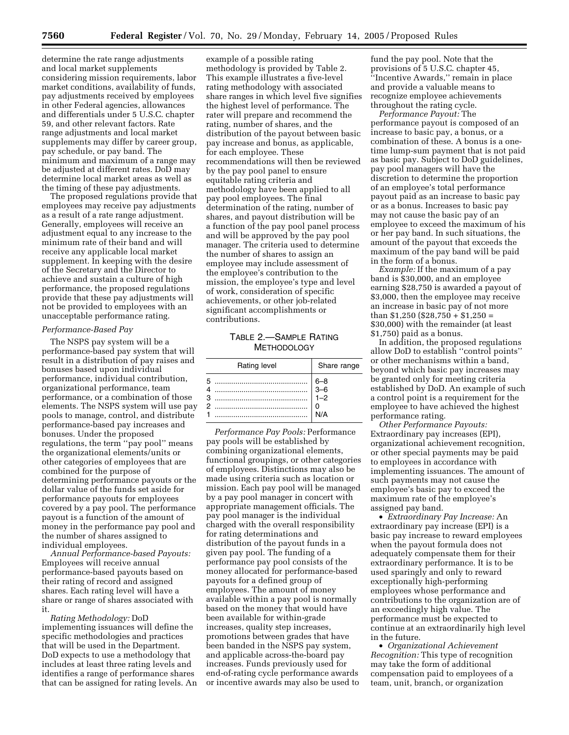determine the rate range adjustments and local market supplements considering mission requirements, labor market conditions, availability of funds, pay adjustments received by employees in other Federal agencies, allowances and differentials under 5 U.S.C. chapter 59, and other relevant factors. Rate range adjustments and local market supplements may differ by career group, pay schedule, or pay band. The minimum and maximum of a range may be adjusted at different rates. DoD may determine local market areas as well as the timing of these pay adjustments.

The proposed regulations provide that employees may receive pay adjustments as a result of a rate range adjustment. Generally, employees will receive an adjustment equal to any increase to the minimum rate of their band and will receive any applicable local market supplement. In keeping with the desire of the Secretary and the Director to achieve and sustain a culture of high performance, the proposed regulations provide that these pay adjustments will not be provided to employees with an unacceptable performance rating.

## *Performance-Based Pay*

The NSPS pay system will be a performance-based pay system that will result in a distribution of pay raises and bonuses based upon individual performance, individual contribution, organizational performance, team performance, or a combination of those elements. The NSPS system will use pay pools to manage, control, and distribute performance-based pay increases and bonuses. Under the proposed regulations, the term ''pay pool'' means the organizational elements/units or other categories of employees that are combined for the purpose of determining performance payouts or the dollar value of the funds set aside for performance payouts for employees covered by a pay pool. The performance payout is a function of the amount of money in the performance pay pool and the number of shares assigned to individual employees.

*Annual Performance-based Payouts:* Employees will receive annual performance-based payouts based on their rating of record and assigned shares. Each rating level will have a share or range of shares associated with it.

*Rating Methodology:* DoD implementing issuances will define the specific methodologies and practices that will be used in the Department. DoD expects to use a methodology that includes at least three rating levels and identifies a range of performance shares that can be assigned for rating levels. An

example of a possible rating methodology is provided by Table 2. This example illustrates a five-level rating methodology with associated share ranges in which level five signifies the highest level of performance. The rater will prepare and recommend the rating, number of shares, and the distribution of the payout between basic pay increase and bonus, as applicable, for each employee. These recommendations will then be reviewed by the pay pool panel to ensure equitable rating criteria and methodology have been applied to all pay pool employees. The final determination of the rating, number of shares, and payout distribution will be a function of the pay pool panel process and will be approved by the pay pool manager. The criteria used to determine the number of shares to assign an employee may include assessment of the employee's contribution to the mission, the employee's type and level of work, consideration of specific achievements, or other job-related significant accomplishments or contributions.

TABLE 2.—SAMPLE RATING **METHODOLOGY** 

| Rating level | Share range                                              |
|--------------|----------------------------------------------------------|
| 5            | $\begin{array}{ c} 6-8 \\ 3-6 \\ 1-2 \end{array}$<br>N/A |

*Performance Pay Pools:* Performance pay pools will be established by combining organizational elements, functional groupings, or other categories of employees. Distinctions may also be made using criteria such as location or mission. Each pay pool will be managed by a pay pool manager in concert with appropriate management officials. The pay pool manager is the individual charged with the overall responsibility for rating determinations and distribution of the payout funds in a given pay pool. The funding of a performance pay pool consists of the money allocated for performance-based payouts for a defined group of employees. The amount of money available within a pay pool is normally based on the money that would have been available for within-grade increases, quality step increases, promotions between grades that have been banded in the NSPS pay system, and applicable across-the-board pay increases. Funds previously used for end-of-rating cycle performance awards or incentive awards may also be used to

fund the pay pool. Note that the provisions of 5 U.S.C. chapter 45, ''Incentive Awards,'' remain in place and provide a valuable means to recognize employee achievements throughout the rating cycle.

*Performance Payout:* The performance payout is composed of an increase to basic pay, a bonus, or a combination of these. A bonus is a onetime lump-sum payment that is not paid as basic pay. Subject to DoD guidelines, pay pool managers will have the discretion to determine the proportion of an employee's total performance payout paid as an increase to basic pay or as a bonus. Increases to basic pay may not cause the basic pay of an employee to exceed the maximum of his or her pay band. In such situations, the amount of the payout that exceeds the maximum of the pay band will be paid in the form of a bonus.

*Example:* If the maximum of a pay band is \$30,000, and an employee earning \$28,750 is awarded a payout of \$3,000, then the employee may receive an increase in basic pay of not more than  $$1,250$  ( $$28,750 + $1,250 =$ \$30,000) with the remainder (at least \$1,750) paid as a bonus.

In addition, the proposed regulations allow DoD to establish ''control points'' or other mechanisms within a band, beyond which basic pay increases may be granted only for meeting criteria established by DoD. An example of such a control point is a requirement for the employee to have achieved the highest performance rating.

*Other Performance Payouts:* Extraordinary pay increases (EPI), organizational achievement recognition, or other special payments may be paid to employees in accordance with implementing issuances. The amount of such payments may not cause the employee's basic pay to exceed the maximum rate of the employee's assigned pay band.

• *Extraordinary Pay Increase:* An extraordinary pay increase (EPI) is a basic pay increase to reward employees when the payout formula does not adequately compensate them for their extraordinary performance. It is to be used sparingly and only to reward exceptionally high-performing employees whose performance and contributions to the organization are of an exceedingly high value. The performance must be expected to continue at an extraordinarily high level in the future.

• *Organizational Achievement Recognition:* This type of recognition may take the form of additional compensation paid to employees of a team, unit, branch, or organization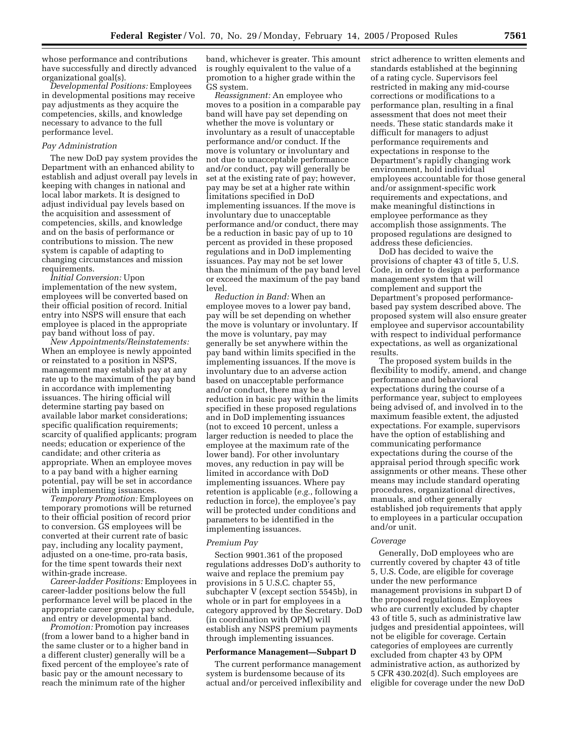whose performance and contributions have successfully and directly advanced organizational goal(s).

*Developmental Positions:* Employees in developmental positions may receive pay adjustments as they acquire the competencies, skills, and knowledge necessary to advance to the full performance level.

## *Pay Administration*

The new DoD pay system provides the Department with an enhanced ability to establish and adjust overall pay levels in keeping with changes in national and local labor markets. It is designed to adjust individual pay levels based on the acquisition and assessment of competencies, skills, and knowledge and on the basis of performance or contributions to mission. The new system is capable of adapting to changing circumstances and mission requirements.

*Initial Conversion:* Upon implementation of the new system, employees will be converted based on their official position of record. Initial entry into NSPS will ensure that each employee is placed in the appropriate pay band without loss of pay.

*New Appointments/Reinstatements:* When an employee is newly appointed or reinstated to a position in NSPS, management may establish pay at any rate up to the maximum of the pay band in accordance with implementing issuances. The hiring official will determine starting pay based on available labor market considerations; specific qualification requirements; scarcity of qualified applicants; program needs; education or experience of the candidate; and other criteria as appropriate. When an employee moves to a pay band with a higher earning potential, pay will be set in accordance with implementing issuances.

*Temporary Promotion:* Employees on temporary promotions will be returned to their official position of record prior to conversion. GS employees will be converted at their current rate of basic pay, including any locality payment, adjusted on a one-time, pro-rata basis, for the time spent towards their next within-grade increase.

*Career-ladder Positions:* Employees in career-ladder positions below the full performance level will be placed in the appropriate career group, pay schedule, and entry or developmental band.

*Promotion:* Promotion pay increases (from a lower band to a higher band in the same cluster or to a higher band in a different cluster) generally will be a fixed percent of the employee's rate of basic pay or the amount necessary to reach the minimum rate of the higher

band, whichever is greater. This amount is roughly equivalent to the value of a promotion to a higher grade within the GS system.

*Reassignment:* An employee who moves to a position in a comparable pay band will have pay set depending on whether the move is voluntary or involuntary as a result of unacceptable performance and/or conduct. If the move is voluntary or involuntary and not due to unacceptable performance and/or conduct, pay will generally be set at the existing rate of pay; however, pay may be set at a higher rate within limitations specified in DoD implementing issuances. If the move is involuntary due to unacceptable performance and/or conduct, there may be a reduction in basic pay of up to 10 percent as provided in these proposed regulations and in DoD implementing issuances. Pay may not be set lower than the minimum of the pay band level or exceed the maximum of the pay band level.

*Reduction in Band:* When an employee moves to a lower pay band, pay will be set depending on whether the move is voluntary or involuntary. If the move is voluntary, pay may generally be set anywhere within the pay band within limits specified in the implementing issuances. If the move is involuntary due to an adverse action based on unacceptable performance and/or conduct, there may be a reduction in basic pay within the limits specified in these proposed regulations and in DoD implementing issuances (not to exceed 10 percent, unless a larger reduction is needed to place the employee at the maximum rate of the lower band). For other involuntary moves, any reduction in pay will be limited in accordance with DoD implementing issuances. Where pay retention is applicable (*e.g.*, following a reduction in force), the employee's pay will be protected under conditions and parameters to be identified in the implementing issuances.

#### *Premium Pay*

Section 9901.361 of the proposed regulations addresses DoD's authority to waive and replace the premium pay provisions in 5 U.S.C. chapter 55, subchapter V (except section 5545b), in whole or in part for employees in a category approved by the Secretary. DoD (in coordination with OPM) will establish any NSPS premium payments through implementing issuances.

#### **Performance Management—Subpart D**

The current performance management system is burdensome because of its actual and/or perceived inflexibility and strict adherence to written elements and standards established at the beginning of a rating cycle. Supervisors feel restricted in making any mid-course corrections or modifications to a performance plan, resulting in a final assessment that does not meet their needs. These static standards make it difficult for managers to adjust performance requirements and expectations in response to the Department's rapidly changing work environment, hold individual employees accountable for those general and/or assignment-specific work requirements and expectations, and make meaningful distinctions in employee performance as they accomplish those assignments. The proposed regulations are designed to address these deficiencies.

DoD has decided to waive the provisions of chapter 43 of title 5, U.S. Code, in order to design a performance management system that will complement and support the Department's proposed performancebased pay system described above. The proposed system will also ensure greater employee and supervisor accountability with respect to individual performance expectations, as well as organizational results.

The proposed system builds in the flexibility to modify, amend, and change performance and behavioral expectations during the course of a performance year, subject to employees being advised of, and involved in to the maximum feasible extent, the adjusted expectations. For example, supervisors have the option of establishing and communicating performance expectations during the course of the appraisal period through specific work assignments or other means. These other means may include standard operating procedures, organizational directives, manuals, and other generally established job requirements that apply to employees in a particular occupation and/or unit.

#### *Coverage*

Generally, DoD employees who are currently covered by chapter 43 of title 5, U.S. Code, are eligible for coverage under the new performance management provisions in subpart D of the proposed regulations. Employees who are currently excluded by chapter 43 of title 5, such as administrative law judges and presidential appointees, will not be eligible for coverage. Certain categories of employees are currently excluded from chapter 43 by OPM administrative action, as authorized by 5 CFR 430.202(d). Such employees are eligible for coverage under the new DoD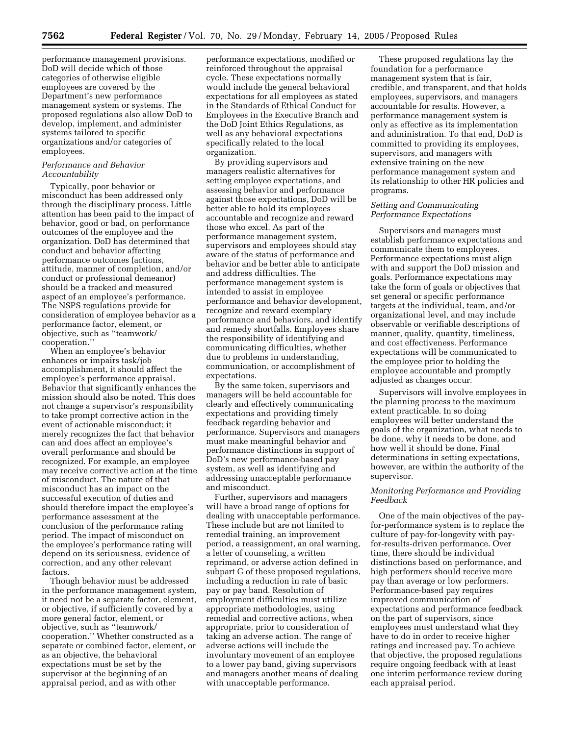performance management provisions. DoD will decide which of those categories of otherwise eligible employees are covered by the Department's new performance management system or systems. The proposed regulations also allow DoD to develop, implement, and administer systems tailored to specific organizations and/or categories of employees.

## *Performance and Behavior Accountability*

Typically, poor behavior or misconduct has been addressed only through the disciplinary process. Little attention has been paid to the impact of behavior, good or bad, on performance outcomes of the employee and the organization. DoD has determined that conduct and behavior affecting performance outcomes (actions, attitude, manner of completion, and/or conduct or professional demeanor) should be a tracked and measured aspect of an employee's performance. The NSPS regulations provide for consideration of employee behavior as a performance factor, element, or objective, such as ''teamwork/ cooperation.''

When an employee's behavior enhances or impairs task/job accomplishment, it should affect the employee's performance appraisal. Behavior that significantly enhances the mission should also be noted. This does not change a supervisor's responsibility to take prompt corrective action in the event of actionable misconduct; it merely recognizes the fact that behavior can and does affect an employee's overall performance and should be recognized. For example, an employee may receive corrective action at the time of misconduct. The nature of that misconduct has an impact on the successful execution of duties and should therefore impact the employee's performance assessment at the conclusion of the performance rating period. The impact of misconduct on the employee's performance rating will depend on its seriousness, evidence of correction, and any other relevant factors.

Though behavior must be addressed in the performance management system, it need not be a separate factor, element, or objective, if sufficiently covered by a more general factor, element, or objective, such as ''teamwork/ cooperation.'' Whether constructed as a separate or combined factor, element, or as an objective, the behavioral expectations must be set by the supervisor at the beginning of an appraisal period, and as with other

performance expectations, modified or reinforced throughout the appraisal cycle. These expectations normally would include the general behavioral expectations for all employees as stated in the Standards of Ethical Conduct for Employees in the Executive Branch and the DoD Joint Ethics Regulations, as well as any behavioral expectations specifically related to the local organization.

By providing supervisors and managers realistic alternatives for setting employee expectations, and assessing behavior and performance against those expectations, DoD will be better able to hold its employees accountable and recognize and reward those who excel. As part of the performance management system, supervisors and employees should stay aware of the status of performance and behavior and be better able to anticipate and address difficulties. The performance management system is intended to assist in employee performance and behavior development, recognize and reward exemplary performance and behaviors, and identify and remedy shortfalls. Employees share the responsibility of identifying and communicating difficulties, whether due to problems in understanding, communication, or accomplishment of expectations.

By the same token, supervisors and managers will be held accountable for clearly and effectively communicating expectations and providing timely feedback regarding behavior and performance. Supervisors and managers must make meaningful behavior and performance distinctions in support of DoD's new performance-based pay system, as well as identifying and addressing unacceptable performance and misconduct.

Further, supervisors and managers will have a broad range of options for dealing with unacceptable performance. These include but are not limited to remedial training, an improvement period, a reassignment, an oral warning, a letter of counseling, a written reprimand, or adverse action defined in subpart G of these proposed regulations, including a reduction in rate of basic pay or pay band. Resolution of employment difficulties must utilize appropriate methodologies, using remedial and corrective actions, when appropriate, prior to consideration of taking an adverse action. The range of adverse actions will include the involuntary movement of an employee to a lower pay band, giving supervisors and managers another means of dealing with unacceptable performance.

These proposed regulations lay the foundation for a performance management system that is fair, credible, and transparent, and that holds employees, supervisors, and managers accountable for results. However, a performance management system is only as effective as its implementation and administration. To that end, DoD is committed to providing its employees, supervisors, and managers with extensive training on the new performance management system and its relationship to other HR policies and programs.

## *Setting and Communicating Performance Expectations*

Supervisors and managers must establish performance expectations and communicate them to employees. Performance expectations must align with and support the DoD mission and goals. Performance expectations may take the form of goals or objectives that set general or specific performance targets at the individual, team, and/or organizational level, and may include observable or verifiable descriptions of manner, quality, quantity, timeliness, and cost effectiveness. Performance expectations will be communicated to the employee prior to holding the employee accountable and promptly adjusted as changes occur.

Supervisors will involve employees in the planning process to the maximum extent practicable. In so doing employees will better understand the goals of the organization, what needs to be done, why it needs to be done, and how well it should be done. Final determinations in setting expectations, however, are within the authority of the supervisor.

## *Monitoring Performance and Providing Feedback*

One of the main objectives of the payfor-performance system is to replace the culture of pay-for-longevity with payfor-results-driven performance. Over time, there should be individual distinctions based on performance, and high performers should receive more pay than average or low performers. Performance-based pay requires improved communication of expectations and performance feedback on the part of supervisors, since employees must understand what they have to do in order to receive higher ratings and increased pay. To achieve that objective, the proposed regulations require ongoing feedback with at least one interim performance review during each appraisal period.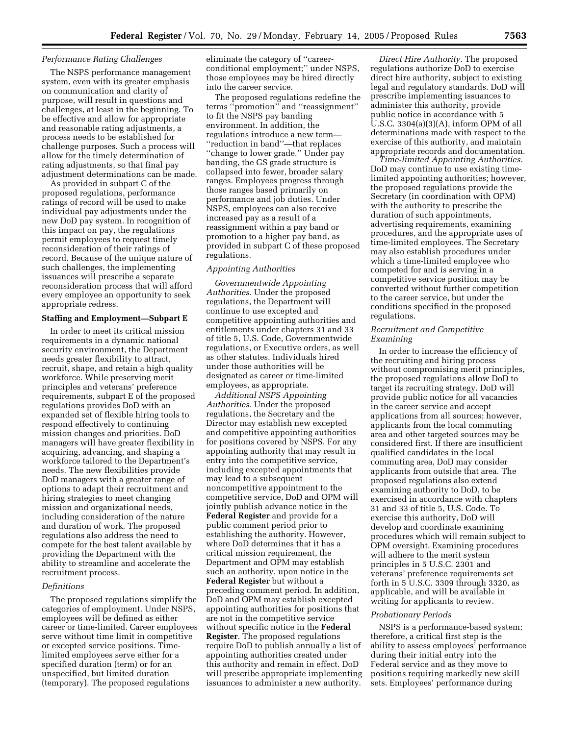#### *Performance Rating Challenges*

The NSPS performance management system, even with its greater emphasis on communication and clarity of purpose, will result in questions and challenges, at least in the beginning. To be effective and allow for appropriate and reasonable rating adjustments, a process needs to be established for challenge purposes. Such a process will allow for the timely determination of rating adjustments, so that final pay adjustment determinations can be made.

As provided in subpart C of the proposed regulations, performance ratings of record will be used to make individual pay adjustments under the new DoD pay system. In recognition of this impact on pay, the regulations permit employees to request timely reconsideration of their ratings of record. Because of the unique nature of such challenges, the implementing issuances will prescribe a separate reconsideration process that will afford every employee an opportunity to seek appropriate redress.

#### **Staffing and Employment—Subpart E**

In order to meet its critical mission requirements in a dynamic national security environment, the Department needs greater flexibility to attract, recruit, shape, and retain a high quality workforce. While preserving merit principles and veterans' preference requirements, subpart E of the proposed regulations provides DoD with an expanded set of flexible hiring tools to respond effectively to continuing mission changes and priorities. DoD managers will have greater flexibility in acquiring, advancing, and shaping a workforce tailored to the Department's needs. The new flexibilities provide DoD managers with a greater range of options to adapt their recruitment and hiring strategies to meet changing mission and organizational needs, including consideration of the nature and duration of work. The proposed regulations also address the need to compete for the best talent available by providing the Department with the ability to streamline and accelerate the recruitment process.

#### *Definitions*

The proposed regulations simplify the categories of employment. Under NSPS, employees will be defined as either career or time-limited. Career employees serve without time limit in competitive or excepted service positions. Timelimited employees serve either for a specified duration (term) or for an unspecified, but limited duration (temporary). The proposed regulations

eliminate the category of ''careerconditional employment;'' under NSPS, those employees may be hired directly into the career service.

The proposed regulations redefine the terms ''promotion'' and ''reassignment'' to fit the NSPS pay banding environment. In addition, the regulations introduce a new term— ''reduction in band''—that replaces ''change to lower grade.'' Under pay banding, the GS grade structure is collapsed into fewer, broader salary ranges. Employees progress through those ranges based primarily on performance and job duties. Under NSPS, employees can also receive increased pay as a result of a reassignment within a pay band or promotion to a higher pay band, as provided in subpart C of these proposed regulations.

## *Appointing Authorities*

*Governmentwide Appointing Authorities.* Under the proposed regulations, the Department will continue to use excepted and competitive appointing authorities and entitlements under chapters 31 and 33 of title 5, U.S. Code, Governmentwide regulations, or Executive orders, as well as other statutes. Individuals hired under those authorities will be designated as career or time-limited employees, as appropriate.

*Additional NSPS Appointing Authorities.* Under the proposed regulations, the Secretary and the Director may establish new excepted and competitive appointing authorities for positions covered by NSPS. For any appointing authority that may result in entry into the competitive service, including excepted appointments that may lead to a subsequent noncompetitive appointment to the competitive service, DoD and OPM will jointly publish advance notice in the **Federal Register** and provide for a public comment period prior to establishing the authority. However, where DoD determines that it has a critical mission requirement, the Department and OPM may establish such an authority, upon notice in the **Federal Register** but without a preceding comment period. In addition, DoD and OPM may establish excepted appointing authorities for positions that are not in the competitive service without specific notice in the **Federal Register**. The proposed regulations require DoD to publish annually a list of appointing authorities created under this authority and remain in effect. DoD will prescribe appropriate implementing issuances to administer a new authority.

*Direct Hire Authority.* The proposed regulations authorize DoD to exercise direct hire authority, subject to existing legal and regulatory standards. DoD will prescribe implementing issuances to administer this authority, provide public notice in accordance with 5 U.S.C. 3304(a)(3)(A), inform OPM of all determinations made with respect to the exercise of this authority, and maintain appropriate records and documentation.

*Time-limited Appointing Authorities.* DoD may continue to use existing timelimited appointing authorities; however, the proposed regulations provide the Secretary (in coordination with OPM) with the authority to prescribe the duration of such appointments, advertising requirements, examining procedures, and the appropriate uses of time-limited employees. The Secretary may also establish procedures under which a time-limited employee who competed for and is serving in a competitive service position may be converted without further competition to the career service, but under the conditions specified in the proposed regulations.

## *Recruitment and Competitive Examining*

In order to increase the efficiency of the recruiting and hiring process without compromising merit principles, the proposed regulations allow DoD to target its recruiting strategy. DoD will provide public notice for all vacancies in the career service and accept applications from all sources; however, applicants from the local commuting area and other targeted sources may be considered first. If there are insufficient qualified candidates in the local commuting area, DoD may consider applicants from outside that area. The proposed regulations also extend examining authority to DoD, to be exercised in accordance with chapters 31 and 33 of title 5, U.S. Code. To exercise this authority, DoD will develop and coordinate examining procedures which will remain subject to OPM oversight. Examining procedures will adhere to the merit system principles in 5 U.S.C. 2301 and veterans' preference requirements set forth in 5 U.S.C. 3309 through 3320, as applicable, and will be available in writing for applicants to review.

#### *Probationary Periods*

NSPS is a performance-based system; therefore, a critical first step is the ability to assess employees' performance during their initial entry into the Federal service and as they move to positions requiring markedly new skill sets. Employees' performance during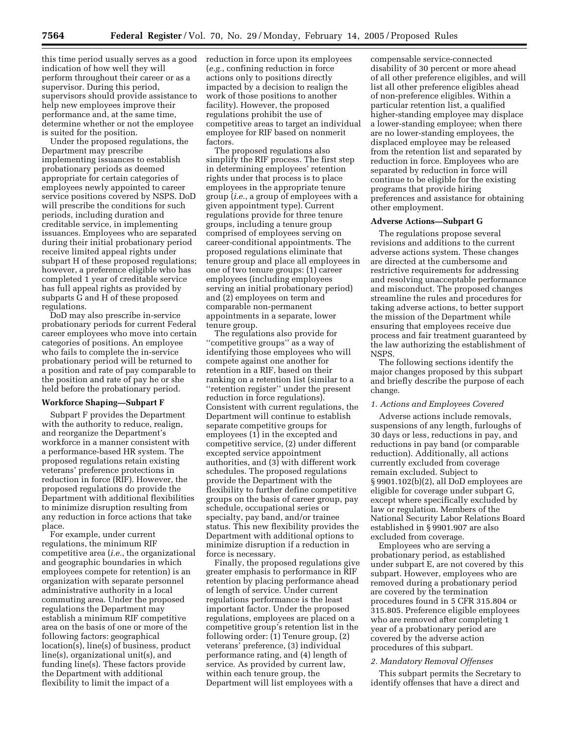this time period usually serves as a good reduction in force upon its employees indication of how well they will perform throughout their career or as a supervisor. During this period, supervisors should provide assistance to help new employees improve their performance and, at the same time, determine whether or not the employee is suited for the position.

Under the proposed regulations, the Department may prescribe implementing issuances to establish probationary periods as deemed appropriate for certain categories of employees newly appointed to career service positions covered by NSPS. DoD will prescribe the conditions for such periods, including duration and creditable service, in implementing issuances. Employees who are separated during their initial probationary period receive limited appeal rights under subpart H of these proposed regulations; however, a preference eligible who has completed 1 year of creditable service has full appeal rights as provided by subparts G and H of these proposed regulations.

DoD may also prescribe in-service probationary periods for current Federal career employees who move into certain categories of positions. An employee who fails to complete the in-service probationary period will be returned to a position and rate of pay comparable to the position and rate of pay he or she held before the probationary period.

## **Workforce Shaping—Subpart F**

Subpart F provides the Department with the authority to reduce, realign, and reorganize the Department's workforce in a manner consistent with a performance-based HR system. The proposed regulations retain existing veterans' preference protections in reduction in force (RIF). However, the proposed regulations do provide the Department with additional flexibilities to minimize disruption resulting from any reduction in force actions that take place.

For example, under current regulations, the minimum RIF competitive area (*i.e.*, the organizational and geographic boundaries in which employees compete for retention) is an organization with separate personnel administrative authority in a local commuting area. Under the proposed regulations the Department may establish a minimum RIF competitive area on the basis of one or more of the following factors: geographical location(s), line(s) of business, product line(s), organizational unit(s), and funding line(s). These factors provide the Department with additional flexibility to limit the impact of a

(*e.g.*, confining reduction in force actions only to positions directly impacted by a decision to realign the work of those positions to another facility). However, the proposed regulations prohibit the use of competitive areas to target an individual employee for RIF based on nonmerit factors.

The proposed regulations also simplify the RIF process. The first step in determining employees' retention rights under that process is to place employees in the appropriate tenure group (*i.e.*, a group of employees with a given appointment type). Current regulations provide for three tenure groups, including a tenure group comprised of employees serving on career-conditional appointments. The proposed regulations eliminate that tenure group and place all employees in one of two tenure groups: (1) career employees (including employees serving an initial probationary period) and (2) employees on term and comparable non-permanent appointments in a separate, lower tenure group.

The regulations also provide for ''competitive groups'' as a way of identifying those employees who will compete against one another for retention in a RIF, based on their ranking on a retention list (similar to a ''retention register'' under the present reduction in force regulations). Consistent with current regulations, the Department will continue to establish separate competitive groups for employees (1) in the excepted and competitive service, (2) under different excepted service appointment authorities, and (3) with different work schedules. The proposed regulations provide the Department with the flexibility to further define competitive groups on the basis of career group, pay schedule, occupational series or specialty, pay band, and/or trainee status. This new flexibility provides the Department with additional options to minimize disruption if a reduction in force is necessary.

Finally, the proposed regulations give greater emphasis to performance in RIF retention by placing performance ahead of length of service. Under current regulations performance is the least important factor. Under the proposed regulations, employees are placed on a competitive group's retention list in the following order: (1) Tenure group, (2) veterans' preference, (3) individual performance rating, and (4) length of service. As provided by current law, within each tenure group, the Department will list employees with a

compensable service-connected disability of 30 percent or more ahead of all other preference eligibles, and will list all other preference eligibles ahead of non-preference eligibles. Within a particular retention list, a qualified higher-standing employee may displace a lower-standing employee; when there are no lower-standing employees, the displaced employee may be released from the retention list and separated by reduction in force. Employees who are separated by reduction in force will continue to be eligible for the existing programs that provide hiring preferences and assistance for obtaining other employment.

#### **Adverse Actions—Subpart G**

The regulations propose several revisions and additions to the current adverse actions system. These changes are directed at the cumbersome and restrictive requirements for addressing and resolving unacceptable performance and misconduct. The proposed changes streamline the rules and procedures for taking adverse actions, to better support the mission of the Department while ensuring that employees receive due process and fair treatment guaranteed by the law authorizing the establishment of NSPS.

The following sections identify the major changes proposed by this subpart and briefly describe the purpose of each change.

## *1. Actions and Employees Covered*

Adverse actions include removals, suspensions of any length, furloughs of 30 days or less, reductions in pay, and reductions in pay band (or comparable reduction). Additionally, all actions currently excluded from coverage remain excluded. Subject to § 9901.102(b)(2), all DoD employees are eligible for coverage under subpart G, except where specifically excluded by law or regulation. Members of the National Security Labor Relations Board established in § 9901.907 are also excluded from coverage.

Employees who are serving a probationary period, as established under subpart E, are not covered by this subpart. However, employees who are removed during a probationary period are covered by the termination procedures found in 5 CFR 315.804 or 315.805. Preference eligible employees who are removed after completing 1 year of a probationary period are covered by the adverse action procedures of this subpart.

#### *2. Mandatory Removal Offenses*

This subpart permits the Secretary to identify offenses that have a direct and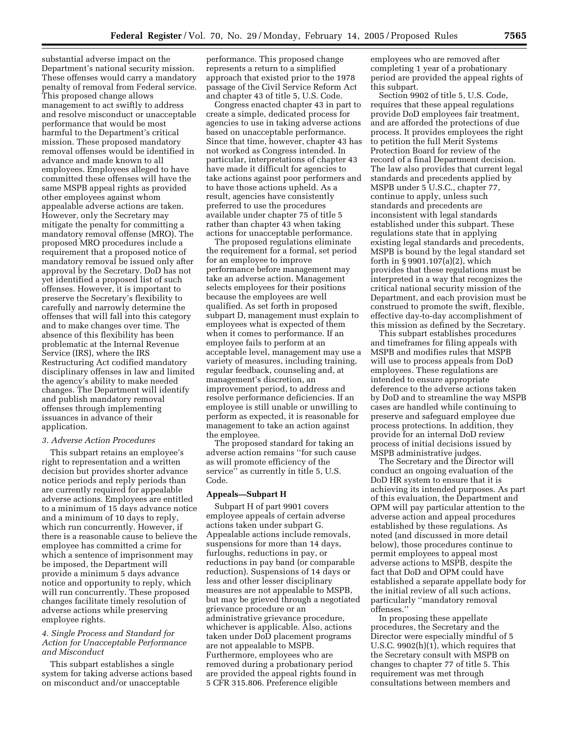substantial adverse impact on the Department's national security mission. These offenses would carry a mandatory penalty of removal from Federal service. This proposed change allows management to act swiftly to address and resolve misconduct or unacceptable performance that would be most harmful to the Department's critical mission. These proposed mandatory removal offenses would be identified in advance and made known to all employees. Employees alleged to have committed these offenses will have the same MSPB appeal rights as provided other employees against whom appealable adverse actions are taken. However, only the Secretary may mitigate the penalty for committing a mandatory removal offense (MRO). The proposed MRO procedures include a requirement that a proposed notice of mandatory removal be issued only after approval by the Secretary. DoD has not yet identified a proposed list of such offenses. However, it is important to preserve the Secretary's flexibility to carefully and narrowly determine the offenses that will fall into this category and to make changes over time. The absence of this flexibility has been problematic at the Internal Revenue Service (IRS), where the IRS Restructuring Act codified mandatory disciplinary offenses in law and limited the agency's ability to make needed changes. The Department will identify and publish mandatory removal offenses through implementing issuances in advance of their application.

## *3. Adverse Action Procedures*

This subpart retains an employee's right to representation and a written decision but provides shorter advance notice periods and reply periods than are currently required for appealable adverse actions. Employees are entitled to a minimum of 15 days advance notice and a minimum of 10 days to reply, which run concurrently. However, if there is a reasonable cause to believe the employee has committed a crime for which a sentence of imprisonment may be imposed, the Department will provide a minimum 5 days advance notice and opportunity to reply, which will run concurrently. These proposed changes facilitate timely resolution of adverse actions while preserving employee rights.

## *4. Single Process and Standard for Action for Unacceptable Performance and Misconduct*

This subpart establishes a single system for taking adverse actions based on misconduct and/or unacceptable

performance. This proposed change represents a return to a simplified approach that existed prior to the 1978 passage of the Civil Service Reform Act and chapter 43 of title 5, U.S. Code.

Congress enacted chapter 43 in part to create a simple, dedicated process for agencies to use in taking adverse actions based on unacceptable performance. Since that time, however, chapter 43 has not worked as Congress intended. In particular, interpretations of chapter 43 have made it difficult for agencies to take actions against poor performers and to have those actions upheld. As a result, agencies have consistently preferred to use the procedures available under chapter 75 of title 5 rather than chapter 43 when taking actions for unacceptable performance.

The proposed regulations eliminate the requirement for a formal, set period for an employee to improve performance before management may take an adverse action. Management selects employees for their positions because the employees are well qualified. As set forth in proposed subpart D, management must explain to employees what is expected of them when it comes to performance. If an employee fails to perform at an acceptable level, management may use a variety of measures, including training, regular feedback, counseling and, at management's discretion, an improvement period, to address and resolve performance deficiencies. If an employee is still unable or unwilling to perform as expected, it is reasonable for management to take an action against the employee.

The proposed standard for taking an adverse action remains ''for such cause as will promote efficiency of the service'' as currently in title 5, U.S. Code.

## **Appeals—Subpart H**

Subpart H of part 9901 covers employee appeals of certain adverse actions taken under subpart G. Appealable actions include removals, suspensions for more than 14 days, furloughs, reductions in pay, or reductions in pay band (or comparable reduction). Suspensions of 14 days or less and other lesser disciplinary measures are not appealable to MSPB, but may be grieved through a negotiated grievance procedure or an administrative grievance procedure, whichever is applicable. Also, actions taken under DoD placement programs are not appealable to MSPB. Furthermore, employees who are removed during a probationary period are provided the appeal rights found in 5 CFR 315.806. Preference eligible

employees who are removed after completing 1 year of a probationary period are provided the appeal rights of this subpart.

Section 9902 of title 5, U.S. Code, requires that these appeal regulations provide DoD employees fair treatment, and are afforded the protections of due process. It provides employees the right to petition the full Merit Systems Protection Board for review of the record of a final Department decision. The law also provides that current legal standards and precedents applied by MSPB under 5 U.S.C., chapter 77, continue to apply, unless such standards and precedents are inconsistent with legal standards established under this subpart. These regulations state that in applying existing legal standards and precedents, MSPB is bound by the legal standard set forth in § 9901.107(a)(2), which provides that these regulations must be interpreted in a way that recognizes the critical national security mission of the Department, and each provision must be construed to promote the swift, flexible, effective day-to-day accomplishment of this mission as defined by the Secretary.

This subpart establishes procedures and timeframes for filing appeals with MSPB and modifies rules that MSPB will use to process appeals from DoD employees. These regulations are intended to ensure appropriate deference to the adverse actions taken by DoD and to streamline the way MSPB cases are handled while continuing to preserve and safeguard employee due process protections. In addition, they provide for an internal DoD review process of initial decisions issued by MSPB administrative judges.

The Secretary and the Director will conduct an ongoing evaluation of the DoD HR system to ensure that it is achieving its intended purposes. As part of this evaluation, the Department and OPM will pay particular attention to the adverse action and appeal procedures established by these regulations. As noted (and discussed in more detail below), those procedures continue to permit employees to appeal most adverse actions to MSPB, despite the fact that DoD and OPM could have established a separate appellate body for the initial review of all such actions, particularly ''mandatory removal offenses.''

In proposing these appellate procedures, the Secretary and the Director were especially mindful of 5 U.S.C. 9902(h)(1), which requires that the Secretary consult with MSPB on changes to chapter 77 of title 5. This requirement was met through consultations between members and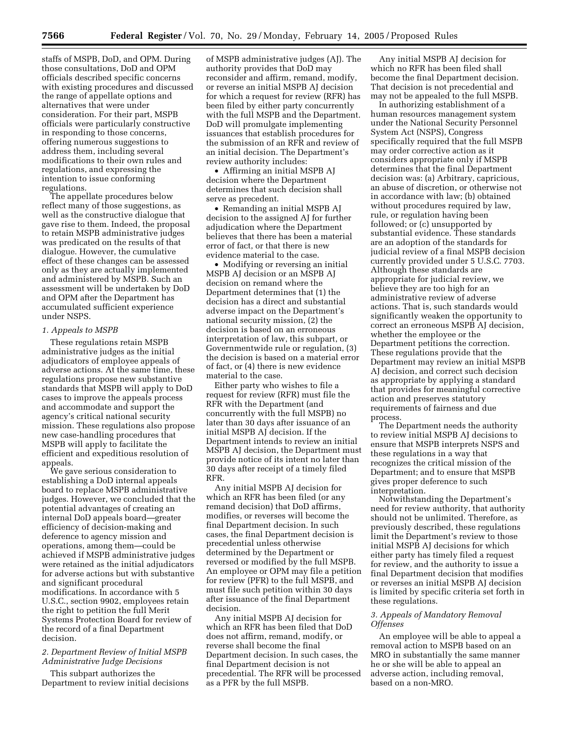staffs of MSPB, DoD, and OPM. During those consultations, DoD and OPM officials described specific concerns with existing procedures and discussed the range of appellate options and alternatives that were under consideration. For their part, MSPB officials were particularly constructive in responding to those concerns, offering numerous suggestions to address them, including several modifications to their own rules and regulations, and expressing the intention to issue conforming regulations.

The appellate procedures below reflect many of those suggestions, as well as the constructive dialogue that gave rise to them. Indeed, the proposal to retain MSPB administrative judges was predicated on the results of that dialogue. However, the cumulative effect of these changes can be assessed only as they are actually implemented and administered by MSPB. Such an assessment will be undertaken by DoD and OPM after the Department has accumulated sufficient experience under NSPS.

## *1. Appeals to MSPB*

These regulations retain MSPB administrative judges as the initial adjudicators of employee appeals of adverse actions. At the same time, these regulations propose new substantive standards that MSPB will apply to DoD cases to improve the appeals process and accommodate and support the agency's critical national security mission. These regulations also propose new case-handling procedures that MSPB will apply to facilitate the efficient and expeditious resolution of appeals.

We gave serious consideration to establishing a DoD internal appeals board to replace MSPB administrative judges. However, we concluded that the potential advantages of creating an internal DoD appeals board—greater efficiency of decision-making and deference to agency mission and operations, among them—could be achieved if MSPB administrative judges were retained as the initial adjudicators for adverse actions but with substantive and significant procedural modifications. In accordance with 5 U.S.C., section 9902, employees retain the right to petition the full Merit Systems Protection Board for review of the record of a final Department decision.

## *2. Department Review of Initial MSPB Administrative Judge Decisions*

This subpart authorizes the Department to review initial decisions

of MSPB administrative judges (AJ). The authority provides that DoD may reconsider and affirm, remand, modify, or reverse an initial MSPB AJ decision for which a request for review (RFR) has been filed by either party concurrently with the full MSPB and the Department. DoD will promulgate implementing issuances that establish procedures for the submission of an RFR and review of an initial decision. The Department's review authority includes:

• Affirming an initial MSPB AJ decision where the Department determines that such decision shall serve as precedent.

• Remanding an initial MSPB AJ decision to the assigned AJ for further adjudication where the Department believes that there has been a material error of fact, or that there is new evidence material to the case.

• Modifying or reversing an initial MSPB AJ decision or an MSPB AJ decision on remand where the Department determines that (1) the decision has a direct and substantial adverse impact on the Department's national security mission, (2) the decision is based on an erroneous interpretation of law, this subpart, or Governmentwide rule or regulation, (3) the decision is based on a material error of fact, or (4) there is new evidence material to the case.

Either party who wishes to file a request for review (RFR) must file the RFR with the Department (and concurrently with the full MSPB) no later than 30 days after issuance of an initial MSPB AJ decision. If the Department intends to review an initial MSPB AJ decision, the Department must provide notice of its intent no later than 30 days after receipt of a timely filed RFR.

Any initial MSPB AJ decision for which an RFR has been filed (or any remand decision) that DoD affirms, modifies, or reverses will become the final Department decision. In such cases, the final Department decision is precedential unless otherwise determined by the Department or reversed or modified by the full MSPB. An employee or OPM may file a petition for review (PFR) to the full MSPB, and must file such petition within 30 days after issuance of the final Department decision.

Any initial MSPB AJ decision for which an RFR has been filed that DoD does not affirm, remand, modify, or reverse shall become the final Department decision. In such cases, the final Department decision is not precedential. The RFR will be processed as a PFR by the full MSPB.

Any initial MSPB AJ decision for which no RFR has been filed shall become the final Department decision. That decision is not precedential and may not be appealed to the full MSPB.

In authorizing establishment of a human resources management system under the National Security Personnel System Act (NSPS), Congress specifically required that the full MSPB may order corrective action as it considers appropriate only if MSPB determines that the final Department decision was: (a) Arbitrary, capricious, an abuse of discretion, or otherwise not in accordance with law; (b) obtained without procedures required by law, rule, or regulation having been followed; or (c) unsupported by substantial evidence. These standards are an adoption of the standards for judicial review of a final MSPB decision currently provided under 5 U.S.C. 7703. Although these standards are appropriate for judicial review, we believe they are too high for an administrative review of adverse actions. That is, such standards would significantly weaken the opportunity to correct an erroneous MSPB AJ decision, whether the employee or the Department petitions the correction. These regulations provide that the Department may review an initial MSPB AJ decision, and correct such decision as appropriate by applying a standard that provides for meaningful corrective action and preserves statutory requirements of fairness and due process.

The Department needs the authority to review initial MSPB AJ decisions to ensure that MSPB interprets NSPS and these regulations in a way that recognizes the critical mission of the Department; and to ensure that MSPB gives proper deference to such interpretation.

Notwithstanding the Department's need for review authority, that authority should not be unlimited. Therefore, as previously described, these regulations limit the Department's review to those initial MSPB AJ decisions for which either party has timely filed a request for review, and the authority to issue a final Department decision that modifies or reverses an initial MSPB AJ decision is limited by specific criteria set forth in these regulations.

## *3. Appeals of Mandatory Removal Offenses*

An employee will be able to appeal a removal action to MSPB based on an MRO in substantially the same manner he or she will be able to appeal an adverse action, including removal, based on a non-MRO.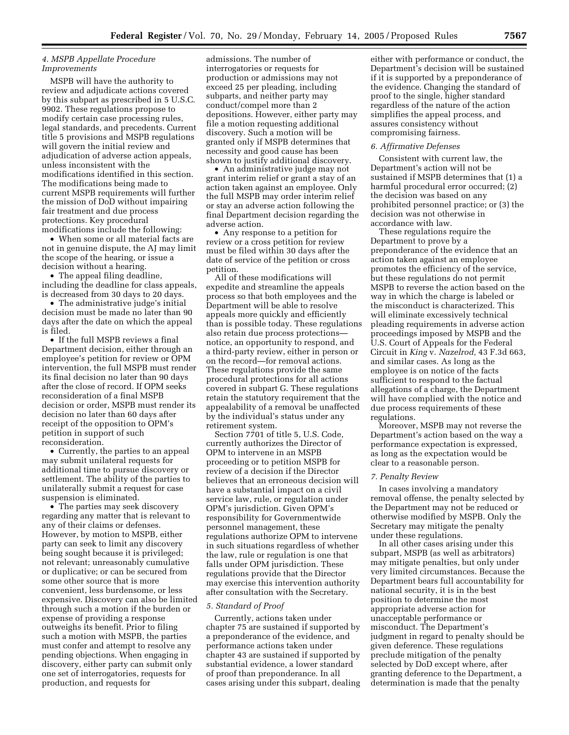## *4. MSPB Appellate Procedure Improvements*

MSPB will have the authority to review and adjudicate actions covered by this subpart as prescribed in 5 U.S.C. 9902. These regulations propose to modify certain case processing rules, legal standards, and precedents. Current title 5 provisions and MSPB regulations will govern the initial review and adjudication of adverse action appeals, unless inconsistent with the modifications identified in this section. The modifications being made to current MSPB requirements will further the mission of DoD without impairing fair treatment and due process protections. Key procedural modifications include the following:

• When some or all material facts are not in genuine dispute, the AJ may limit the scope of the hearing, or issue a decision without a hearing.

• The appeal filing deadline, including the deadline for class appeals, is decreased from 30 days to 20 days.

• The administrative judge's initial decision must be made no later than 90 days after the date on which the appeal is filed.

• If the full MSPB reviews a final Department decision, either through an employee's petition for review or OPM intervention, the full MSPB must render its final decision no later than 90 days after the close of record. If OPM seeks reconsideration of a final MSPB decision or order, MSPB must render its decision no later than 60 days after receipt of the opposition to OPM's petition in support of such reconsideration.

• Currently, the parties to an appeal may submit unilateral requests for additional time to pursue discovery or settlement. The ability of the parties to unilaterally submit a request for case suspension is eliminated.

• The parties may seek discovery regarding any matter that is relevant to any of their claims or defenses. However, by motion to MSPB, either party can seek to limit any discovery being sought because it is privileged; not relevant; unreasonably cumulative or duplicative; or can be secured from some other source that is more convenient, less burdensome, or less expensive. Discovery can also be limited through such a motion if the burden or expense of providing a response outweighs its benefit. Prior to filing such a motion with MSPB, the parties must confer and attempt to resolve any pending objections. When engaging in discovery, either party can submit only one set of interrogatories, requests for production, and requests for

admissions. The number of interrogatories or requests for production or admissions may not exceed 25 per pleading, including subparts, and neither party may conduct/compel more than 2 depositions. However, either party may file a motion requesting additional discovery. Such a motion will be granted only if MSPB determines that necessity and good cause has been shown to justify additional discovery.

• An administrative judge may not grant interim relief or grant a stay of an action taken against an employee. Only the full MSPB may order interim relief or stay an adverse action following the final Department decision regarding the adverse action.

• Any response to a petition for review or a cross petition for review must be filed within 30 days after the date of service of the petition or cross petition.

All of these modifications will expedite and streamline the appeals process so that both employees and the Department will be able to resolve appeals more quickly and efficiently than is possible today. These regulations also retain due process protections notice, an opportunity to respond, and a third-party review, either in person or on the record—for removal actions. These regulations provide the same procedural protections for all actions covered in subpart G. These regulations retain the statutory requirement that the appealability of a removal be unaffected by the individual's status under any retirement system.

Section 7701 of title 5, U.S. Code, currently authorizes the Director of OPM to intervene in an MSPB proceeding or to petition MSPB for review of a decision if the Director believes that an erroneous decision will have a substantial impact on a civil service law, rule, or regulation under OPM's jurisdiction. Given OPM's responsibility for Governmentwide personnel management, these regulations authorize OPM to intervene in such situations regardless of whether the law, rule or regulation is one that falls under OPM jurisdiction. These regulations provide that the Director may exercise this intervention authority after consultation with the Secretary.

#### *5. Standard of Proof*

Currently, actions taken under chapter 75 are sustained if supported by a preponderance of the evidence, and performance actions taken under chapter 43 are sustained if supported by substantial evidence, a lower standard of proof than preponderance. In all cases arising under this subpart, dealing

either with performance or conduct, the Department's decision will be sustained if it is supported by a preponderance of the evidence. Changing the standard of proof to the single, higher standard regardless of the nature of the action simplifies the appeal process, and assures consistency without compromising fairness.

## *6. Affirmative Defenses*

Consistent with current law, the Department's action will not be sustained if MSPB determines that (1) a harmful procedural error occurred; (2) the decision was based on any prohibited personnel practice; or (3) the decision was not otherwise in accordance with law.

These regulations require the Department to prove by a preponderance of the evidence that an action taken against an employee promotes the efficiency of the service, but these regulations do not permit MSPB to reverse the action based on the way in which the charge is labeled or the misconduct is characterized. This will eliminate excessively technical pleading requirements in adverse action proceedings imposed by MSPB and the U.S. Court of Appeals for the Federal Circuit in *King* v. *Nazelrod,* 43 F.3d 663, and similar cases. As long as the employee is on notice of the facts sufficient to respond to the factual allegations of a charge, the Department will have complied with the notice and due process requirements of these regulations.

Moreover, MSPB may not reverse the Department's action based on the way a performance expectation is expressed, as long as the expectation would be clear to a reasonable person.

#### *7. Penalty Review*

In cases involving a mandatory removal offense, the penalty selected by the Department may not be reduced or otherwise modified by MSPB. Only the Secretary may mitigate the penalty under these regulations.

In all other cases arising under this subpart, MSPB (as well as arbitrators) may mitigate penalties, but only under very limited circumstances. Because the Department bears full accountability for national security, it is in the best position to determine the most appropriate adverse action for unacceptable performance or misconduct. The Department's judgment in regard to penalty should be given deference. These regulations preclude mitigation of the penalty selected by DoD except where, after granting deference to the Department, a determination is made that the penalty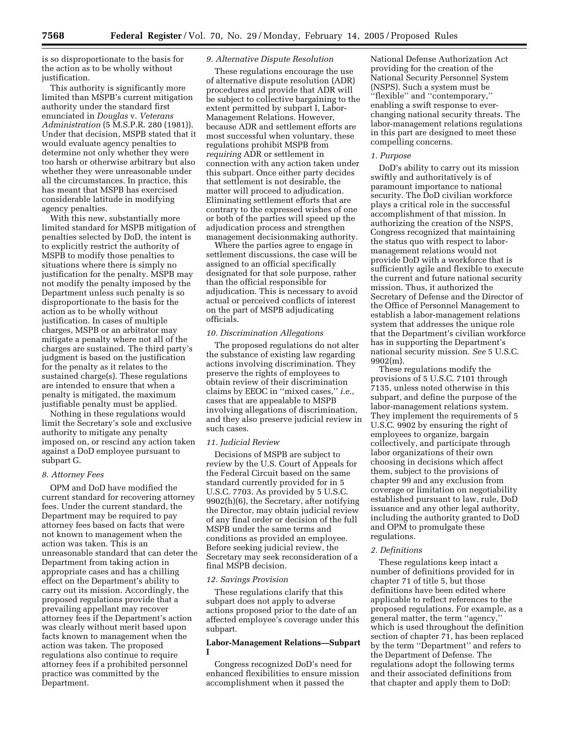is so disproportionate to the basis for the action as to be wholly without justification.

This authority is significantly more limited than MSPB's current mitigation authority under the standard first enunciated in *Douglas* v. *Veterans Administration* (5 M.S.P.R. 280 (1981)). Under that decision, MSPB stated that it would evaluate agency penalties to determine not only whether they were too harsh or otherwise arbitrary but also whether they were unreasonable under all the circumstances. In practice, this has meant that MSPB has exercised considerable latitude in modifying agency penalties.

With this new, substantially more limited standard for MSPB mitigation of penalties selected by DoD, the intent is to explicitly restrict the authority of MSPB to modify those penalties to situations where there is simply no justification for the penalty. MSPB may not modify the penalty imposed by the Department unless such penalty is so disproportionate to the basis for the action as to be wholly without justification. In cases of multiple charges, MSPB or an arbitrator may mitigate a penalty where not all of the charges are sustained. The third party's judgment is based on the justification for the penalty as it relates to the sustained charge(s). These regulations are intended to ensure that when a penalty is mitigated, the maximum justifiable penalty must be applied.

Nothing in these regulations would limit the Secretary's sole and exclusive authority to mitigate any penalty imposed on, or rescind any action taken against a DoD employee pursuant to subpart G.

## *8. Attorney Fees*

OPM and DoD have modified the current standard for recovering attorney fees. Under the current standard, the Department may be required to pay attorney fees based on facts that were not known to management when the action was taken. This is an unreasonable standard that can deter the Department from taking action in appropriate cases and has a chilling effect on the Department's ability to carry out its mission. Accordingly, the proposed regulations provide that a prevailing appellant may recover attorney fees if the Department's action was clearly without merit based upon facts known to management when the action was taken. The proposed regulations also continue to require attorney fees if a prohibited personnel practice was committed by the Department.

#### *9. Alternative Dispute Resolution*

These regulations encourage the use of alternative dispute resolution (ADR) procedures and provide that ADR will be subject to collective bargaining to the extent permitted by subpart I, Labor-Management Relations. However, because ADR and settlement efforts are most successful when voluntary, these regulations prohibit MSPB from *requiring* ADR or settlement in connection with any action taken under this subpart. Once either party decides that settlement is not desirable, the matter will proceed to adjudication. Eliminating settlement efforts that are contrary to the expressed wishes of one or both of the parties will speed up the adjudication process and strengthen management decisionmaking authority.

Where the parties agree to engage in settlement discussions, the case will be assigned to an official specifically designated for that sole purpose, rather than the official responsible for adjudication. This is necessary to avoid actual or perceived conflicts of interest on the part of MSPB adjudicating officials.

#### *10. Discrimination Allegations*

The proposed regulations do not alter the substance of existing law regarding actions involving discrimination. They preserve the rights of employees to obtain review of their discrimination claims by EEOC in ''mixed cases,'' *i.e.*, cases that are appealable to MSPB involving allegations of discrimination, and they also preserve judicial review in such cases.

## *11. Judicial Review*

Decisions of MSPB are subject to review by the U.S. Court of Appeals for the Federal Circuit based on the same standard currently provided for in 5 U.S.C. 7703. As provided by 5 U.S.C. 9902(h)(6), the Secretary, after notifying the Director, may obtain judicial review of any final order or decision of the full MSPB under the same terms and conditions as provided an employee. Before seeking judicial review, the Secretary may seek reconsideration of a final MSPB decision.

## *12. Savings Provision*

These regulations clarify that this subpart does not apply to adverse actions proposed prior to the date of an affected employee's coverage under this subpart.

## **Labor-Management Relations—Subpart I**

Congress recognized DoD's need for enhanced flexibilities to ensure mission accomplishment when it passed the

National Defense Authorization Act providing for the creation of the National Security Personnel System (NSPS). Such a system must be ''flexible'' and ''contemporary,'' enabling a swift response to everchanging national security threats. The labor-management relations regulations in this part are designed to meet these compelling concerns.

#### *1. Purpose*

DoD's ability to carry out its mission swiftly and authoritatively is of paramount importance to national security. The DoD civilian workforce plays a critical role in the successful accomplishment of that mission. In authorizing the creation of the NSPS, Congress recognized that maintaining the status quo with respect to labormanagement relations would not provide DoD with a workforce that is sufficiently agile and flexible to execute the current and future national security mission. Thus, it authorized the Secretary of Defense and the Director of the Office of Personnel Management to establish a labor-management relations system that addresses the unique role that the Department's civilian workforce has in supporting the Department's national security mission. *See* 5 U.S.C. 9902(m).

These regulations modify the provisions of 5 U.S.C. 7101 through 7135, unless noted otherwise in this subpart, and define the purpose of the labor-management relations system. They implement the requirements of 5 U.S.C. 9902 by ensuring the right of employees to organize, bargain collectively, and participate through labor organizations of their own choosing in decisions which affect them, subject to the provisions of chapter 99 and any exclusion from coverage or limitation on negotiability established pursuant to law, rule, DoD issuance and any other legal authority, including the authority granted to DoD and OPM to promulgate these regulations.

## *2. Definitions*

These regulations keep intact a number of definitions provided for in chapter 71 of title 5, but those definitions have been edited where applicable to reflect references to the proposed regulations. For example, as a general matter, the term ''agency,'' which is used throughout the definition section of chapter 71, has been replaced by the term ''Department'' and refers to the Department of Defense. The regulations adopt the following terms and their associated definitions from that chapter and apply them to DoD: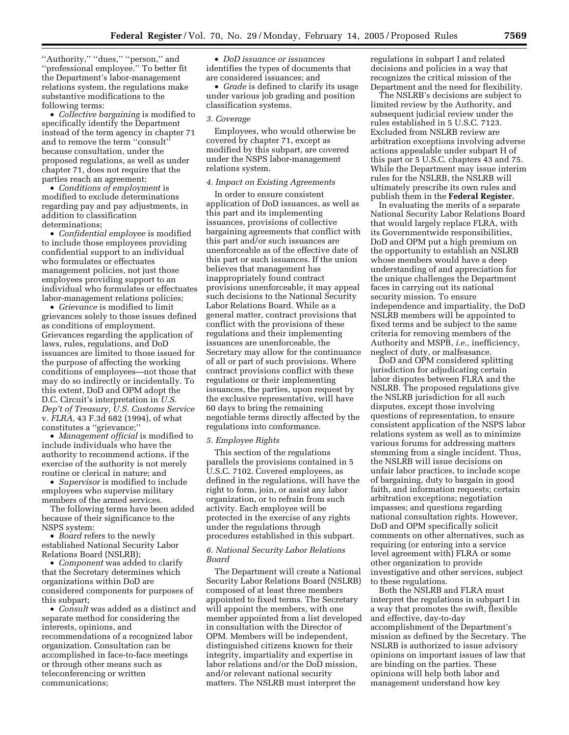"Authority," "dues," "person," and ''professional employee.'' To better fit the Department's labor-management relations system, the regulations make substantive modifications to the following terms:

• *Collective bargaining* is modified to specifically identify the Department instead of the term agency in chapter 71 and to remove the term ''consult'' because consultation, under the proposed regulations, as well as under chapter 71, does not require that the parties reach an agreement;

• *Conditions of employment* is modified to exclude determinations regarding pay and pay adjustments, in addition to classification determinations;

• *Confidential employee* is modified to include those employees providing confidential support to an individual who formulates or effectuates management policies, not just those employees providing support to an individual who formulates or effectuates labor-management relations policies;

• *Grievance* is modified to limit grievances solely to those issues defined as conditions of employment. Grievances regarding the application of laws, rules, regulations, and DoD issuances are limited to those issued for the purpose of affecting the working conditions of employees—not those that may do so indirectly or incidentally. To this extent, DoD and OPM adopt the D.C. Circuit's interpretation in *U.S. Dep't of Treasury, U.S. Customs Service* v. *FLRA,* 43 F.3d 682 (1994), of what constitutes a ''grievance;''

• *Management official* is modified to include individuals who have the authority to recommend actions, if the exercise of the authority is not merely routine or clerical in nature; and

• *Supervisor* is modified to include employees who supervise military members of the armed services.

The following terms have been added because of their significance to the NSPS system:

• *Board* refers to the newly established National Security Labor Relations Board (NSLRB);

• *Component* was added to clarify that the Secretary determines which organizations within DoD are considered components for purposes of this subpart;

• *Consult* was added as a distinct and separate method for considering the interests, opinions, and recommendations of a recognized labor organization. Consultation can be accomplished in face-to-face meetings or through other means such as teleconferencing or written communications;

• *DoD issuance or issuances* identifies the types of documents that are considered issuances; and

• *Grade* is defined to clarify its usage under various job grading and position classification systems.

#### *3. Coverage*

Employees, who would otherwise be covered by chapter 71, except as modified by this subpart, are covered under the NSPS labor-management relations system.

## *4. Impact on Existing Agreements*

In order to ensure consistent application of DoD issuances, as well as this part and its implementing issuances, provisions of collective bargaining agreements that conflict with this part and/or such issuances are unenforceable as of the effective date of this part or such issuances. If the union believes that management has inappropriately found contract provisions unenforceable, it may appeal such decisions to the National Security Labor Relations Board. While as a general matter, contract provisions that conflict with the provisions of these regulations and their implementing issuances are unenforceable, the Secretary may allow for the continuance of all or part of such provisions. Where contract provisions conflict with these regulations or their implementing issuances, the parties, upon request by the exclusive representative, will have 60 days to bring the remaining negotiable terms directly affected by the regulations into conformance.

## *5. Employee Rights*

This section of the regulations parallels the provisions contained in 5 U.S.C. 7102. Covered employees, as defined in the regulations, will have the right to form, join, or assist any labor organization, or to refrain from such activity. Each employee will be protected in the exercise of any rights under the regulations through procedures established in this subpart.

## *6. National Security Labor Relations Board*

The Department will create a National Security Labor Relations Board (NSLRB) composed of at least three members appointed to fixed terms. The Secretary will appoint the members, with one member appointed from a list developed in consultation with the Director of OPM. Members will be independent, distinguished citizens known for their integrity, impartiality and expertise in labor relations and/or the DoD mission, and/or relevant national security matters. The NSLRB must interpret the

regulations in subpart I and related decisions and policies in a way that recognizes the critical mission of the Department and the need for flexibility.

The NSLRB's decisions are subject to limited review by the Authority, and subsequent judicial review under the rules established in 5 U.S.C. 7123. Excluded from NSLRB review are arbitration exceptions involving adverse actions appealable under subpart H of this part or 5 U.S.C. chapters 43 and 75. While the Department may issue interim rules for the NSLRB, the NSLRB will ultimately prescribe its own rules and publish them in the **Federal Register.**

In evaluating the merits of a separate National Security Labor Relations Board that would largely replace FLRA, with its Governmentwide responsibilities, DoD and OPM put a high premium on the opportunity to establish an NSLRB whose members would have a deep understanding of and appreciation for the unique challenges the Department faces in carrying out its national security mission. To ensure independence and impartiality, the DoD NSLRB members will be appointed to fixed terms and be subject to the same criteria for removing members of the Authority and MSPB, *i.e.,* inefficiency, neglect of duty, or malfeasance.

DoD and OPM considered splitting jurisdiction for adjudicating certain labor disputes between FLRA and the NSLRB. The proposed regulations give the NSLRB jurisdiction for all such disputes, except those involving questions of representation, to ensure consistent application of the NSPS labor relations system as well as to minimize various forums for addressing matters stemming from a single incident. Thus, the NSLRB will issue decisions on unfair labor practices, to include scope of bargaining, duty to bargain in good faith, and information requests; certain arbitration exceptions; negotiation impasses; and questions regarding national consultation rights. However, DoD and OPM specifically solicit comments on other alternatives, such as requiring (or entering into a service level agreement with) FLRA or some other organization to provide investigative and other services, subject to these regulations.

Both the NSLRB and FLRA must interpret the regulations in subpart I in a way that promotes the swift, flexible and effective, day-to-day accomplishment of the Department's mission as defined by the Secretary. The NSLRB is authorized to issue advisory opinions on important issues of law that are binding on the parties. These opinions will help both labor and management understand how key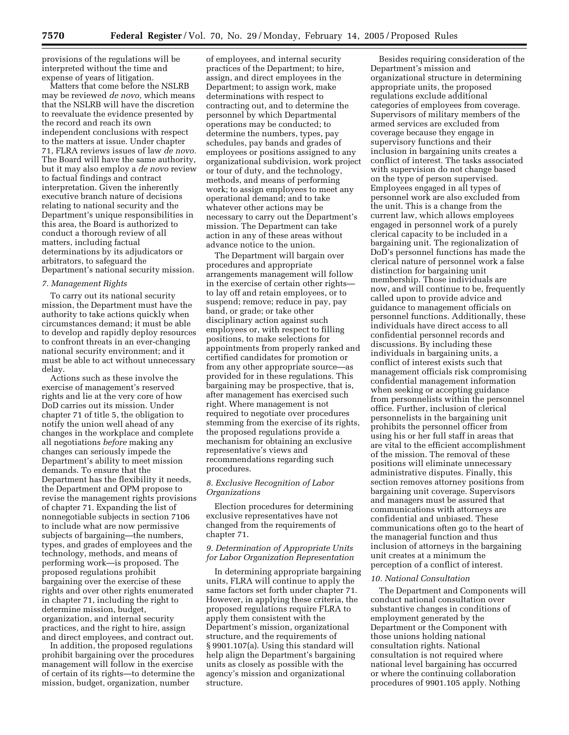provisions of the regulations will be interpreted without the time and expense of years of litigation.

Matters that come before the NSLRB may be reviewed *de novo,* which means that the NSLRB will have the discretion to reevaluate the evidence presented by the record and reach its own independent conclusions with respect to the matters at issue. Under chapter 71, FLRA reviews issues of law *de novo.* The Board will have the same authority, but it may also employ a *de novo* review to factual findings and contract interpretation. Given the inherently executive branch nature of decisions relating to national security and the Department's unique responsibilities in this area, the Board is authorized to conduct a thorough review of all matters, including factual determinations by its adjudicators or arbitrators, to safeguard the Department's national security mission.

## *7. Management Rights*

To carry out its national security mission, the Department must have the authority to take actions quickly when circumstances demand; it must be able to develop and rapidly deploy resources to confront threats in an ever-changing national security environment; and it must be able to act without unnecessary delay.

Actions such as these involve the exercise of management's reserved rights and lie at the very core of how DoD carries out its mission. Under chapter 71 of title 5, the obligation to notify the union well ahead of any changes in the workplace and complete all negotiations *before* making any changes can seriously impede the Department's ability to meet mission demands. To ensure that the Department has the flexibility it needs, the Department and OPM propose to revise the management rights provisions of chapter 71. Expanding the list of nonnegotiable subjects in section 7106 to include what are now permissive subjects of bargaining—the numbers, types, and grades of employees and the technology, methods, and means of performing work—is proposed. The proposed regulations prohibit bargaining over the exercise of these rights and over other rights enumerated in chapter 71, including the right to determine mission, budget, organization, and internal security practices, and the right to hire, assign and direct employees, and contract out.

In addition, the proposed regulations prohibit bargaining over the procedures management will follow in the exercise of certain of its rights—to determine the mission, budget, organization, number

of employees, and internal security practices of the Department; to hire, assign, and direct employees in the Department; to assign work, make determinations with respect to contracting out, and to determine the personnel by which Departmental operations may be conducted; to determine the numbers, types, pay schedules, pay bands and grades of employees or positions assigned to any organizational subdivision, work project or tour of duty, and the technology, methods, and means of performing work; to assign employees to meet any operational demand; and to take whatever other actions may be necessary to carry out the Department's mission. The Department can take action in any of these areas without advance notice to the union.

The Department will bargain over procedures and appropriate arrangements management will follow in the exercise of certain other rights to lay off and retain employees, or to suspend; remove; reduce in pay, pay band, or grade; or take other disciplinary action against such employees or, with respect to filling positions, to make selections for appointments from properly ranked and certified candidates for promotion or from any other appropriate source—as provided for in these regulations. This bargaining may be prospective, that is, after management has exercised such right. Where management is not required to negotiate over procedures stemming from the exercise of its rights, the proposed regulations provide a mechanism for obtaining an exclusive representative's views and recommendations regarding such procedures.

## *8. Exclusive Recognition of Labor Organizations*

Election procedures for determining exclusive representatives have not changed from the requirements of chapter 71.

## *9. Determination of Appropriate Units for Labor Organization Representation*

In determining appropriate bargaining units, FLRA will continue to apply the same factors set forth under chapter 71. However, in applying these criteria, the proposed regulations require FLRA to apply them consistent with the Department's mission, organizational structure, and the requirements of § 9901.107(a). Using this standard will help align the Department's bargaining units as closely as possible with the agency's mission and organizational structure.

Besides requiring consideration of the Department's mission and organizational structure in determining appropriate units, the proposed regulations exclude additional categories of employees from coverage. Supervisors of military members of the armed services are excluded from coverage because they engage in supervisory functions and their inclusion in bargaining units creates a conflict of interest. The tasks associated with supervision do not change based on the type of person supervised. Employees engaged in all types of personnel work are also excluded from the unit. This is a change from the current law, which allows employees engaged in personnel work of a purely clerical capacity to be included in a bargaining unit. The regionalization of DoD's personnel functions has made the clerical nature of personnel work a false distinction for bargaining unit membership. Those individuals are now, and will continue to be, frequently called upon to provide advice and guidance to management officials on personnel functions. Additionally, these individuals have direct access to all confidential personnel records and discussions. By including these individuals in bargaining units, a conflict of interest exists such that management officials risk compromising confidential management information when seeking or accepting guidance from personnelists within the personnel office. Further, inclusion of clerical personnelists in the bargaining unit prohibits the personnel officer from using his or her full staff in areas that are vital to the efficient accomplishment of the mission. The removal of these positions will eliminate unnecessary administrative disputes. Finally, this section removes attorney positions from bargaining unit coverage. Supervisors and managers must be assured that communications with attorneys are confidential and unbiased. These communications often go to the heart of the managerial function and thus inclusion of attorneys in the bargaining unit creates at a minimum the perception of a conflict of interest.

#### *10. National Consultation*

The Department and Components will conduct national consultation over substantive changes in conditions of employment generated by the Department or the Component with those unions holding national consultation rights. National consultation is not required where national level bargaining has occurred or where the continuing collaboration procedures of 9901.105 apply. Nothing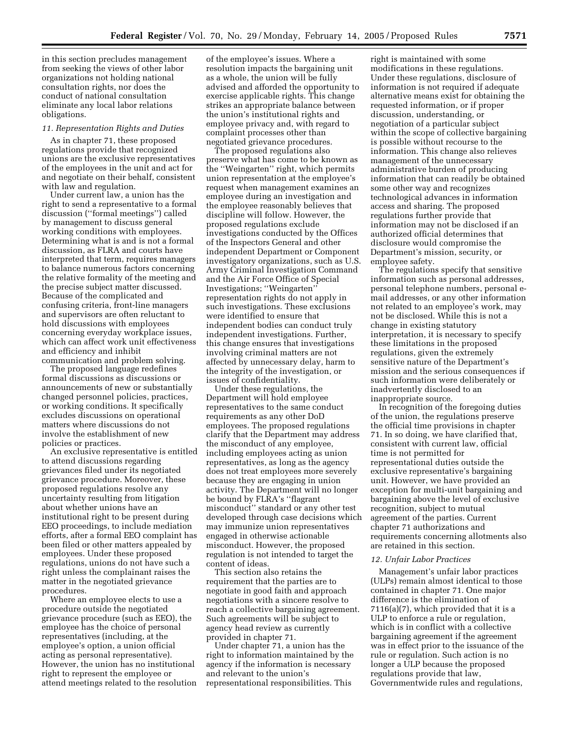in this section precludes management from seeking the views of other labor organizations not holding national consultation rights, nor does the conduct of national consultation eliminate any local labor relations obligations.

#### *11. Representation Rights and Duties*

As in chapter 71, these proposed regulations provide that recognized unions are the exclusive representatives of the employees in the unit and act for and negotiate on their behalf, consistent with law and regulation.

Under current law, a union has the right to send a representative to a formal discussion (''formal meetings'') called by management to discuss general working conditions with employees. Determining what is and is not a formal discussion, as FLRA and courts have interpreted that term, requires managers to balance numerous factors concerning the relative formality of the meeting and the precise subject matter discussed. Because of the complicated and confusing criteria, front-line managers and supervisors are often reluctant to hold discussions with employees concerning everyday workplace issues, which can affect work unit effectiveness and efficiency and inhibit communication and problem solving.

The proposed language redefines formal discussions as discussions or announcements of new or substantially changed personnel policies, practices, or working conditions. It specifically excludes discussions on operational matters where discussions do not involve the establishment of new policies or practices.

An exclusive representative is entitled to attend discussions regarding grievances filed under its negotiated grievance procedure. Moreover, these proposed regulations resolve any uncertainty resulting from litigation about whether unions have an institutional right to be present during EEO proceedings, to include mediation efforts, after a formal EEO complaint has been filed or other matters appealed by employees. Under these proposed regulations, unions do not have such a right unless the complainant raises the matter in the negotiated grievance procedures.

Where an employee elects to use a procedure outside the negotiated grievance procedure (such as EEO), the employee has the choice of personal representatives (including, at the employee's option, a union official acting as personal representative). However, the union has no institutional right to represent the employee or attend meetings related to the resolution

of the employee's issues. Where a resolution impacts the bargaining unit as a whole, the union will be fully advised and afforded the opportunity to exercise applicable rights. This change strikes an appropriate balance between the union's institutional rights and employee privacy and, with regard to complaint processes other than negotiated grievance procedures.

The proposed regulations also preserve what has come to be known as the ''Weingarten'' right, which permits union representation at the employee's request when management examines an employee during an investigation and the employee reasonably believes that discipline will follow. However, the proposed regulations exclude investigations conducted by the Offices of the Inspectors General and other independent Department or Component investigatory organizations, such as U.S. Army Criminal Investigation Command and the Air Force Office of Special Investigations; ''Weingarten'' representation rights do not apply in such investigations. These exclusions were identified to ensure that independent bodies can conduct truly independent investigations. Further, this change ensures that investigations involving criminal matters are not affected by unnecessary delay, harm to the integrity of the investigation, or issues of confidentiality.

Under these regulations, the Department will hold employee representatives to the same conduct requirements as any other DoD employees. The proposed regulations clarify that the Department may address the misconduct of any employee, including employees acting as union representatives, as long as the agency does not treat employees more severely because they are engaging in union activity. The Department will no longer be bound by FLRA's ''flagrant misconduct'' standard or any other test developed through case decisions which may immunize union representatives engaged in otherwise actionable misconduct. However, the proposed regulation is not intended to target the content of ideas.

This section also retains the requirement that the parties are to negotiate in good faith and approach negotiations with a sincere resolve to reach a collective bargaining agreement. Such agreements will be subject to agency head review as currently provided in chapter 71.

Under chapter 71, a union has the right to information maintained by the agency if the information is necessary and relevant to the union's representational responsibilities. This

right is maintained with some modifications in these regulations. Under these regulations, disclosure of information is not required if adequate alternative means exist for obtaining the requested information, or if proper discussion, understanding, or negotiation of a particular subject within the scope of collective bargaining is possible without recourse to the information. This change also relieves management of the unnecessary administrative burden of producing information that can readily be obtained some other way and recognizes technological advances in information access and sharing. The proposed regulations further provide that information may not be disclosed if an authorized official determines that disclosure would compromise the Department's mission, security, or employee safety.

The regulations specify that sensitive information such as personal addresses, personal telephone numbers, personal email addresses, or any other information not related to an employee's work, may not be disclosed. While this is not a change in existing statutory interpretation, it is necessary to specify these limitations in the proposed regulations, given the extremely sensitive nature of the Department's mission and the serious consequences if such information were deliberately or inadvertently disclosed to an inappropriate source.

In recognition of the foregoing duties of the union, the regulations preserve the official time provisions in chapter 71. In so doing, we have clarified that, consistent with current law, official time is not permitted for representational duties outside the exclusive representative's bargaining unit. However, we have provided an exception for multi-unit bargaining and bargaining above the level of exclusive recognition, subject to mutual agreement of the parties. Current chapter 71 authorizations and requirements concerning allotments also are retained in this section.

#### *12. Unfair Labor Practices*

Management's unfair labor practices (ULPs) remain almost identical to those contained in chapter 71. One major difference is the elimination of 7116(a)(7), which provided that it is a ULP to enforce a rule or regulation, which is in conflict with a collective bargaining agreement if the agreement was in effect prior to the issuance of the rule or regulation. Such action is no longer a ULP because the proposed regulations provide that law, Governmentwide rules and regulations,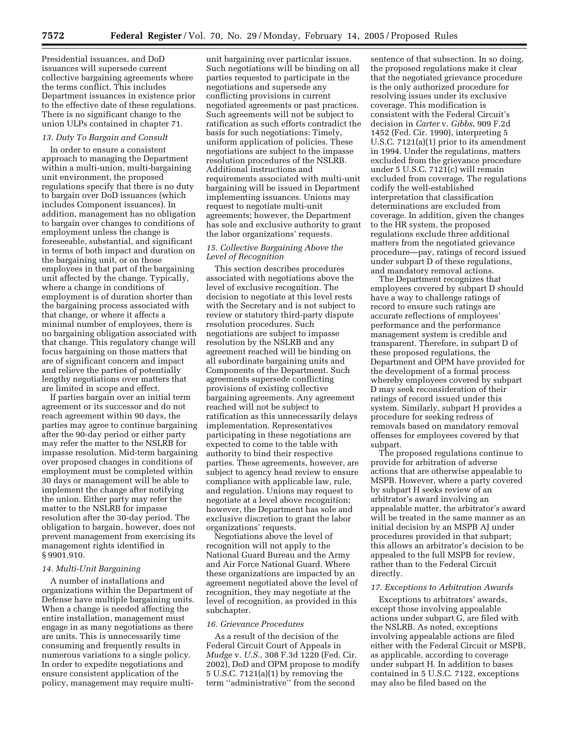Presidential issuances, and DoD issuances will supersede current collective bargaining agreements where the terms conflict. This includes Department issuances in existence prior to the effective date of these regulations. There is no significant change to the union ULPs contained in chapter 71.

## *13. Duty To Bargain and Consult*

In order to ensure a consistent approach to managing the Department within a multi-union, multi-bargaining unit environment, the proposed regulations specify that there is no duty to bargain over DoD issuances (which includes Component issuances). In addition, management has no obligation to bargain over changes to conditions of employment unless the change is foreseeable, substantial, and significant in terms of both impact and duration on the bargaining unit, or on those employees in that part of the bargaining unit affected by the change. Typically, where a change in conditions of employment is of duration shorter than the bargaining process associated with that change, or where it affects a minimal number of employees, there is no bargaining obligation associated with that change. This regulatory change will focus bargaining on those matters that are of significant concern and impact and relieve the parties of potentially lengthy negotiations over matters that are limited in scope and effect.

If parties bargain over an initial term agreement or its successor and do not reach agreement within 90 days, the parties may agree to continue bargaining after the 90-day period or either party may refer the matter to the NSLRB for impasse resolution. Mid-term bargaining over proposed changes in conditions of employment must be completed within 30 days or management will be able to implement the change after notifying the union. Either party may refer the matter to the NSLRB for impasse resolution after the 30-day period. The obligation to bargain, however, does not prevent management from exercising its management rights identified in § 9901.910.

#### *14. Multi-Unit Bargaining*

A number of installations and organizations within the Department of Defense have multiple bargaining units. When a change is needed affecting the entire installation, management must engage in as many negotiations as there are units. This is unnecessarily time consuming and frequently results in numerous variations to a single policy. In order to expedite negotiations and ensure consistent application of the policy, management may require multi-

unit bargaining over particular issues. Such negotiations will be binding on all parties requested to participate in the negotiations and supersede any conflicting provisions in current negotiated agreements or past practices. Such agreements will not be subject to ratification as such efforts contradict the basis for such negotiations: Timely, uniform application of policies. These negotiations are subject to the impasse resolution procedures of the NSLRB. Additional instructions and requirements associated with multi-unit bargaining will be issued in Department implementing issuances. Unions may request to negotiate multi-unit agreements; however, the Department has sole and exclusive authority to grant the labor organizations' requests.

## *15. Collective Bargaining Above the Level of Recognition*

This section describes procedures associated with negotiations above the level of exclusive recognition. The decision to negotiate at this level rests with the Secretary and is not subject to review or statutory third-party dispute resolution procedures. Such negotiations are subject to impasse resolution by the NSLRB and any agreement reached will be binding on all subordinate bargaining units and Components of the Department. Such agreements supersede conflicting provisions of existing collective bargaining agreements. Any agreement reached will not be subject to ratification as this unnecessarily delays implementation. Representatives participating in these negotiations are expected to come to the table with authority to bind their respective parties. These agreements, however, are subject to agency head review to ensure compliance with applicable law, rule, and regulation. Unions may request to negotiate at a level above recognition; however, the Department has sole and exclusive discretion to grant the labor organizations' requests.

Negotiations above the level of recognition will not apply to the National Guard Bureau and the Army and Air Force National Guard. Where these organizations are impacted by an agreement negotiated above the level of recognition, they may negotiate at the level of recognition, as provided in this subchapter.

#### *16. Grievance Procedures*

As a result of the decision of the Federal Circuit Court of Appeals in *Mudge* v. *U.S.*, 308 F.3d 1220 (Fed. Cir. 2002), DoD and OPM propose to modify 5 U.S.C. 7121(a)(1) by removing the term ''administrative'' from the second

sentence of that subsection. In so doing, the proposed regulations make it clear that the negotiated grievance procedure is the only authorized procedure for resolving issues under its exclusive coverage. This modification is consistent with the Federal Circuit's decision in *Carter* v. *Gibbs*, 909 F.2d 1452 (Fed. Cir. 1990), interpreting 5 U.S.C. 7121(a)(1) prior to its amendment in 1994. Under the regulations, matters excluded from the grievance procedure under 5 U.S.C. 7121(c) will remain excluded from coverage. The regulations codify the well-established interpretation that classification determinations are excluded from coverage. In addition, given the changes to the HR system, the proposed regulations exclude three additional matters from the negotiated grievance procedure—pay, ratings of record issued under subpart D of these regulations, and mandatory removal actions.

The Department recognizes that employees covered by subpart D should have a way to challenge ratings of record to ensure such ratings are accurate reflections of employees' performance and the performance management system is credible and transparent. Therefore, in subpart D of these proposed regulations, the Department and OPM have provided for the development of a formal process whereby employees covered by subpart D may seek reconsideration of their ratings of record issued under this system. Similarly, subpart H provides a procedure for seeking redress of removals based on mandatory removal offenses for employees covered by that subpart.

The proposed regulations continue to provide for arbitration of adverse actions that are otherwise appealable to MSPB. However, where a party covered by subpart H seeks review of an arbitrator's award involving an appealable matter, the arbitrator's award will be treated in the same manner as an initial decision by an MSPB AJ under procedures provided in that subpart; this allows an arbitrator's decision to be appealed to the full MSPB for review, rather than to the Federal Circuit directly.

## *17. Exceptions to Arbitration Awards*

Exceptions to arbitrators' awards, except those involving appealable actions under subpart G, are filed with the NSLRB. As noted, exceptions involving appealable actions are filed either with the Federal Circuit or MSPB, as applicable, according to coverage under subpart H. In addition to bases contained in 5 U.S.C. 7122, exceptions may also be filed based on the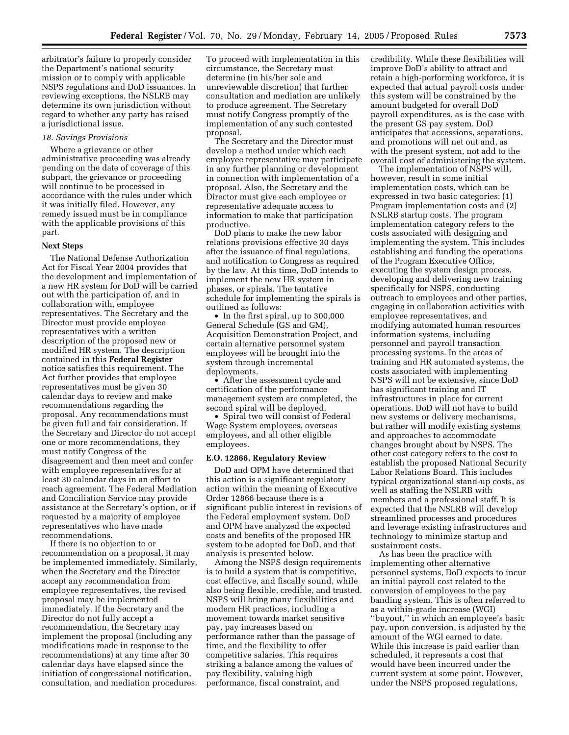arbitrator's failure to properly consider the Department's national security mission or to comply with applicable NSPS regulations and DoD issuances. In reviewing exceptions, the NSLRB may determine its own jurisdiction without regard to whether any party has raised a jurisdictional issue.

## *18. Savings Provisions*

Where a grievance or other administrative proceeding was already pending on the date of coverage of this subpart, the grievance or proceeding will continue to be processed in accordance with the rules under which it was initially filed. However, any remedy issued must be in compliance with the applicable provisions of this part.

#### **Next Steps**

The National Defense Authorization Act for Fiscal Year 2004 provides that the development and implementation of a new HR system for DoD will be carried out with the participation of, and in collaboration with, employee representatives. The Secretary and the Director must provide employee representatives with a written description of the proposed new or modified HR system. The description contained in this **Federal Register** notice satisfies this requirement. The Act further provides that employee representatives must be given 30 calendar days to review and make recommendations regarding the proposal. Any recommendations must be given full and fair consideration. If the Secretary and Director do not accept one or more recommendations, they must notify Congress of the disagreement and then meet and confer with employee representatives for at least 30 calendar days in an effort to reach agreement. The Federal Mediation and Conciliation Service may provide assistance at the Secretary's option, or if requested by a majority of employee representatives who have made recommendations.

If there is no objection to or recommendation on a proposal, it may be implemented immediately. Similarly, when the Secretary and the Director accept any recommendation from employee representatives, the revised proposal may be implemented immediately. If the Secretary and the Director do not fully accept a recommendation, the Secretary may implement the proposal (including any modifications made in response to the recommendations) at any time after 30 calendar days have elapsed since the initiation of congressional notification, consultation, and mediation procedures.

To proceed with implementation in this circumstance, the Secretary must determine (in his/her sole and unreviewable discretion) that further consultation and mediation are unlikely to produce agreement. The Secretary must notify Congress promptly of the implementation of any such contested proposal.

The Secretary and the Director must develop a method under which each employee representative may participate in any further planning or development in connection with implementation of a proposal. Also, the Secretary and the Director must give each employee or representative adequate access to information to make that participation productive.

DoD plans to make the new labor relations provisions effective 30 days after the issuance of final regulations, and notification to Congress as required by the law. At this time, DoD intends to implement the new HR system in phases, or spirals. The tentative schedule for implementing the spirals is outlined as follows:

• In the first spiral, up to 300,000 General Schedule (GS and GM), Acquisition Demonstration Project, and certain alternative personnel system employees will be brought into the system through incremental deployments.

• After the assessment cycle and certification of the performance management system are completed, the second spiral will be deployed.

• Spiral two will consist of Federal Wage System employees, overseas employees, and all other eligible employees.

#### **E.O. 12866, Regulatory Review**

DoD and OPM have determined that this action is a significant regulatory action within the meaning of Executive Order 12866 because there is a significant public interest in revisions of the Federal employment system. DoD and OPM have analyzed the expected costs and benefits of the proposed HR system to be adopted for DoD, and that analysis is presented below.

Among the NSPS design requirements is to build a system that is competitive, cost effective, and fiscally sound, while also being flexible, credible, and trusted. NSPS will bring many flexibilities and modern HR practices, including a movement towards market sensitive pay, pay increases based on performance rather than the passage of time, and the flexibility to offer competitive salaries. This requires striking a balance among the values of pay flexibility, valuing high performance, fiscal constraint, and

credibility. While these flexibilities will improve DoD's ability to attract and retain a high-performing workforce, it is expected that actual payroll costs under this system will be constrained by the amount budgeted for overall DoD payroll expenditures, as is the case with the present GS pay system. DoD anticipates that accessions, separations, and promotions will net out and, as with the present system, not add to the overall cost of administering the system.

The implementation of NSPS will, however, result in some initial implementation costs, which can be expressed in two basic categories: (1) Program implementation costs and (2) NSLRB startup costs. The program implementation category refers to the costs associated with designing and implementing the system. This includes establishing and funding the operations of the Program Executive Office, executing the system design process, developing and delivering new training specifically for NSPS, conducting outreach to employees and other parties, engaging in collaboration activities with employee representatives, and modifying automated human resources information systems, including personnel and payroll transaction processing systems. In the areas of training and HR automated systems, the costs associated with implementing NSPS will not be extensive, since DoD has significant training and IT infrastructures in place for current operations. DoD will not have to build new systems or delivery mechanisms, but rather will modify existing systems and approaches to accommodate changes brought about by NSPS. The other cost category refers to the cost to establish the proposed National Security Labor Relations Board. This includes typical organizational stand-up costs, as well as staffing the NSLRB with members and a professional staff. It is expected that the NSLRB will develop streamlined processes and procedures and leverage existing infrastructures and technology to minimize startup and sustainment costs.

As has been the practice with implementing other alternative personnel systems, DoD expects to incur an initial payroll cost related to the conversion of employees to the pay banding system. This is often referred to as a within-grade increase (WGI) ''buyout,'' in which an employee's basic pay, upon conversion, is adjusted by the amount of the WGI earned to date. While this increase is paid earlier than scheduled, it represents a cost that would have been incurred under the current system at some point. However, under the NSPS proposed regulations,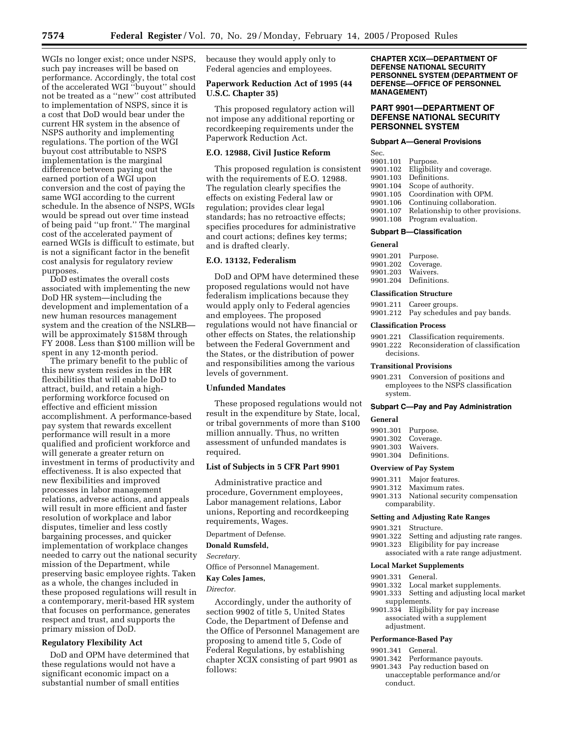WGIs no longer exist; once under NSPS, such pay increases will be based on performance. Accordingly, the total cost of the accelerated WGI ''buyout'' should not be treated as a ''new'' cost attributed to implementation of NSPS, since it is a cost that DoD would bear under the current HR system in the absence of NSPS authority and implementing regulations. The portion of the WGI buyout cost attributable to NSPS implementation is the marginal difference between paying out the earned portion of a WGI upon conversion and the cost of paying the same WGI according to the current schedule. In the absence of NSPS, WGIs would be spread out over time instead of being paid ''up front.'' The marginal cost of the accelerated payment of earned WGIs is difficult to estimate, but is not a significant factor in the benefit cost analysis for regulatory review purposes.

DoD estimates the overall costs associated with implementing the new DoD HR system—including the development and implementation of a new human resources management system and the creation of the NSLRB will be approximately \$158M through FY 2008. Less than \$100 million will be spent in any 12-month period.

The primary benefit to the public of this new system resides in the HR flexibilities that will enable DoD to attract, build, and retain a highperforming workforce focused on effective and efficient mission accomplishment. A performance-based pay system that rewards excellent performance will result in a more qualified and proficient workforce and will generate a greater return on investment in terms of productivity and effectiveness. It is also expected that new flexibilities and improved processes in labor management relations, adverse actions, and appeals will result in more efficient and faster resolution of workplace and labor disputes, timelier and less costly bargaining processes, and quicker implementation of workplace changes needed to carry out the national security mission of the Department, while preserving basic employee rights. Taken as a whole, the changes included in these proposed regulations will result in a contemporary, merit-based HR system that focuses on performance, generates respect and trust, and supports the primary mission of DoD.

## **Regulatory Flexibility Act**

DoD and OPM have determined that these regulations would not have a significant economic impact on a substantial number of small entities

because they would apply only to Federal agencies and employees.

## **Paperwork Reduction Act of 1995 (44 U.S.C. Chapter 35)**

This proposed regulatory action will not impose any additional reporting or recordkeeping requirements under the Paperwork Reduction Act.

## **E.O. 12988, Civil Justice Reform**

This proposed regulation is consistent with the requirements of E.O. 12988. The regulation clearly specifies the effects on existing Federal law or regulation; provides clear legal standards; has no retroactive effects; specifies procedures for administrative and court actions; defines key terms; and is drafted clearly.

## **E.O. 13132, Federalism**

DoD and OPM have determined these proposed regulations would not have federalism implications because they would apply only to Federal agencies and employees. The proposed regulations would not have financial or other effects on States, the relationship between the Federal Government and the States, or the distribution of power and responsibilities among the various levels of government.

#### **Unfunded Mandates**

These proposed regulations would not result in the expenditure by State, local, or tribal governments of more than \$100 million annually. Thus, no written assessment of unfunded mandates is required.

#### **List of Subjects in 5 CFR Part 9901**

Administrative practice and procedure, Government employees, Labor management relations, Labor unions, Reporting and recordkeeping requirements, Wages.

## Department of Defense.

## **Donald Rumsfeld,**

*Secretary.* 

Office of Personnel Management.

## **Kay Coles James,**

*Director.*

Accordingly, under the authority of section 9902 of title 5, United States Code, the Department of Defense and the Office of Personnel Management are proposing to amend title 5, Code of Federal Regulations, by establishing chapter XCIX consisting of part 9901 as follows:

**CHAPTER XCIX—DEPARTMENT OF DEFENSE NATIONAL SECURITY PERSONNEL SYSTEM (DEPARTMENT OF DEFENSE—OFFICE OF PERSONNEL MANAGEMENT)**

## **PART 9901—DEPARTMENT OF DEFENSE NATIONAL SECURITY PERSONNEL SYSTEM**

#### **Subpart A—General Provisions**

| Sec.              |                                   |
|-------------------|-----------------------------------|
| 9901.101 Purpose. |                                   |
| 9901.102          | Eligibility and coverage.         |
| 9901.103          | Definitions.                      |
| 9901.104          | Scope of authority.               |
| 9901.105          | Coordination with OPM.            |
| 9901.106          | Continuing collaboration.         |
| 9901.107          | Relationship to other provisions. |
| 9901.108          | Program evaluation.               |

#### **Subpart B—Classification**

#### **General**

9901.201 Purpose. 9901.202 Coverage.<br>9901.203 Waivers. 9901.203 9901.204 Definitions.

#### **Classification Structure**

| 9901.211 Career groups.               |
|---------------------------------------|
| 9901.212 Pay schedules and pay bands. |

#### **Classification Process**

9901.221 Classification requirements.

9901.222 Reconsideration of classification decisions.

#### **Transitional Provisions**

9901.231 Conversion of positions and employees to the NSPS classification system.

## **Subpart C—Pay and Pay Administration**

## **General**

| 9901.301 Purpose. |              |
|-------------------|--------------|
| 9901.302          | Coverage.    |
| 9901.303          | Waivers.     |
| 9901.304          | Definitions. |

#### **Overview of Pay System**

- 9901.311 Major features.
- 9901.312 Maximum rates.
- 9901.313 National security compensation comparability.

#### **Setting and Adjusting Rate Ranges**

| 9901.321 Structure. |  |  |  |  |
|---------------------|--|--|--|--|
|---------------------|--|--|--|--|

- 9901.322 Setting and adjusting rate ranges.
- 9901.323 Eligibility for pay increase
	- associated with a rate range adjustment.

## **Local Market Supplements**

- 9901.331 General.
- 9901.332 Local market supplements.
- 9901.333 Setting and adjusting local market supplements.
- 9901.334 Eligibility for pay increase associated with a supplement adjustment.

## **Performance-Based Pay**

- 9901.341 General.
- 9901.342 Performance payouts.
- 9901.343 Pay reduction based on unacceptable performance and/or conduct.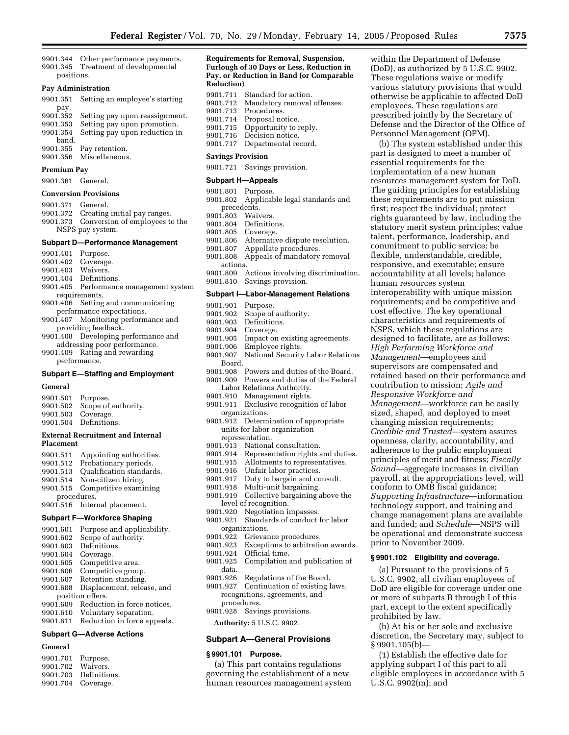9901.344 Other performance payments. 9901.345 Treatment of developmental positions.

#### **Pay Administration**

| 9901.351 | Setting an employee's starting |
|----------|--------------------------------|
| pay.     |                                |
| 9901.352 | Setting pay upon reassignment. |
| 9901.353 | Setting pay upon promotion.    |
| 9901.354 | Setting pay upon reduction in  |
| band.    |                                |
| 9901.355 | Pay retention.                 |
| 9901.356 | Miscellaneous.                 |
|          |                                |

#### **Premium Pay**

#### 9901.361 General.

#### **Conversion Provisions**

- 9901.371 General.
- 9901.372 Creating initial pay ranges. 9901.373 Conversion of employees to the
- NSPS pay system.

#### **Subpart D—Performance Management**

| 9901.401          | Purpose.                               |
|-------------------|----------------------------------------|
|                   | 9901.402 Coverage.                     |
| 9901.403 Waivers. |                                        |
|                   | 9901.404 Definitions.                  |
|                   | 9901.405 Performance management system |
|                   | requirements.                          |
|                   | 9901.406 Setting and communicating     |
|                   | performance expectations.              |
|                   | 9901.407 Monitoring performance and    |
|                   | providing feedback.                    |
|                   |                                        |

9901.408 Developing performance and addressing poor performance.

9901.409 Rating and rewarding performance.

## **Subpart E—Staffing and Employment**

## **General**

| 9901.501 Purpose.                | 9901.502 Scope of authority.<br>9901.503 Coverage.<br>9901.504 Definitions. |  |
|----------------------------------|-----------------------------------------------------------------------------|--|
| Entered Becausting and and Inter |                                                                             |  |

#### **External Recruitment and Internal Placement**

9901.511 Appointing authorities.<br>9901.512 Probationary periods Probationary periods. 9901.513 Qualification standards.<br>9901.514 Non-citizen hiring. Non-citizen hiring. 9901.515 Competitive examining procedures. 9901.516 Internal placement.

## **Subpart F—Workforce Shaping**

| 9901.601 | Purpose and applicability.  |
|----------|-----------------------------|
| 9901.602 | Scope of authority.         |
| 9901.603 | Definitions.                |
| 9901.604 | Coverage.                   |
| 9901.605 | Competitive area.           |
| 9901.606 | Competitive group.          |
| 9901.607 | Retention standing.         |
| 9901.608 | Displacement, release, and  |
|          | position offers.            |
| 9901.609 | Reduction in force notices. |
| 9901.610 | Voluntary separation.       |
| 9901.611 | Reduction in force appeals. |
|          |                             |

## **Subpart G—Adverse Actions**

## **General**

| 9901.701 Purpose. |                       |
|-------------------|-----------------------|
| 9901.702 Waivers. |                       |
|                   | 9901.703 Definitions. |
|                   | 9901.704 Coverage.    |

#### **Requirements for Removal, Suspension, Furlough of 30 Days or Less, Reduction in Pay, or Reduction in Band (or Comparable Reduction)**

| 9901.711                 | Standard for action.        |
|--------------------------|-----------------------------|
| 9901.712                 | Mandatory removal offenses. |
| 9901.713                 | Procedures.                 |
| 9901.714                 | Proposal notice.            |
| 9901.715                 | Opportunity to reply.       |
| 9901.716                 | Decision notice.            |
| 9901.717                 | Departmental record.        |
| <b>Savings Provision</b> |                             |

9901.721 Savings provision.

## **Subpart H—Appeals**

- 9901.801 Purpose. 9901.802 Applicable legal standards and precedents. 9901.803 Waivers.<br>9901.804 Definitio Definitions. 9901.805 Coverage.<br>9901.806 Alternativ Alternative dispute resolution. 9901.807 Appellate procedures.<br>9901.808 Appeals of mandatory Appeals of mandatory removal actions. 9901.809 Actions involving discrimination. 9901.810 Savings provision. **Subpart I—Labor-Management Relations**  9901.901 Purpose.<br>9901.902 Scope of Scope of authority. 9901.903 Definitions.<br>9901.904 Coverage. 9901.904 Coverage.<br>9901.905 Impact or Impact on existing agreements. 9901.906 Employee rights. National Security Labor Relations
- Board. 9901.908 Powers and duties of the Board.
- 9901.909 Powers and duties of the Federal Labor Relations Authority.
- 9901.910 Management rights. 9901.911 Exclusive recognition of labor
- organizations. 9901.912 Determination of appropriate
- units for labor organization representation.
- 9901.913 National consultation.
- 9901.914 Representation rights and duties.
- 9901.915 Allotments to representatives.
- 9901.916 Unfair labor practices.
- 9901.917 Duty to bargain and consult.<br>9901.918 Multi-unit bargaining.
- 9901.918 Multi-unit bargaining.<br>9901.919 Collective bargaining
- Collective bargaining above the level of recognition.
- 9901.920 Negotiation impasses.
- 9901.921 Standards of conduct for labor
- organizations.
- 9901.922 Grievance procedures.
- 9901.923 Exceptions to arbitration awards.<br>9901.924 Official time.
- 9901.924 Official time.<br>9901.925 Compilation
- Compilation and publication of data.
- 9901.926 Regulations of the Board.
- 9901.927 Continuation of existing laws, recognitions, agreements, and procedures.
- 9901.928 Savings provisions.

**Authority:** 5 U.S.C. 9902.

#### **Subpart A—General Provisions**

#### **§ 9901.101 Purpose.**

(a) This part contains regulations governing the establishment of a new human resources management system within the Department of Defense (DoD), as authorized by 5 U.S.C. 9902. These regulations waive or modify various statutory provisions that would otherwise be applicable to affected DoD employees. These regulations are prescribed jointly by the Secretary of Defense and the Director of the Office of Personnel Management (OPM).

(b) The system established under this part is designed to meet a number of essential requirements for the implementation of a new human resources management system for DoD. The guiding principles for establishing these requirements are to put mission first; respect the individual; protect rights guaranteed by law, including the statutory merit system principles; value talent, performance, leadership, and commitment to public service; be flexible, understandable, credible, responsive, and executable; ensure accountability at all levels; balance human resources system interoperability with unique mission requirements; and be competitive and cost effective. The key operational characteristics and requirements of NSPS, which these regulations are designed to facilitate, are as follows: *High Performing Workforce and Management*—employees and supervisors are compensated and retained based on their performance and contribution to mission; *Agile and Responsive Workforce and Management*—workforce can be easily sized, shaped, and deployed to meet changing mission requirements; *Credible and Trusted*—system assures openness, clarity, accountability, and adherence to the public employment principles of merit and fitness; *Fiscally Sound*—aggregate increases in civilian payroll, at the appropriations level, will conform to OMB fiscal guidance; *Supporting Infrastructure*—information technology support, and training and change management plans are available and funded; and *Schedule*—NSPS will be operational and demonstrate success prior to November 2009.

#### **§ 9901.102 Eligibility and coverage.**

(a) Pursuant to the provisions of 5 U.S.C. 9902, all civilian employees of DoD are eligible for coverage under one or more of subparts B through I of this part, except to the extent specifically prohibited by law.

(b) At his or her sole and exclusive discretion, the Secretary may, subject to § 9901.105(b)—

(1) Establish the effective date for applying subpart I of this part to all eligible employees in accordance with 5 U.S.C. 9902(m); and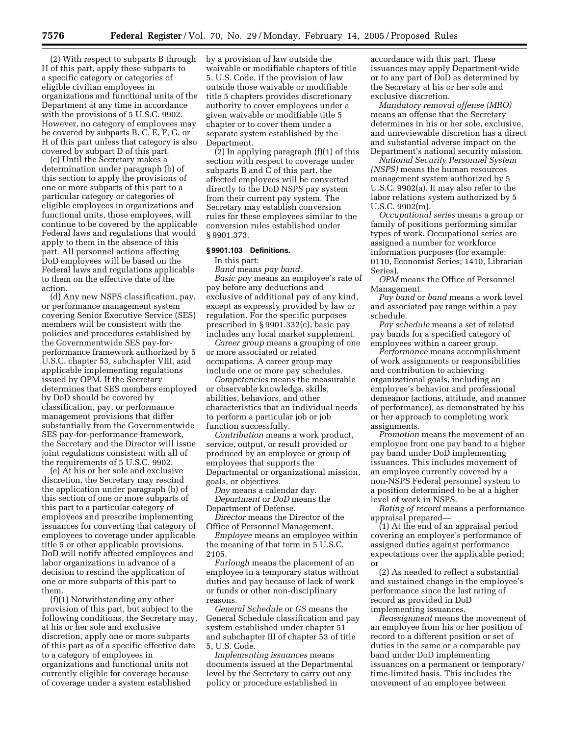(2) With respect to subparts B through H of this part, apply these subparts to a specific category or categories of eligible civilian employees in organizations and functional units of the Department at any time in accordance with the provisions of 5 U.S.C. 9902. However, no category of employees may be covered by subparts B, C, E, F, G, or H of this part unless that category is also covered by subpart D of this part.

(c) Until the Secretary makes a determination under paragraph (b) of this section to apply the provisions of one or more subparts of this part to a particular category or categories of eligible employees in organizations and functional units, those employees, will continue to be covered by the applicable Federal laws and regulations that would apply to them in the absence of this part. All personnel actions affecting DoD employees will be based on the Federal laws and regulations applicable to them on the effective date of the action.

(d) Any new NSPS classification, pay, or performance management system covering Senior Executive Service (SES) members will be consistent with the policies and procedures established by the Governmentwide SES pay-forperformance framework authorized by 5 U.S.C. chapter 53, subchapter VIII, and applicable implementing regulations issued by OPM. If the Secretary determines that SES members employed by DoD should be covered by classification, pay, or performance management provisions that differ substantially from the Governmentwide SES pay-for-performance framework, the Secretary and the Director will issue joint regulations consistent with all of the requirements of 5 U.S.C. 9902.

(e) At his or her sole and exclusive discretion, the Secretary may rescind the application under paragraph (b) of this section of one or more subparts of this part to a particular category of employees and prescribe implementing issuances for converting that category of employees to coverage under applicable title 5 or other applicable provisions. DoD will notify affected employees and labor organizations in advance of a decision to rescind the application of one or more subparts of this part to them.

(f)(1) Notwithstanding any other provision of this part, but subject to the following conditions, the Secretary may, at his or her sole and exclusive discretion, apply one or more subparts of this part as of a specific effective date to a category of employees in organizations and functional units not currently eligible for coverage because of coverage under a system established

by a provision of law outside the waivable or modifiable chapters of title 5, U.S. Code, if the provision of law outside those waivable or modifiable title 5 chapters provides discretionary authority to cover employees under a given waivable or modifiable title 5 chapter or to cover them under a separate system established by the Department.

(2) In applying paragraph (f)(1) of this section with respect to coverage under subparts B and C of this part, the affected employees will be converted directly to the DoD NSPS pay system from their current pay system. The Secretary may establish conversion rules for these employees similar to the conversion rules established under § 9901.373.

## **§ 9901.103 Definitions.**

In this part:

*Band* means *pay band. Basic pay* means an employee's rate of pay before any deductions and

exclusive of additional pay of any kind, except as expressly provided by law or regulation. For the specific purposes prescribed in § 9901.332(c), basic pay includes any local market supplement.

*Career group* means a grouping of one or more associated or related occupations. A career group may include one or more pay schedules.

*Competencies* means the measurable or observable knowledge, skills, abilities, behaviors, and other characteristics that an individual needs to perform a particular job or job function successfully.

*Contribution* means a work product, service, output, or result provided or produced by an employee or group of employees that supports the Departmental or organizational mission, goals, or objectives.

*Day* means a calendar day. *Department* or *DoD* means the Department of Defense.

*Director* means the Director of the Office of Personnel Management.

*Employee* means an employee within the meaning of that term in 5 U.S.C. 2105.

*Furlough* means the placement of an employee in a temporary status without duties and pay because of lack of work or funds or other non-disciplinary reasons.

*General Schedule* or *GS* means the General Schedule classification and pay system established under chapter 51 and subchapter III of chapter 53 of title 5, U.S. Code.

*Implementing issuances* means documents issued at the Departmental level by the Secretary to carry out any policy or procedure established in

accordance with this part. These issuances may apply Department-wide or to any part of DoD as determined by the Secretary at his or her sole and exclusive discretion.

*Mandatory removal offense (MRO)* means an offense that the Secretary determines in his or her sole, exclusive, and unreviewable discretion has a direct and substantial adverse impact on the Department's national security mission.

*National Security Personnel System (NSPS)* means the human resources management system authorized by 5 U.S.C. 9902(a). It may also refer to the labor relations system authorized by 5 U.S.C. 9902(m).

*Occupational series* means a group or family of positions performing similar types of work. Occupational series are assigned a number for workforce information purposes (for example: 0110, Economist Series; 1410, Librarian Series).

*OPM* means the Office of Personnel Management.

*Pay band* or *band* means a work level and associated pay range within a pay schedule.

*Pay schedule* means a set of related pay bands for a specified category of employees within a career group.

*Performance* means accomplishment of work assignments or responsibilities and contribution to achieving organizational goals, including an employee's behavior and professional demeanor (actions, attitude, and manner of performance), as demonstrated by his or her approach to completing work assignments.

*Promotion* means the movement of an employee from one pay band to a higher pay band under DoD implementing issuances. This includes movement of an employee currently covered by a non-NSPS Federal personnel system to a position determined to be at a higher level of work in NSPS.

*Rating of record* means a performance appraisal prepared—

(1) At the end of an appraisal period covering an employee's performance of assigned duties against performance expectations over the applicable period; or

(2) As needed to reflect a substantial and sustained change in the employee's performance since the last rating of record as provided in DoD implementing issuances.

*Reassignment* means the movement of an employee from his or her position of record to a different position or set of duties in the same or a comparable pay band under DoD implementing issuances on a permanent or temporary/ time-limited basis. This includes the movement of an employee between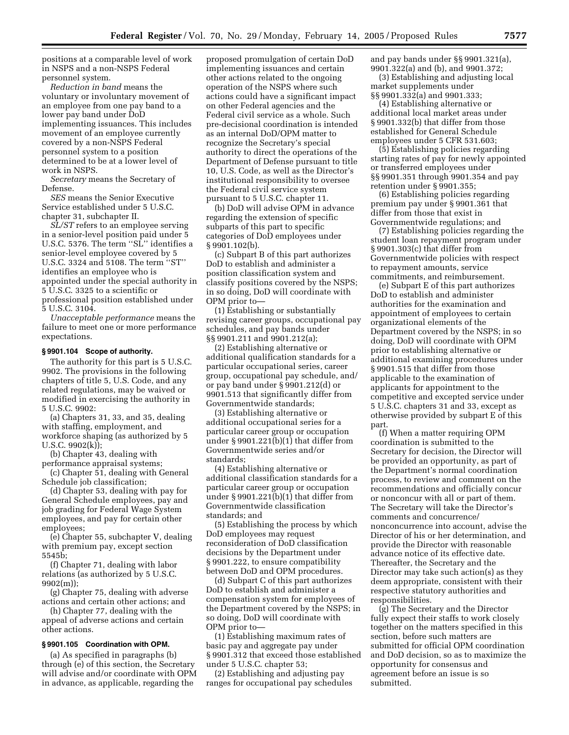positions at a comparable level of work in NSPS and a non-NSPS Federal personnel system.

*Reduction in band* means the voluntary or involuntary movement of an employee from one pay band to a lower pay band under DoD implementing issuances. This includes movement of an employee currently covered by a non-NSPS Federal personnel system to a position determined to be at a lower level of work in NSPS.

*Secretary* means the Secretary of Defense.

*SES* means the Senior Executive Service established under 5 U.S.C. chapter 31, subchapter II.

*SL/ST* refers to an employee serving in a senior-level position paid under 5 U.S.C. 5376. The term ''SL'' identifies a senior-level employee covered by 5 U.S.C. 3324 and 5108. The term ''ST'' identifies an employee who is appointed under the special authority in 5 U.S.C. 3325 to a scientific or professional position established under 5 U.S.C. 3104.

*Unacceptable performance* means the failure to meet one or more performance expectations.

#### **§ 9901.104 Scope of authority.**

The authority for this part is 5 U.S.C. 9902. The provisions in the following chapters of title 5, U.S. Code, and any related regulations, may be waived or modified in exercising the authority in 5 U.S.C. 9902:

(a) Chapters 31, 33, and 35, dealing with staffing, employment, and workforce shaping (as authorized by 5 U.S.C. 9902(k));

(b) Chapter 43, dealing with performance appraisal systems;

(c) Chapter 51, dealing with General Schedule job classification;

(d) Chapter 53, dealing with pay for General Schedule employees, pay and job grading for Federal Wage System employees, and pay for certain other employees;

(e) Chapter 55, subchapter V, dealing with premium pay, except section 5545b;

(f) Chapter 71, dealing with labor relations (as authorized by 5 U.S.C. 9902(m));

(g) Chapter 75, dealing with adverse actions and certain other actions; and

(h) Chapter 77, dealing with the appeal of adverse actions and certain other actions.

## **§ 9901.105 Coordination with OPM.**

(a) As specified in paragraphs (b) through (e) of this section, the Secretary will advise and/or coordinate with OPM in advance, as applicable, regarding the

proposed promulgation of certain DoD implementing issuances and certain other actions related to the ongoing operation of the NSPS where such actions could have a significant impact on other Federal agencies and the Federal civil service as a whole. Such pre-decisional coordination is intended as an internal DoD/OPM matter to recognize the Secretary's special authority to direct the operations of the Department of Defense pursuant to title 10, U.S. Code, as well as the Director's institutional responsibility to oversee the Federal civil service system pursuant to 5 U.S.C. chapter 11.

(b) DoD will advise OPM in advance regarding the extension of specific subparts of this part to specific categories of DoD employees under § 9901.102(b).

(c) Subpart B of this part authorizes DoD to establish and administer a position classification system and classify positions covered by the NSPS; in so doing, DoD will coordinate with OPM prior to—

(1) Establishing or substantially revising career groups, occupational pay schedules, and pay bands under §§ 9901.211 and 9901.212(a);

(2) Establishing alternative or additional qualification standards for a particular occupational series, career group, occupational pay schedule, and/ or pay band under § 9901.212(d) or 9901.513 that significantly differ from Governmentwide standards;

(3) Establishing alternative or additional occupational series for a particular career group or occupation under § 9901.221(b)(1) that differ from Governmentwide series and/or standards;

(4) Establishing alternative or additional classification standards for a particular career group or occupation under § 9901.221(b)(1) that differ from Governmentwide classification standards; and

(5) Establishing the process by which DoD employees may request reconsideration of DoD classification decisions by the Department under § 9901.222, to ensure compatibility between DoD and OPM procedures.

(d) Subpart C of this part authorizes DoD to establish and administer a compensation system for employees of the Department covered by the NSPS; in so doing, DoD will coordinate with OPM prior to—

(1) Establishing maximum rates of basic pay and aggregate pay under § 9901.312 that exceed those established under 5 U.S.C. chapter 53;

(2) Establishing and adjusting pay ranges for occupational pay schedules and pay bands under §§ 9901.321(a), 9901.322(a) and (b), and 9901.372;

(3) Establishing and adjusting local market supplements under §§ 9901.332(a) and 9901.333;

(4) Establishing alternative or additional local market areas under § 9901.332(b) that differ from those established for General Schedule employees under 5 CFR 531.603;

(5) Establishing policies regarding starting rates of pay for newly appointed or transferred employees under §§ 9901.351 through 9901.354 and pay retention under § 9901.355;

(6) Establishing policies regarding premium pay under § 9901.361 that differ from those that exist in Governmentwide regulations; and

(7) Establishing policies regarding the student loan repayment program under § 9901.303(c) that differ from Governmentwide policies with respect to repayment amounts, service commitments, and reimbursement.

(e) Subpart E of this part authorizes DoD to establish and administer authorities for the examination and appointment of employees to certain organizational elements of the Department covered by the NSPS; in so doing, DoD will coordinate with OPM prior to establishing alternative or additional examining procedures under § 9901.515 that differ from those applicable to the examination of applicants for appointment to the competitive and excepted service under 5 U.S.C. chapters 31 and 33, except as otherwise provided by subpart E of this part.

(f) When a matter requiring OPM coordination is submitted to the Secretary for decision, the Director will be provided an opportunity, as part of the Department's normal coordination process, to review and comment on the recommendations and officially concur or nonconcur with all or part of them. The Secretary will take the Director's comments and concurrence/ nonconcurrence into account, advise the Director of his or her determination, and provide the Director with reasonable advance notice of its effective date. Thereafter, the Secretary and the Director may take such action(s) as they deem appropriate, consistent with their respective statutory authorities and responsibilities.

(g) The Secretary and the Director fully expect their staffs to work closely together on the matters specified in this section, before such matters are submitted for official OPM coordination and DoD decision, so as to maximize the opportunity for consensus and agreement before an issue is so submitted.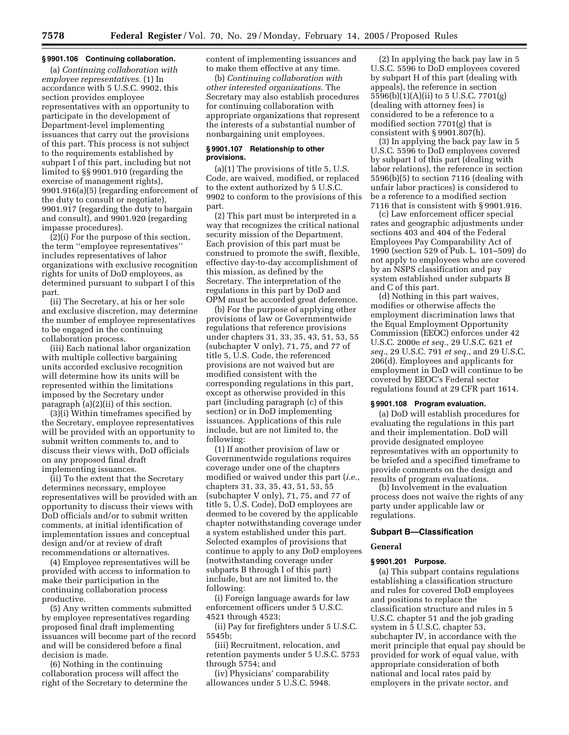## **§ 9901.106 Continuing collaboration.**

(a) *Continuing collaboration with employee representatives.* (1) In accordance with 5 U.S.C. 9902, this section provides employee representatives with an opportunity to participate in the development of Department-level implementing issuances that carry out the provisions of this part. This process is not subject to the requirements established by subpart I of this part, including but not limited to §§ 9901.910 (regarding the exercise of management rights), 9901.916(a)(5) (regarding enforcement of the duty to consult or negotiate), 9901.917 (regarding the duty to bargain and consult), and 9901.920 (regarding impasse procedures).

(2)(i) For the purpose of this section, the term ''employee representatives'' includes representatives of labor organizations with exclusive recognition rights for units of DoD employees, as determined pursuant to subpart I of this part.

(ii) The Secretary, at his or her sole and exclusive discretion, may determine the number of employee representatives to be engaged in the continuing collaboration process.

(iii) Each national labor organization with multiple collective bargaining units accorded exclusive recognition will determine how its units will be represented within the limitations imposed by the Secretary under paragraph (a)(2)(ii) of this section.

(3)(i) Within timeframes specified by the Secretary, employee representatives will be provided with an opportunity to submit written comments to, and to discuss their views with, DoD officials on any proposed final draft implementing issuances.

(ii) To the extent that the Secretary determines necessary, employee representatives will be provided with an opportunity to discuss their views with DoD officials and/or to submit written comments, at initial identification of implementation issues and conceptual design and/or at review of draft recommendations or alternatives.

(4) Employee representatives will be provided with access to information to make their participation in the continuing collaboration process productive.

(5) Any written comments submitted by employee representatives regarding proposed final draft implementing issuances will become part of the record and will be considered before a final decision is made.

(6) Nothing in the continuing collaboration process will affect the right of the Secretary to determine the content of implementing issuances and to make them effective at any time.

(b) *Continuing collaboration with other interested organizations.* The Secretary may also establish procedures for continuing collaboration with appropriate organizations that represent the interests of a substantial number of nonbargaining unit employees.

## **§ 9901.107 Relationship to other provisions.**

(a)(1) The provisions of title 5, U.S. Code, are waived, modified, or replaced to the extent authorized by 5 U.S.C. 9902 to conform to the provisions of this part.

(2) This part must be interpreted in a way that recognizes the critical national security mission of the Department. Each provision of this part must be construed to promote the swift, flexible, effective day-to-day accomplishment of this mission, as defined by the Secretary. The interpretation of the regulations in this part by DoD and OPM must be accorded great deference.

(b) For the purpose of applying other provisions of law or Governmentwide regulations that reference provisions under chapters 31, 33, 35, 43, 51, 53, 55 (subchapter V only), 71, 75, and 77 of title 5, U.S. Code, the referenced provisions are not waived but are modified consistent with the corresponding regulations in this part, except as otherwise provided in this part (including paragraph (c) of this section) or in DoD implementing issuances. Applications of this rule include, but are not limited to, the following:

(1) If another provision of law or Governmentwide regulations requires coverage under one of the chapters modified or waived under this part (*i.e.*, chapters 31, 33, 35, 43, 51, 53, 55 (subchapter V only), 71, 75, and 77 of title 5, U.S. Code), DoD employees are deemed to be covered by the applicable chapter notwithstanding coverage under a system established under this part. Selected examples of provisions that continue to apply to any DoD employees (notwithstanding coverage under subparts B through I of this part) include, but are not limited to, the following:

(i) Foreign language awards for law enforcement officers under 5 U.S.C. 4521 through 4523;

(ii) Pay for firefighters under 5 U.S.C. 5545b;

(iii) Recruitment, relocation, and retention payments under 5 U.S.C. 5753 through 5754; and

(iv) Physicians' comparability allowances under 5 U.S.C. 5948.

(2) In applying the back pay law in 5 U.S.C. 5596 to DoD employees covered by subpart H of this part (dealing with appeals), the reference in section 5596(b)(1)(A)(ii) to 5 U.S.C. 7701(g) (dealing with attorney fees) is considered to be a reference to a modified section 7701(g) that is consistent with § 9901.807(h).

(3) In applying the back pay law in 5 U.S.C. 5596 to DoD employees covered by subpart I of this part (dealing with labor relations), the reference in section 5596(b)(5) to section 7116 (dealing with unfair labor practices) is considered to be a reference to a modified section 7116 that is consistent with § 9901.916.

(c) Law enforcement officer special rates and geographic adjustments under sections 403 and 404 of the Federal Employees Pay Comparability Act of 1990 (section 529 of Pub. L. 101–509) do not apply to employees who are covered by an NSPS classification and pay system established under subparts B and C of this part.

(d) Nothing in this part waives, modifies or otherwise affects the employment discrimination laws that the Equal Employment Opportunity Commission (EEOC) enforces under 42 U.S.C. 2000e *et seq.*, 29 U.S.C. 621 *et seq.*, 29 U.S.C. 791 *et seq.*, and 29 U.S.C. 206(d). Employees and applicants for employment in DoD will continue to be covered by EEOC's Federal sector regulations found at 29 CFR part 1614.

## **§ 9901.108 Program evaluation.**

(a) DoD will establish procedures for evaluating the regulations in this part and their implementation. DoD will provide designated employee representatives with an opportunity to be briefed and a specified timeframe to provide comments on the design and results of program evaluations.

(b) Involvement in the evaluation process does not waive the rights of any party under applicable law or regulations.

## **Subpart B—Classification**

#### **General**

## **§ 9901.201 Purpose.**

(a) This subpart contains regulations establishing a classification structure and rules for covered DoD employees and positions to replace the classification structure and rules in 5 U.S.C. chapter 51 and the job grading system in 5 U.S.C. chapter 53, subchapter IV, in accordance with the merit principle that equal pay should be provided for work of equal value, with appropriate consideration of both national and local rates paid by employers in the private sector, and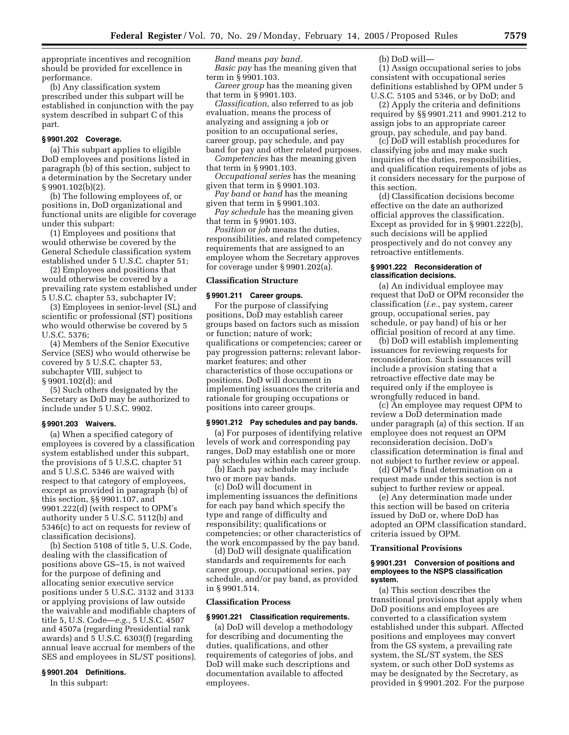appropriate incentives and recognition should be provided for excellence in performance.

(b) Any classification system prescribed under this subpart will be established in conjunction with the pay system described in subpart C of this part.

## **§ 9901.202 Coverage.**

(a) This subpart applies to eligible DoD employees and positions listed in paragraph (b) of this section, subject to a determination by the Secretary under § 9901.102(b)(2).

(b) The following employees of, or positions in, DoD organizational and functional units are eligible for coverage under this subpart:

(1) Employees and positions that would otherwise be covered by the General Schedule classification system established under 5 U.S.C. chapter 51;

(2) Employees and positions that would otherwise be covered by a prevailing rate system established under 5 U.S.C. chapter 53, subchapter IV;

(3) Employees in senior-level (SL) and scientific or professional (ST) positions who would otherwise be covered by 5 U.S.C. 5376;

(4) Members of the Senior Executive Service (SES) who would otherwise be covered by 5 U.S.C. chapter 53, subchapter VIII, subject to § 9901.102(d); and

(5) Such others designated by the Secretary as DoD may be authorized to include under 5 U.S.C. 9902.

#### **§ 9901.203 Waivers.**

(a) When a specified category of employees is covered by a classification system established under this subpart, the provisions of 5 U.S.C. chapter 51 and 5 U.S.C. 5346 are waived with respect to that category of employees, except as provided in paragraph (b) of this section, §§ 9901.107, and 9901.222(d) (with respect to OPM's authority under 5 U.S.C. 5112(b) and 5346(c) to act on requests for review of classification decisions).

(b) Section 5108 of title 5, U.S. Code, dealing with the classification of positions above GS–15, is not waived for the purpose of defining and allocating senior executive service positions under 5 U.S.C. 3132 and 3133 or applying provisions of law outside the waivable and modifiable chapters of title 5, U.S. Code—*e.g.*, 5 U.S.C. 4507 and 4507a (regarding Presidential rank awards) and 5 U.S.C. 6303(f) (regarding annual leave accrual for members of the SES and employees in SL/ST positions).

## **§ 9901.204 Definitions.**

In this subpart:

*Band* means *pay band.*

*Basic pay* has the meaning given that term in § 9901.103.

*Career group* has the meaning given that term in § 9901.103.

*Classification,* also referred to as job evaluation, means the process of analyzing and assigning a job or position to an occupational series, career group, pay schedule, and pay band for pay and other related purposes.

*Competencies* has the meaning given that term in § 9901.103.

*Occupational series* has the meaning given that term in § 9901.103.

*Pay band* or *band* has the meaning given that term in § 9901.103.

*Pay schedule* has the meaning given that term in § 9901.103.

*Position* or *job* means the duties, responsibilities, and related competency requirements that are assigned to an employee whom the Secretary approves for coverage under § 9901.202(a).

## **Classification Structure**

#### **§ 9901.211 Career groups.**

For the purpose of classifying positions, DoD may establish career groups based on factors such as mission or function; nature of work; qualifications or competencies; career or pay progression patterns; relevant labormarket features; and other characteristics of those occupations or positions. DoD will document in implementing issuances the criteria and rationale for grouping occupations or positions into career groups.

#### **§ 9901.212 Pay schedules and pay bands.**

(a) For purposes of identifying relative levels of work and corresponding pay ranges, DoD may establish one or more pay schedules within each career group.

(b) Each pay schedule may include two or more pay bands.

(c) DoD will document in implementing issuances the definitions for each pay band which specify the type and range of difficulty and responsibility; qualifications or competencies; or other characteristics of the work encompassed by the pay band.

(d) DoD will designate qualification standards and requirements for each career group, occupational series, pay schedule, and/or pay band, as provided in § 9901.514.

#### **Classification Process**

#### **§ 9901.221 Classification requirements.**

(a) DoD will develop a methodology for describing and documenting the duties, qualifications, and other requirements of categories of jobs, and DoD will make such descriptions and documentation available to affected employees.

(b) DoD will—

(1) Assign occupational series to jobs consistent with occupational series definitions established by OPM under 5 U.S.C. 5105 and 5346, or by DoD; and

(2) Apply the criteria and definitions required by §§ 9901.211 and 9901.212 to assign jobs to an appropriate career group, pay schedule, and pay band.

(c) DoD will establish procedures for classifying jobs and may make such inquiries of the duties, responsibilities, and qualification requirements of jobs as it considers necessary for the purpose of this section.

(d) Classification decisions become effective on the date an authorized official approves the classification. Except as provided for in § 9901.222(b), such decisions will be applied prospectively and do not convey any retroactive entitlements.

## **§ 9901.222 Reconsideration of classification decisions.**

(a) An individual employee may request that DoD or OPM reconsider the classification (*i.e.*, pay system, career group, occupational series, pay schedule, or pay band) of his or her official position of record at any time.

(b) DoD will establish implementing issuances for reviewing requests for reconsideration. Such issuances will include a provision stating that a retroactive effective date may be required only if the employee is wrongfully reduced in band.

(c) An employee may request OPM to review a DoD determination made under paragraph (a) of this section. If an employee does not request an OPM reconsideration decision, DoD's classification determination is final and not subject to further review or appeal.

(d) OPM's final determination on a request made under this section is not subject to further review or appeal.

(e) Any determination made under this section will be based on criteria issued by DoD or, where DoD has adopted an OPM classification standard, criteria issued by OPM.

#### **Transitional Provisions**

#### **§ 9901.231 Conversion of positions and employees to the NSPS classification system.**

(a) This section describes the transitional provisions that apply when DoD positions and employees are converted to a classification system established under this subpart. Affected positions and employees may convert from the GS system, a prevailing rate system, the SL/ST system, the SES system, or such other DoD systems as may be designated by the Secretary, as provided in § 9901.202. For the purpose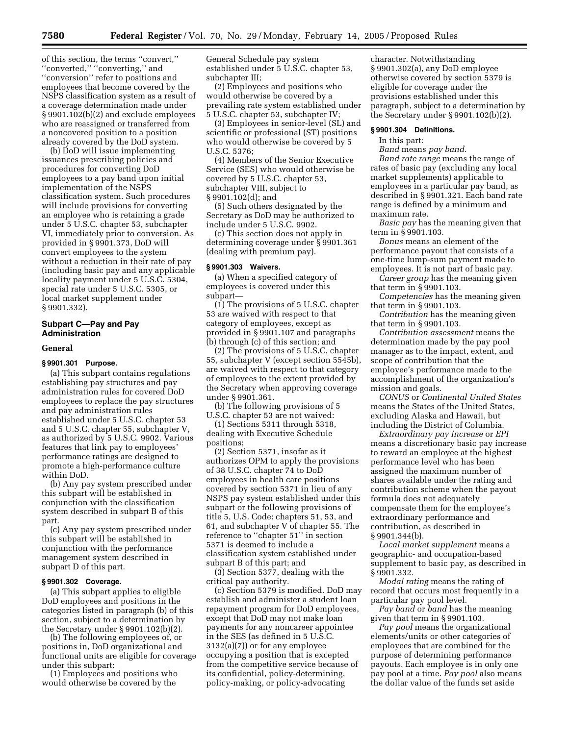of this section, the terms ''convert,'' ''converted,'' ''converting,'' and ''conversion'' refer to positions and employees that become covered by the NSPS classification system as a result of a coverage determination made under § 9901.102(b)(2) and exclude employees who are reassigned or transferred from a noncovered position to a position already covered by the DoD system.

(b) DoD will issue implementing issuances prescribing policies and procedures for converting DoD employees to a pay band upon initial implementation of the NSPS classification system. Such procedures will include provisions for converting an employee who is retaining a grade under 5 U.S.C. chapter 53, subchapter VI, immediately prior to conversion. As provided in § 9901.373, DoD will convert employees to the system without a reduction in their rate of pay (including basic pay and any applicable locality payment under 5 U.S.C. 5304, special rate under 5 U.S.C. 5305, or local market supplement under § 9901.332).

#### **Subpart C—Pay and Pay Administration**

## **General**

## **§ 9901.301 Purpose.**

(a) This subpart contains regulations establishing pay structures and pay administration rules for covered DoD employees to replace the pay structures and pay administration rules established under 5 U.S.C. chapter 53 and 5 U.S.C. chapter 55, subchapter V, as authorized by 5 U.S.C. 9902. Various features that link pay to employees' performance ratings are designed to promote a high-performance culture within DoD.

(b) Any pay system prescribed under this subpart will be established in conjunction with the classification system described in subpart B of this part.

(c) Any pay system prescribed under this subpart will be established in conjunction with the performance management system described in subpart D of this part.

## **§ 9901.302 Coverage.**

(a) This subpart applies to eligible DoD employees and positions in the categories listed in paragraph (b) of this section, subject to a determination by the Secretary under § 9901.102(b)(2).

(b) The following employees of, or positions in, DoD organizational and functional units are eligible for coverage under this subpart:

(1) Employees and positions who would otherwise be covered by the

General Schedule pay system established under 5 U.S.C. chapter 53, subchapter III;

(2) Employees and positions who would otherwise be covered by a prevailing rate system established under 5 U.S.C. chapter 53, subchapter IV;

(3) Employees in senior-level (SL) and scientific or professional (ST) positions who would otherwise be covered by 5 U.S.C. 5376;

(4) Members of the Senior Executive Service (SES) who would otherwise be covered by 5 U.S.C. chapter 53, subchapter VIII, subject to § 9901.102(d); and

(5) Such others designated by the Secretary as DoD may be authorized to include under 5 U.S.C. 9902.

(c) This section does not apply in determining coverage under § 9901.361 (dealing with premium pay).

## **§ 9901.303 Waivers.**

(a) When a specified category of employees is covered under this subpart—

(1) The provisions of 5 U.S.C. chapter 53 are waived with respect to that category of employees, except as provided in § 9901.107 and paragraphs (b) through (c) of this section; and

(2) The provisions of 5 U.S.C. chapter 55, subchapter V (except section 5545b), are waived with respect to that category of employees to the extent provided by the Secretary when approving coverage under § 9901.361.

(b) The following provisions of 5 U.S.C. chapter 53 are not waived:

(1) Sections 5311 through 5318, dealing with Executive Schedule positions;

(2) Section 5371, insofar as it authorizes OPM to apply the provisions of 38 U.S.C. chapter 74 to DoD employees in health care positions covered by section 5371 in lieu of any NSPS pay system established under this subpart or the following provisions of title 5, U.S. Code: chapters 51, 53, and 61, and subchapter V of chapter 55. The reference to ''chapter 51'' in section 5371 is deemed to include a classification system established under subpart B of this part; and

(3) Section 5377, dealing with the critical pay authority.

(c) Section 5379 is modified. DoD may establish and administer a student loan repayment program for DoD employees, except that DoD may not make loan payments for any noncareer appointee in the SES (as defined in 5 U.S.C. 3132(a)(7)) or for any employee occupying a position that is excepted from the competitive service because of its confidential, policy-determining, policy-making, or policy-advocating

character. Notwithstanding § 9901.302(a), any DoD employee otherwise covered by section 5379 is eligible for coverage under the provisions established under this paragraph, subject to a determination by the Secretary under § 9901.102(b)(2).

#### **§ 9901.304 Definitions.**

In this part:

*Band* means *pay band.*

*Band rate range* means the range of rates of basic pay (excluding any local market supplements) applicable to employees in a particular pay band, as described in § 9901.321. Each band rate range is defined by a minimum and maximum rate.

*Basic pay* has the meaning given that term in § 9901.103.

*Bonus* means an element of the performance payout that consists of a one-time lump-sum payment made to employees. It is not part of basic pay.

*Career group* has the meaning given that term in § 9901.103.

*Competencies* has the meaning given that term in § 9901.103.

*Contribution* has the meaning given that term in § 9901.103.

*Contribution assessment* means the determination made by the pay pool manager as to the impact, extent, and scope of contribution that the employee's performance made to the accomplishment of the organization's mission and goals.

*CONUS* or *Continental United States* means the States of the United States, excluding Alaska and Hawaii, but including the District of Columbia.

*Extraordinary pay increase* or *EPI* means a discretionary basic pay increase to reward an employee at the highest performance level who has been assigned the maximum number of shares available under the rating and contribution scheme when the payout formula does not adequately compensate them for the employee's extraordinary performance and contribution, as described in § 9901.344(b).

*Local market supplement* means a geographic- and occupation-based supplement to basic pay, as described in § 9901.332.

*Modal rating* means the rating of record that occurs most frequently in a particular pay pool level.

*Pay band* or *band* has the meaning given that term in § 9901.103.

*Pay pool* means the organizational elements/units or other categories of employees that are combined for the purpose of determining performance payouts. Each employee is in only one pay pool at a time. *Pay pool* also means the dollar value of the funds set aside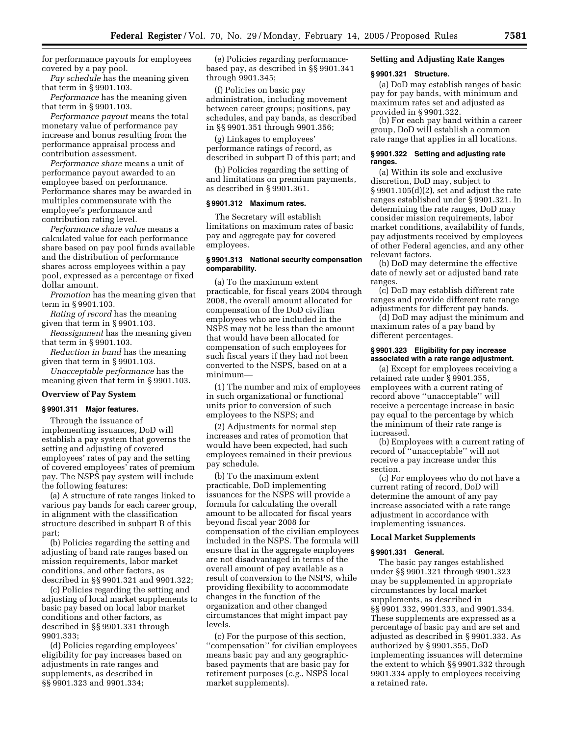for performance payouts for employees covered by a pay pool.

*Pay schedule* has the meaning given that term in § 9901.103.

*Performance* has the meaning given that term in § 9901.103.

*Performance payout* means the total monetary value of performance pay increase and bonus resulting from the performance appraisal process and contribution assessment.

*Performance share* means a unit of performance payout awarded to an employee based on performance. Performance shares may be awarded in multiples commensurate with the employee's performance and contribution rating level.

*Performance share value* means a calculated value for each performance share based on pay pool funds available and the distribution of performance shares across employees within a pay pool, expressed as a percentage or fixed dollar amount.

*Promotion* has the meaning given that term in § 9901.103.

*Rating of record* has the meaning given that term in § 9901.103.

*Reassignment* has the meaning given that term in § 9901.103.

*Reduction in band* has the meaning given that term in § 9901.103.

*Unacceptable performance* has the meaning given that term in § 9901.103.

#### **Overview of Pay System**

#### **§ 9901.311 Major features.**

Through the issuance of implementing issuances, DoD will establish a pay system that governs the setting and adjusting of covered employees' rates of pay and the setting of covered employees' rates of premium pay. The NSPS pay system will include the following features:

(a) A structure of rate ranges linked to various pay bands for each career group, in alignment with the classification structure described in subpart B of this part;

(b) Policies regarding the setting and adjusting of band rate ranges based on mission requirements, labor market conditions, and other factors, as described in §§ 9901.321 and 9901.322;

(c) Policies regarding the setting and adjusting of local market supplements to basic pay based on local labor market conditions and other factors, as described in §§ 9901.331 through 9901.333;

(d) Policies regarding employees' eligibility for pay increases based on adjustments in rate ranges and supplements, as described in §§ 9901.323 and 9901.334;

(e) Policies regarding performancebased pay, as described in §§ 9901.341 through 9901.345;

(f) Policies on basic pay administration, including movement between career groups; positions, pay schedules, and pay bands, as described in §§ 9901.351 through 9901.356;

(g) Linkages to employees' performance ratings of record, as described in subpart D of this part; and

(h) Policies regarding the setting of and limitations on premium payments, as described in § 9901.361.

#### **§ 9901.312 Maximum rates.**

The Secretary will establish limitations on maximum rates of basic pay and aggregate pay for covered employees.

## **§ 9901.313 National security compensation comparability.**

(a) To the maximum extent practicable, for fiscal years 2004 through 2008, the overall amount allocated for compensation of the DoD civilian employees who are included in the NSPS may not be less than the amount that would have been allocated for compensation of such employees for such fiscal years if they had not been converted to the NSPS, based on at a minimum—

(1) The number and mix of employees in such organizational or functional units prior to conversion of such employees to the NSPS; and

(2) Adjustments for normal step increases and rates of promotion that would have been expected, had such employees remained in their previous pay schedule.

(b) To the maximum extent practicable, DoD implementing issuances for the NSPS will provide a formula for calculating the overall amount to be allocated for fiscal years beyond fiscal year 2008 for compensation of the civilian employees included in the NSPS. The formula will ensure that in the aggregate employees are not disadvantaged in terms of the overall amount of pay available as a result of conversion to the NSPS, while providing flexibility to accommodate changes in the function of the organization and other changed circumstances that might impact pay levels.

(c) For the purpose of this section, ''compensation'' for civilian employees means basic pay and any geographicbased payments that are basic pay for retirement purposes (*e.g.*, NSPS local market supplements).

## **Setting and Adjusting Rate Ranges**

#### **§ 9901.321 Structure.**

(a) DoD may establish ranges of basic pay for pay bands, with minimum and maximum rates set and adjusted as provided in § 9901.322.

(b) For each pay band within a career group, DoD will establish a common rate range that applies in all locations.

#### **§ 9901.322 Setting and adjusting rate ranges.**

(a) Within its sole and exclusive discretion, DoD may, subject to § 9901.105(d)(2), set and adjust the rate ranges established under § 9901.321. In determining the rate ranges, DoD may consider mission requirements, labor market conditions, availability of funds, pay adjustments received by employees of other Federal agencies, and any other relevant factors.

(b) DoD may determine the effective date of newly set or adjusted band rate ranges.

(c) DoD may establish different rate ranges and provide different rate range adjustments for different pay bands.

(d) DoD may adjust the minimum and maximum rates of a pay band by different percentages.

#### **§ 9901.323 Eligibility for pay increase associated with a rate range adjustment.**

(a) Except for employees receiving a retained rate under § 9901.355, employees with a current rating of record above ''unacceptable'' will receive a percentage increase in basic pay equal to the percentage by which the minimum of their rate range is increased.

(b) Employees with a current rating of record of ''unacceptable'' will not receive a pay increase under this section.

(c) For employees who do not have a current rating of record, DoD will determine the amount of any pay increase associated with a rate range adjustment in accordance with implementing issuances.

#### **Local Market Supplements**

## **§ 9901.331 General.**

The basic pay ranges established under §§ 9901.321 through 9901.323 may be supplemented in appropriate circumstances by local market supplements, as described in §§ 9901.332, 9901.333, and 9901.334. These supplements are expressed as a percentage of basic pay and are set and adjusted as described in § 9901.333. As authorized by § 9901.355, DoD implementing issuances will determine the extent to which §§ 9901.332 through 9901.334 apply to employees receiving a retained rate.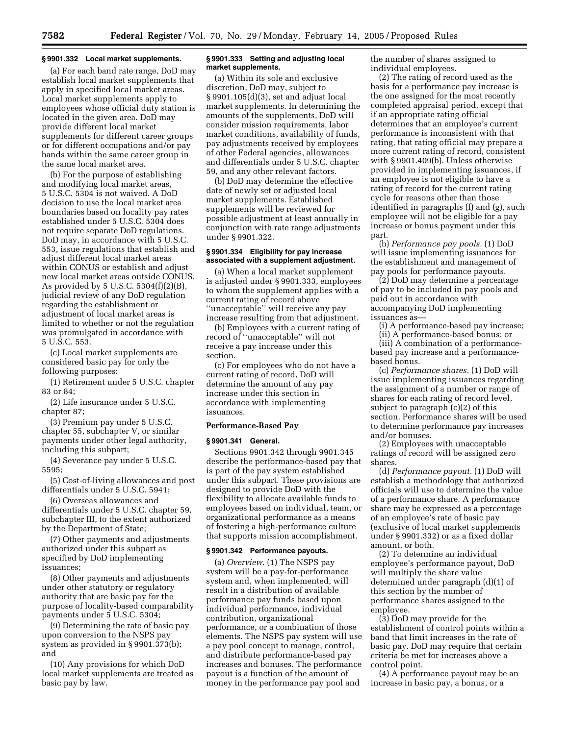#### **§ 9901.332 Local market supplements.**

(a) For each band rate range, DoD may establish local market supplements that apply in specified local market areas. Local market supplements apply to employees whose official duty station is located in the given area. DoD may provide different local market supplements for different career groups or for different occupations and/or pay bands within the same career group in the same local market area.

(b) For the purpose of establishing and modifying local market areas, 5 U.S.C. 5304 is not waived. A DoD decision to use the local market area boundaries based on locality pay rates established under 5 U.S.C. 5304 does not require separate DoD regulations. DoD may, in accordance with 5 U.S.C. 553, issue regulations that establish and adjust different local market areas within CONUS or establish and adjust new local market areas outside CONUS. As provided by 5 U.S.C. 5304(f)(2)(B), judicial review of any DoD regulation regarding the establishment or adjustment of local market areas is limited to whether or not the regulation was promulgated in accordance with 5 U.S.C. 553.

(c) Local market supplements are considered basic pay for only the following purposes:

(1) Retirement under 5 U.S.C. chapter 83 or 84;

(2) Life insurance under 5 U.S.C. chapter 87;

(3) Premium pay under 5 U.S.C. chapter 55, subchapter V, or similar payments under other legal authority, including this subpart;

(4) Severance pay under 5 U.S.C. 5595;

(5) Cost-of-living allowances and post differentials under 5 U.S.C. 5941;

(6) Overseas allowances and differentials under 5 U.S.C. chapter 59, subchapter III, to the extent authorized by the Department of State;

(7) Other payments and adjustments authorized under this subpart as specified by DoD implementing issuances;

(8) Other payments and adjustments under other statutory or regulatory authority that are basic pay for the purpose of locality-based comparability payments under 5 U.S.C. 5304;

(9) Determining the rate of basic pay upon conversion to the NSPS pay system as provided in § 9901.373(b); and

(10) Any provisions for which DoD local market supplements are treated as basic pay by law.

## **§ 9901.333 Setting and adjusting local market supplements.**

(a) Within its sole and exclusive discretion, DoD may, subject to § 9901.105(d)(3), set and adjust local market supplements. In determining the amounts of the supplements, DoD will consider mission requirements, labor market conditions, availability of funds, pay adjustments received by employees of other Federal agencies, allowances and differentials under 5 U.S.C. chapter 59, and any other relevant factors.

(b) DoD may determine the effective date of newly set or adjusted local market supplements. Established supplements will be reviewed for possible adjustment at least annually in conjunction with rate range adjustments under § 9901.322.

## **§ 9901.334 Eligibility for pay increase associated with a supplement adjustment.**

(a) When a local market supplement is adjusted under § 9901.333, employees to whom the supplement applies with a current rating of record above ''unacceptable'' will receive any pay increase resulting from that adjustment.

(b) Employees with a current rating of record of ''unacceptable'' will not receive a pay increase under this section.

(c) For employees who do not have a current rating of record, DoD will determine the amount of any pay increase under this section in accordance with implementing issuances.

## **Performance-Based Pay**

## **§ 9901.341 General.**

Sections 9901.342 through 9901.345 describe the performance-based pay that is part of the pay system established under this subpart. These provisions are designed to provide DoD with the flexibility to allocate available funds to employees based on individual, team, or organizational performance as a means of fostering a high-performance culture that supports mission accomplishment.

## **§ 9901.342 Performance payouts.**

(a) *Overview.* (1) The NSPS pay system will be a pay-for-performance system and, when implemented, will result in a distribution of available performance pay funds based upon individual performance, individual contribution, organizational performance, or a combination of those elements. The NSPS pay system will use a pay pool concept to manage, control, and distribute performance-based pay increases and bonuses. The performance payout is a function of the amount of money in the performance pay pool and

the number of shares assigned to individual employees.

(2) The rating of record used as the basis for a performance pay increase is the one assigned for the most recently completed appraisal period, except that if an appropriate rating official determines that an employee's current performance is inconsistent with that rating, that rating official may prepare a more current rating of record, consistent with § 9901.409(b). Unless otherwise provided in implementing issuances, if an employee is not eligible to have a rating of record for the current rating cycle for reasons other than those identified in paragraphs (f) and (g), such employee will not be eligible for a pay increase or bonus payment under this part.

(b) *Performance pay pools.* (1) DoD will issue implementing issuances for the establishment and management of pay pools for performance payouts.

(2) DoD may determine a percentage of pay to be included in pay pools and paid out in accordance with accompanying DoD implementing issuances as—

(i) A performance-based pay increase;

(ii) A performance-based bonus; or

(iii) A combination of a performancebased pay increase and a performancebased bonus.

(c) *Performance shares.* (1) DoD will issue implementing issuances regarding the assignment of a number or range of shares for each rating of record level, subject to paragraph (c)(2) of this section. Performance shares will be used to determine performance pay increases and/or bonuses.

(2) Employees with unacceptable ratings of record will be assigned zero shares.

(d) *Performance payout.* (1) DoD will establish a methodology that authorized officials will use to determine the value of a performance share. A performance share may be expressed as a percentage of an employee's rate of basic pay (exclusive of local market supplements under § 9901.332) or as a fixed dollar amount, or both.

(2) To determine an individual employee's performance payout, DoD will multiply the share value determined under paragraph (d)(1) of this section by the number of performance shares assigned to the employee.

(3) DoD may provide for the establishment of control points within a band that limit increases in the rate of basic pay. DoD may require that certain criteria be met for increases above a control point.

(4) A performance payout may be an increase in basic pay, a bonus, or a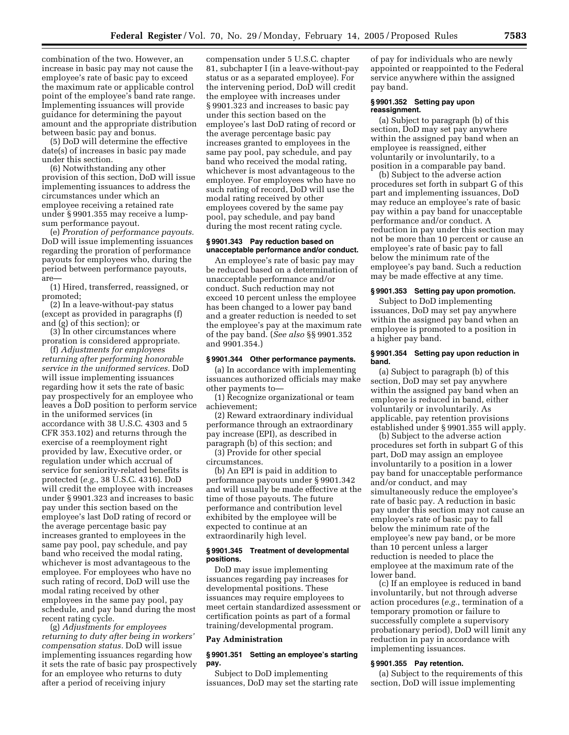combination of the two. However, an increase in basic pay may not cause the employee's rate of basic pay to exceed the maximum rate or applicable control point of the employee's band rate range. Implementing issuances will provide guidance for determining the payout amount and the appropriate distribution between basic pay and bonus.

(5) DoD will determine the effective date(s) of increases in basic pay made under this section.

(6) Notwithstanding any other provision of this section, DoD will issue implementing issuances to address the circumstances under which an employee receiving a retained rate under § 9901.355 may receive a lumpsum performance payout.

(e) *Proration of performance payouts.* DoD will issue implementing issuances regarding the proration of performance payouts for employees who, during the period between performance payouts, are—

(1) Hired, transferred, reassigned, or promoted;

(2) In a leave-without-pay status (except as provided in paragraphs (f) and (g) of this section); or

(3) In other circumstances where proration is considered appropriate.

(f) *Adjustments for employees returning after performing honorable service in the uniformed services.* DoD will issue implementing issuances regarding how it sets the rate of basic pay prospectively for an employee who leaves a DoD position to perform service in the uniformed services (in accordance with 38 U.S.C. 4303 and 5 CFR 353.102) and returns through the exercise of a reemployment right provided by law, Executive order, or regulation under which accrual of service for seniority-related benefits is protected (*e.g.*, 38 U.S.C. 4316). DoD will credit the employee with increases under § 9901.323 and increases to basic pay under this section based on the employee's last DoD rating of record or the average percentage basic pay increases granted to employees in the same pay pool, pay schedule, and pay band who received the modal rating, whichever is most advantageous to the employee. For employees who have no such rating of record, DoD will use the modal rating received by other employees in the same pay pool, pay schedule, and pay band during the most recent rating cycle.

(g) *Adjustments for employees returning to duty after being in workers' compensation status.* DoD will issue implementing issuances regarding how it sets the rate of basic pay prospectively for an employee who returns to duty after a period of receiving injury

compensation under 5 U.S.C. chapter 81, subchapter I (in a leave-without-pay status or as a separated employee). For the intervening period, DoD will credit the employee with increases under § 9901.323 and increases to basic pay under this section based on the employee's last DoD rating of record or the average percentage basic pay increases granted to employees in the same pay pool, pay schedule, and pay band who received the modal rating, whichever is most advantageous to the employee. For employees who have no such rating of record, DoD will use the modal rating received by other employees covered by the same pay pool, pay schedule, and pay band during the most recent rating cycle.

## **§ 9901.343 Pay reduction based on unacceptable performance and/or conduct.**

An employee's rate of basic pay may be reduced based on a determination of unacceptable performance and/or conduct. Such reduction may not exceed 10 percent unless the employee has been changed to a lower pay band and a greater reduction is needed to set the employee's pay at the maximum rate of the pay band. (*See also* §§ 9901.352 and 9901.354.)

#### **§ 9901.344 Other performance payments.**

(a) In accordance with implementing issuances authorized officials may make other payments to—

(1) Recognize organizational or team achievement;

(2) Reward extraordinary individual performance through an extraordinary pay increase (EPI), as described in paragraph (b) of this section; and

(3) Provide for other special circumstances.

(b) An EPI is paid in addition to performance payouts under § 9901.342 and will usually be made effective at the time of those payouts. The future performance and contribution level exhibited by the employee will be expected to continue at an extraordinarily high level.

#### **§ 9901.345 Treatment of developmental positions.**

DoD may issue implementing issuances regarding pay increases for developmental positions. These issuances may require employees to meet certain standardized assessment or certification points as part of a formal training/developmental program.

#### **Pay Administration**

## **§ 9901.351 Setting an employee's starting pay.**

Subject to DoD implementing issuances, DoD may set the starting rate

of pay for individuals who are newly appointed or reappointed to the Federal service anywhere within the assigned pay band.

## **§ 9901.352 Setting pay upon reassignment.**

(a) Subject to paragraph (b) of this section, DoD may set pay anywhere within the assigned pay band when an employee is reassigned, either voluntarily or involuntarily, to a position in a comparable pay band.

(b) Subject to the adverse action procedures set forth in subpart G of this part and implementing issuances, DoD may reduce an employee's rate of basic pay within a pay band for unacceptable performance and/or conduct. A reduction in pay under this section may not be more than 10 percent or cause an employee's rate of basic pay to fall below the minimum rate of the employee's pay band. Such a reduction may be made effective at any time.

## **§ 9901.353 Setting pay upon promotion.**

Subject to DoD implementing issuances, DoD may set pay anywhere within the assigned pay band when an employee is promoted to a position in a higher pay band.

#### **§ 9901.354 Setting pay upon reduction in band.**

(a) Subject to paragraph (b) of this section, DoD may set pay anywhere within the assigned pay band when an employee is reduced in band, either voluntarily or involuntarily. As applicable, pay retention provisions established under § 9901.355 will apply.

(b) Subject to the adverse action procedures set forth in subpart G of this part, DoD may assign an employee involuntarily to a position in a lower pay band for unacceptable performance and/or conduct, and may simultaneously reduce the employee's rate of basic pay. A reduction in basic pay under this section may not cause an employee's rate of basic pay to fall below the minimum rate of the employee's new pay band, or be more than 10 percent unless a larger reduction is needed to place the employee at the maximum rate of the lower band.

(c) If an employee is reduced in band involuntarily, but not through adverse action procedures (*e.g.*, termination of a temporary promotion or failure to successfully complete a supervisory probationary period), DoD will limit any reduction in pay in accordance with implementing issuances.

## **§ 9901.355 Pay retention.**

(a) Subject to the requirements of this section, DoD will issue implementing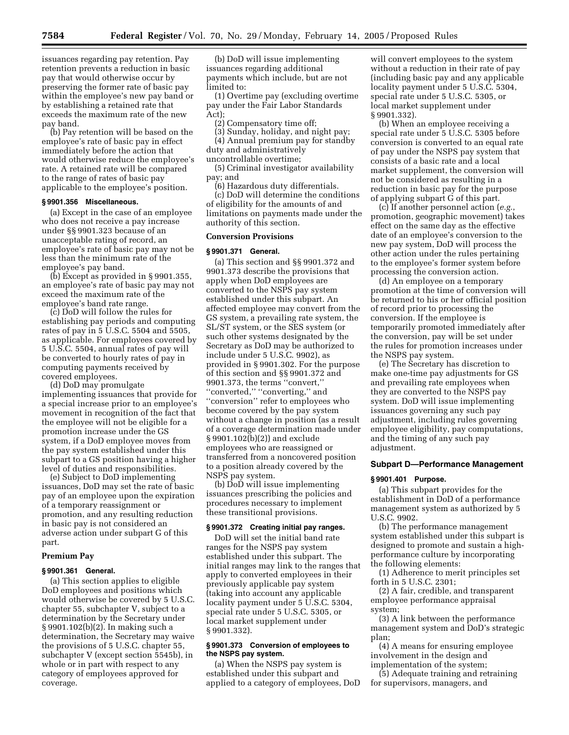issuances regarding pay retention. Pay retention prevents a reduction in basic pay that would otherwise occur by preserving the former rate of basic pay within the employee's new pay band or by establishing a retained rate that exceeds the maximum rate of the new pay band.

(b) Pay retention will be based on the employee's rate of basic pay in effect immediately before the action that would otherwise reduce the employee's rate. A retained rate will be compared to the range of rates of basic pay applicable to the employee's position.

#### **§ 9901.356 Miscellaneous.**

(a) Except in the case of an employee who does not receive a pay increase under §§ 9901.323 because of an unacceptable rating of record, an employee's rate of basic pay may not be less than the minimum rate of the employee's pay band.

(b) Except as provided in § 9901.355, an employee's rate of basic pay may not exceed the maximum rate of the employee's band rate range.

(c) DoD will follow the rules for establishing pay periods and computing rates of pay in 5 U.S.C. 5504 and 5505, as applicable. For employees covered by 5 U.S.C. 5504, annual rates of pay will be converted to hourly rates of pay in computing payments received by covered employees.

(d) DoD may promulgate implementing issuances that provide for a special increase prior to an employee's movement in recognition of the fact that the employee will not be eligible for a promotion increase under the GS system, if a DoD employee moves from the pay system established under this subpart to a GS position having a higher level of duties and responsibilities.

(e) Subject to DoD implementing issuances, DoD may set the rate of basic pay of an employee upon the expiration of a temporary reassignment or promotion, and any resulting reduction in basic pay is not considered an adverse action under subpart G of this part.

#### **Premium Pay**

#### **§ 9901.361 General.**

(a) This section applies to eligible DoD employees and positions which would otherwise be covered by 5 U.S.C. chapter 55, subchapter V, subject to a determination by the Secretary under § 9901.102(b)(2). In making such a determination, the Secretary may waive the provisions of 5 U.S.C. chapter 55, subchapter V (except section 5545b), in whole or in part with respect to any category of employees approved for coverage.

(b) DoD will issue implementing issuances regarding additional payments which include, but are not limited to:

(1) Overtime pay (excluding overtime pay under the Fair Labor Standards Act);

(2) Compensatory time off;

(3) Sunday, holiday, and night pay; (4) Annual premium pay for standby

duty and administratively uncontrollable overtime;

(5) Criminal investigator availability pay; and

(6) Hazardous duty differentials.

(c) DoD will determine the conditions of eligibility for the amounts of and limitations on payments made under the authority of this section.

#### **Conversion Provisions**

#### **§ 9901.371 General.**

(a) This section and §§ 9901.372 and 9901.373 describe the provisions that apply when DoD employees are converted to the NSPS pay system established under this subpart. An affected employee may convert from the GS system, a prevailing rate system, the SL/ST system, or the SES system (or such other systems designated by the Secretary as DoD may be authorized to include under 5 U.S.C. 9902), as provided in § 9901.302. For the purpose of this section and §§ 9901.372 and 9901.373, the terms ''convert,'' "converted," "converting," and ''conversion'' refer to employees who become covered by the pay system without a change in position (as a result of a coverage determination made under § 9901.102(b)(2)) and exclude employees who are reassigned or transferred from a noncovered position to a position already covered by the NSPS pay system.

(b) DoD will issue implementing issuances prescribing the policies and procedures necessary to implement these transitional provisions.

## **§ 9901.372 Creating initial pay ranges.**

DoD will set the initial band rate ranges for the NSPS pay system established under this subpart. The initial ranges may link to the ranges that apply to converted employees in their previously applicable pay system (taking into account any applicable locality payment under 5 U.S.C. 5304, special rate under 5 U.S.C. 5305, or local market supplement under § 9901.332).

## **§ 9901.373 Conversion of employees to the NSPS pay system.**

(a) When the NSPS pay system is established under this subpart and applied to a category of employees, DoD

will convert employees to the system without a reduction in their rate of pay (including basic pay and any applicable locality payment under 5 U.S.C. 5304, special rate under 5 U.S.C. 5305, or local market supplement under § 9901.332).

(b) When an employee receiving a special rate under 5 U.S.C. 5305 before conversion is converted to an equal rate of pay under the NSPS pay system that consists of a basic rate and a local market supplement, the conversion will not be considered as resulting in a reduction in basic pay for the purpose of applying subpart G of this part.

(c) If another personnel action (*e.g.*, promotion, geographic movement) takes effect on the same day as the effective date of an employee's conversion to the new pay system, DoD will process the other action under the rules pertaining to the employee's former system before processing the conversion action.

(d) An employee on a temporary promotion at the time of conversion will be returned to his or her official position of record prior to processing the conversion. If the employee is temporarily promoted immediately after the conversion, pay will be set under the rules for promotion increases under the NSPS pay system.

(e) The Secretary has discretion to make one-time pay adjustments for GS and prevailing rate employees when they are converted to the NSPS pay system. DoD will issue implementing issuances governing any such pay adjustment, including rules governing employee eligibility, pay computations, and the timing of any such pay adjustment.

## **Subpart D—Performance Management**

#### **§ 9901.401 Purpose.**

(a) This subpart provides for the establishment in DoD of a performance management system as authorized by 5 U.S.C. 9902.

(b) The performance management system established under this subpart is designed to promote and sustain a highperformance culture by incorporating the following elements:

(1) Adherence to merit principles set forth in 5 U.S.C. 2301;

(2) A fair, credible, and transparent employee performance appraisal system;

(3) A link between the performance management system and DoD's strategic plan;

(4) A means for ensuring employee involvement in the design and implementation of the system;

(5) Adequate training and retraining for supervisors, managers, and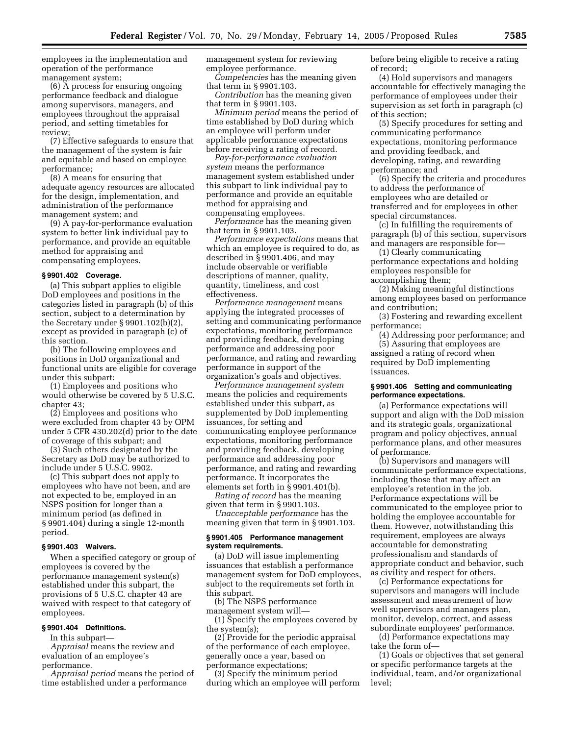employees in the implementation and operation of the performance management system;

(6) A process for ensuring ongoing performance feedback and dialogue among supervisors, managers, and employees throughout the appraisal period, and setting timetables for review;

(7) Effective safeguards to ensure that the management of the system is fair and equitable and based on employee performance;

(8) A means for ensuring that adequate agency resources are allocated for the design, implementation, and administration of the performance management system; and

(9) A pay-for-performance evaluation system to better link individual pay to performance, and provide an equitable method for appraising and compensating employees.

#### **§ 9901.402 Coverage.**

(a) This subpart applies to eligible DoD employees and positions in the categories listed in paragraph (b) of this section, subject to a determination by the Secretary under § 9901.102(b)(2), except as provided in paragraph (c) of this section.

(b) The following employees and positions in DoD organizational and functional units are eligible for coverage under this subpart:

(1) Employees and positions who would otherwise be covered by 5 U.S.C. chapter 43;

(2) Employees and positions who were excluded from chapter 43 by OPM under 5 CFR 430.202(d) prior to the date of coverage of this subpart; and

(3) Such others designated by the Secretary as DoD may be authorized to include under 5 U.S.C. 9902.

(c) This subpart does not apply to employees who have not been, and are not expected to be, employed in an NSPS position for longer than a minimum period (as defined in § 9901.404) during a single 12-month period.

## **§ 9901.403 Waivers.**

When a specified category or group of employees is covered by the performance management system(s) established under this subpart, the provisions of 5 U.S.C. chapter 43 are waived with respect to that category of employees.

## **§ 9901.404 Definitions.**

In this subpart— *Appraisal* means the review and evaluation of an employee's

performance.

*Appraisal period* means the period of time established under a performance

management system for reviewing employee performance.

*Competencies* has the meaning given that term in § 9901.103.

*Contribution* has the meaning given that term in § 9901.103.

*Minimum period* means the period of time established by DoD during which an employee will perform under applicable performance expectations before receiving a rating of record.

*Pay-for-performance evaluation system* means the performance management system established under this subpart to link individual pay to performance and provide an equitable method for appraising and compensating employees.

*Performance* has the meaning given that term in § 9901.103.

*Performance expectations* means that which an employee is required to do, as described in § 9901.406, and may include observable or verifiable descriptions of manner, quality, quantity, timeliness, and cost effectiveness.

*Performance management* means applying the integrated processes of setting and communicating performance expectations, monitoring performance and providing feedback, developing performance and addressing poor performance, and rating and rewarding performance in support of the organization's goals and objectives.

*Performance management system* means the policies and requirements established under this subpart, as supplemented by DoD implementing issuances, for setting and communicating employee performance expectations, monitoring performance and providing feedback, developing performance and addressing poor performance, and rating and rewarding performance. It incorporates the elements set forth in § 9901.401(b).

*Rating of record* has the meaning given that term in § 9901.103.

*Unacceptable performance* has the meaning given that term in § 9901.103.

## **§ 9901.405 Performance management system requirements.**

(a) DoD will issue implementing issuances that establish a performance management system for DoD employees, subject to the requirements set forth in this subpart.

(b) The NSPS performance management system will—

(1) Specify the employees covered by the system(s);

(2) Provide for the periodic appraisal of the performance of each employee, generally once a year, based on performance expectations;

(3) Specify the minimum period during which an employee will perform before being eligible to receive a rating of record;

(4) Hold supervisors and managers accountable for effectively managing the performance of employees under their supervision as set forth in paragraph (c) of this section;

(5) Specify procedures for setting and communicating performance expectations, monitoring performance and providing feedback, and developing, rating, and rewarding performance; and

(6) Specify the criteria and procedures to address the performance of employees who are detailed or transferred and for employees in other special circumstances.

(c) In fulfilling the requirements of paragraph (b) of this section, supervisors and managers are responsible for—

(1) Clearly communicating performance expectations and holding employees responsible for accomplishing them;

(2) Making meaningful distinctions among employees based on performance and contribution;

(3) Fostering and rewarding excellent performance;

(4) Addressing poor performance; and

(5) Assuring that employees are assigned a rating of record when required by DoD implementing issuances.

#### **§ 9901.406 Setting and communicating performance expectations.**

(a) Performance expectations will support and align with the DoD mission and its strategic goals, organizational program and policy objectives, annual performance plans, and other measures of performance.

(b) Supervisors and managers will communicate performance expectations, including those that may affect an employee's retention in the job. Performance expectations will be communicated to the employee prior to holding the employee accountable for them. However, notwithstanding this requirement, employees are always accountable for demonstrating professionalism and standards of appropriate conduct and behavior, such as civility and respect for others.

(c) Performance expectations for supervisors and managers will include assessment and measurement of how well supervisors and managers plan, monitor, develop, correct, and assess subordinate employees' performance.

(d) Performance expectations may take the form of—

(1) Goals or objectives that set general or specific performance targets at the individual, team, and/or organizational level;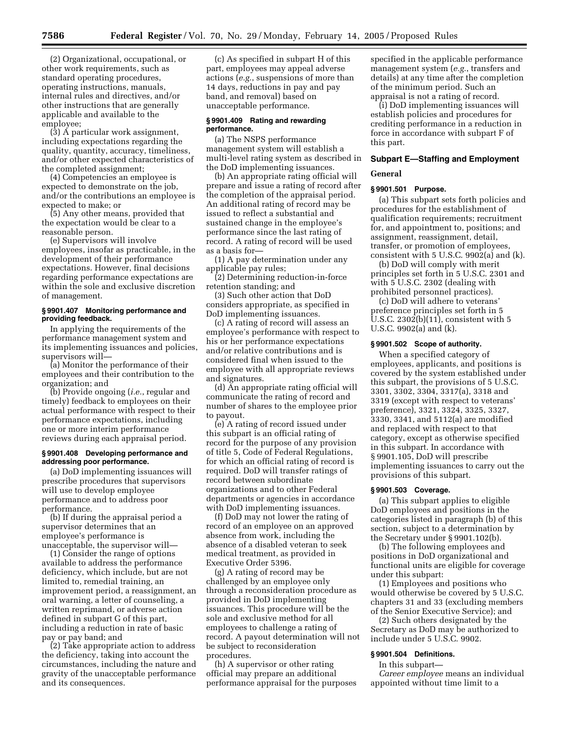(2) Organizational, occupational, or other work requirements, such as standard operating procedures, operating instructions, manuals, internal rules and directives, and/or other instructions that are generally applicable and available to the employee;

(3) A particular work assignment, including expectations regarding the quality, quantity, accuracy, timeliness, and/or other expected characteristics of the completed assignment;

(4) Competencies an employee is expected to demonstrate on the job, and/or the contributions an employee is expected to make; or

(5) Any other means, provided that the expectation would be clear to a reasonable person.

(e) Supervisors will involve employees, insofar as practicable, in the development of their performance expectations. However, final decisions regarding performance expectations are within the sole and exclusive discretion of management.

## **§ 9901.407 Monitoring performance and providing feedback.**

In applying the requirements of the performance management system and its implementing issuances and policies, supervisors will—

(a) Monitor the performance of their employees and their contribution to the organization; and

(b) Provide ongoing (*i.e.*, regular and timely) feedback to employees on their actual performance with respect to their performance expectations, including one or more interim performance reviews during each appraisal period.

## **§ 9901.408 Developing performance and addressing poor performance.**

(a) DoD implementing issuances will prescribe procedures that supervisors will use to develop employee performance and to address poor performance.

(b) If during the appraisal period a supervisor determines that an employee's performance is unacceptable, the supervisor will—

(1) Consider the range of options available to address the performance deficiency, which include, but are not limited to, remedial training, an improvement period, a reassignment, an oral warning, a letter of counseling, a written reprimand, or adverse action defined in subpart G of this part, including a reduction in rate of basic pay or pay band; and

(2) Take appropriate action to address the deficiency, taking into account the circumstances, including the nature and gravity of the unacceptable performance and its consequences.

(c) As specified in subpart H of this part, employees may appeal adverse actions (*e.g.*, suspensions of more than 14 days, reductions in pay and pay band, and removal) based on unacceptable performance.

#### **§ 9901.409 Rating and rewarding performance.**

(a) The NSPS performance management system will establish a multi-level rating system as described in the DoD implementing issuances.

(b) An appropriate rating official will prepare and issue a rating of record after the completion of the appraisal period. An additional rating of record may be issued to reflect a substantial and sustained change in the employee's performance since the last rating of record. A rating of record will be used as a basis for—

(1) A pay determination under any applicable pay rules;

(2) Determining reduction-in-force retention standing; and

(3) Such other action that DoD considers appropriate, as specified in DoD implementing issuances.

(c) A rating of record will assess an employee's performance with respect to his or her performance expectations and/or relative contributions and is considered final when issued to the employee with all appropriate reviews and signatures.

(d) An appropriate rating official will communicate the rating of record and number of shares to the employee prior to payout.

(e) A rating of record issued under this subpart is an official rating of record for the purpose of any provision of title 5, Code of Federal Regulations, for which an official rating of record is required. DoD will transfer ratings of record between subordinate organizations and to other Federal departments or agencies in accordance with DoD implementing issuances.

(f) DoD may not lower the rating of record of an employee on an approved absence from work, including the absence of a disabled veteran to seek medical treatment, as provided in Executive Order 5396.

(g) A rating of record may be challenged by an employee only through a reconsideration procedure as provided in DoD implementing issuances. This procedure will be the sole and exclusive method for all employees to challenge a rating of record. A payout determination will not be subject to reconsideration procedures.

(h) A supervisor or other rating official may prepare an additional performance appraisal for the purposes specified in the applicable performance management system (*e.g.*, transfers and details) at any time after the completion of the minimum period. Such an appraisal is not a rating of record.

(i) DoD implementing issuances will establish policies and procedures for crediting performance in a reduction in force in accordance with subpart F of this part.

## **Subpart E—Staffing and Employment**

## **General**

## **§ 9901.501 Purpose.**

(a) This subpart sets forth policies and procedures for the establishment of qualification requirements; recruitment for, and appointment to, positions; and assignment, reassignment, detail, transfer, or promotion of employees, consistent with 5 U.S.C. 9902(a) and (k).

(b) DoD will comply with merit principles set forth in 5 U.S.C. 2301 and with 5 U.S.C. 2302 (dealing with prohibited personnel practices).

(c) DoD will adhere to veterans' preference principles set forth in 5 U.S.C. 2302(b)(11), consistent with 5 U.S.C. 9902(a) and (k).

#### **§ 9901.502 Scope of authority.**

When a specified category of employees, applicants, and positions is covered by the system established under this subpart, the provisions of 5 U.S.C. 3301, 3302, 3304, 3317(a), 3318 and 3319 (except with respect to veterans' preference), 3321, 3324, 3325, 3327, 3330, 3341, and 5112(a) are modified and replaced with respect to that category, except as otherwise specified in this subpart. In accordance with § 9901.105, DoD will prescribe implementing issuances to carry out the provisions of this subpart.

## **§ 9901.503 Coverage.**

(a) This subpart applies to eligible DoD employees and positions in the categories listed in paragraph (b) of this section, subject to a determination by the Secretary under § 9901.102(b).

(b) The following employees and positions in DoD organizational and functional units are eligible for coverage under this subpart:

(1) Employees and positions who would otherwise be covered by 5 U.S.C. chapters 31 and 33 (excluding members of the Senior Executive Service); and

(2) Such others designated by the Secretary as DoD may be authorized to include under 5 U.S.C. 9902.

## **§ 9901.504 Definitions.**

In this subpart—

*Career employee* means an individual appointed without time limit to a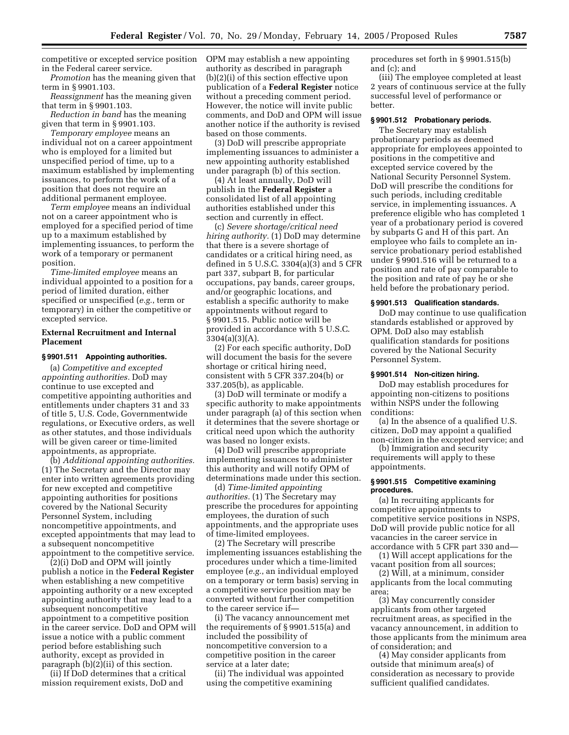competitive or excepted service position in the Federal career service.

*Promotion* has the meaning given that term in § 9901.103.

*Reassignment* has the meaning given that term in § 9901.103.

*Reduction in band* has the meaning given that term in § 9901.103.

*Temporary employee* means an individual not on a career appointment who is employed for a limited but unspecified period of time, up to a maximum established by implementing issuances, to perform the work of a position that does not require an additional permanent employee.

*Term employee* means an individual not on a career appointment who is employed for a specified period of time up to a maximum established by implementing issuances, to perform the work of a temporary or permanent position.

*Time-limited employee* means an individual appointed to a position for a period of limited duration, either specified or unspecified (*e.g.*, term or temporary) in either the competitive or excepted service.

## **External Recruitment and Internal Placement**

## **§ 9901.511 Appointing authorities.**

(a) *Competitive and excepted appointing authorities.* DoD may continue to use excepted and competitive appointing authorities and entitlements under chapters 31 and 33 of title 5, U.S. Code, Governmentwide regulations, or Executive orders, as well as other statutes, and those individuals will be given career or time-limited appointments, as appropriate.

(b) *Additional appointing authorities.* (1) The Secretary and the Director may enter into written agreements providing for new excepted and competitive appointing authorities for positions covered by the National Security Personnel System, including noncompetitive appointments, and excepted appointments that may lead to a subsequent noncompetitive appointment to the competitive service.

(2)(i) DoD and OPM will jointly publish a notice in the **Federal Register** when establishing a new competitive appointing authority or a new excepted appointing authority that may lead to a subsequent noncompetitive appointment to a competitive position in the career service. DoD and OPM will issue a notice with a public comment period before establishing such authority, except as provided in paragraph (b)(2)(ii) of this section.

(ii) If DoD determines that a critical mission requirement exists, DoD and

OPM may establish a new appointing authority as described in paragraph (b)(2)(i) of this section effective upon publication of a **Federal Register** notice without a preceding comment period. However, the notice will invite public comments, and DoD and OPM will issue another notice if the authority is revised based on those comments.

(3) DoD will prescribe appropriate implementing issuances to administer a new appointing authority established under paragraph (b) of this section.

(4) At least annually, DoD will publish in the **Federal Register** a consolidated list of all appointing authorities established under this section and currently in effect.

(c) *Severe shortage/critical need hiring authority.* (1) DoD may determine that there is a severe shortage of candidates or a critical hiring need, as defined in 5 U.S.C. 3304(a)(3) and 5 CFR part 337, subpart B, for particular occupations, pay bands, career groups, and/or geographic locations, and establish a specific authority to make appointments without regard to § 9901.515. Public notice will be provided in accordance with 5 U.S.C.  $3304(a)(3)(A)$ .

(2) For each specific authority, DoD will document the basis for the severe shortage or critical hiring need, consistent with 5 CFR 337.204(b) or 337.205(b), as applicable.

(3) DoD will terminate or modify a specific authority to make appointments under paragraph (a) of this section when it determines that the severe shortage or critical need upon which the authority was based no longer exists.

(4) DoD will prescribe appropriate implementing issuances to administer this authority and will notify OPM of determinations made under this section.

(d) *Time-limited appointing authorities.* (1) The Secretary may prescribe the procedures for appointing employees, the duration of such appointments, and the appropriate uses of time-limited employees.

(2) The Secretary will prescribe implementing issuances establishing the procedures under which a time-limited employee (*e.g.*, an individual employed on a temporary or term basis) serving in a competitive service position may be converted without further competition to the career service if—

(i) The vacancy announcement met the requirements of § 9901.515(a) and included the possibility of noncompetitive conversion to a competitive position in the career service at a later date;

(ii) The individual was appointed using the competitive examining

procedures set forth in § 9901.515(b) and (c); and

(iii) The employee completed at least 2 years of continuous service at the fully successful level of performance or better.

#### **§ 9901.512 Probationary periods.**

The Secretary may establish probationary periods as deemed appropriate for employees appointed to positions in the competitive and excepted service covered by the National Security Personnel System. DoD will prescribe the conditions for such periods, including creditable service, in implementing issuances. A preference eligible who has completed 1 year of a probationary period is covered by subparts G and H of this part. An employee who fails to complete an inservice probationary period established under § 9901.516 will be returned to a position and rate of pay comparable to the position and rate of pay he or she held before the probationary period.

#### **§ 9901.513 Qualification standards.**

DoD may continue to use qualification standards established or approved by OPM. DoD also may establish qualification standards for positions covered by the National Security Personnel System.

#### **§ 9901.514 Non-citizen hiring.**

DoD may establish procedures for appointing non-citizens to positions within NSPS under the following conditions:

(a) In the absence of a qualified U.S. citizen, DoD may appoint a qualified non-citizen in the excepted service; and

(b) Immigration and security requirements will apply to these appointments.

#### **§ 9901.515 Competitive examining procedures.**

(a) In recruiting applicants for competitive appointments to competitive service positions in NSPS, DoD will provide public notice for all vacancies in the career service in accordance with 5 CFR part 330 and—

(1) Will accept applications for the vacant position from all sources;

(2) Will, at a minimum, consider applicants from the local commuting area;

(3) May concurrently consider applicants from other targeted recruitment areas, as specified in the vacancy announcement, in addition to those applicants from the minimum area of consideration; and

(4) May consider applicants from outside that minimum area(s) of consideration as necessary to provide sufficient qualified candidates.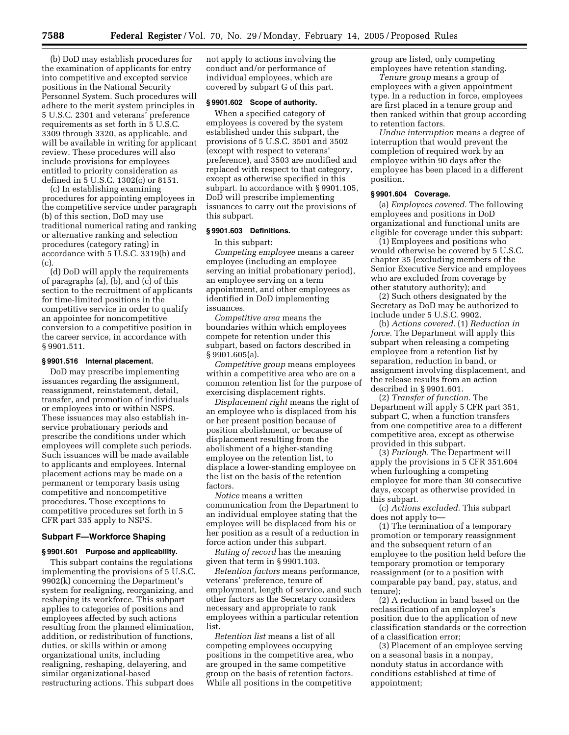(b) DoD may establish procedures for the examination of applicants for entry into competitive and excepted service positions in the National Security Personnel System. Such procedures will adhere to the merit system principles in 5 U.S.C. 2301 and veterans' preference requirements as set forth in 5 U.S.C. 3309 through 3320, as applicable, and will be available in writing for applicant review. These procedures will also include provisions for employees entitled to priority consideration as defined in 5 U.S.C. 1302(c) or 8151.

(c) In establishing examining procedures for appointing employees in the competitive service under paragraph (b) of this section, DoD may use traditional numerical rating and ranking or alternative ranking and selection procedures (category rating) in accordance with 5 U.S.C. 3319(b) and  $(c)$ 

(d) DoD will apply the requirements of paragraphs (a), (b), and (c) of this section to the recruitment of applicants for time-limited positions in the competitive service in order to qualify an appointee for noncompetitive conversion to a competitive position in the career service, in accordance with § 9901.511.

## **§ 9901.516 Internal placement.**

DoD may prescribe implementing issuances regarding the assignment, reassignment, reinstatement, detail, transfer, and promotion of individuals or employees into or within NSPS. These issuances may also establish inservice probationary periods and prescribe the conditions under which employees will complete such periods. Such issuances will be made available to applicants and employees. Internal placement actions may be made on a permanent or temporary basis using competitive and noncompetitive procedures. Those exceptions to competitive procedures set forth in 5 CFR part 335 apply to NSPS.

## **Subpart F—Workforce Shaping**

#### **§ 9901.601 Purpose and applicability.**

This subpart contains the regulations implementing the provisions of 5 U.S.C. 9902(k) concerning the Department's system for realigning, reorganizing, and reshaping its workforce. This subpart applies to categories of positions and employees affected by such actions resulting from the planned elimination, addition, or redistribution of functions, duties, or skills within or among organizational units, including realigning, reshaping, delayering, and similar organizational-based restructuring actions. This subpart does

not apply to actions involving the conduct and/or performance of individual employees, which are covered by subpart G of this part.

## **§ 9901.602 Scope of authority.**

When a specified category of employees is covered by the system established under this subpart, the provisions of 5 U.S.C. 3501 and 3502 (except with respect to veterans' preference), and 3503 are modified and replaced with respect to that category, except as otherwise specified in this subpart. In accordance with § 9901.105, DoD will prescribe implementing issuances to carry out the provisions of this subpart.

## **§ 9901.603 Definitions.**

In this subpart:

*Competing employee* means a career employee (including an employee serving an initial probationary period), an employee serving on a term appointment, and other employees as identified in DoD implementing issuances.

*Competitive area* means the boundaries within which employees compete for retention under this subpart, based on factors described in § 9901.605(a).

*Competitive group* means employees within a competitive area who are on a common retention list for the purpose of exercising displacement rights.

*Displacement right* means the right of an employee who is displaced from his or her present position because of position abolishment, or because of displacement resulting from the abolishment of a higher-standing employee on the retention list, to displace a lower-standing employee on the list on the basis of the retention factors.

*Notice* means a written communication from the Department to an individual employee stating that the employee will be displaced from his or her position as a result of a reduction in force action under this subpart.

*Rating of record* has the meaning given that term in § 9901.103.

*Retention factors* means performance, veterans' preference, tenure of employment, length of service, and such other factors as the Secretary considers necessary and appropriate to rank employees within a particular retention list.

*Retention list* means a list of all competing employees occupying positions in the competitive area, who are grouped in the same competitive group on the basis of retention factors. While all positions in the competitive

group are listed, only competing employees have retention standing.

*Tenure group* means a group of employees with a given appointment type. In a reduction in force, employees are first placed in a tenure group and then ranked within that group according to retention factors.

*Undue interruption* means a degree of interruption that would prevent the completion of required work by an employee within 90 days after the employee has been placed in a different position.

## **§ 9901.604 Coverage.**

(a) *Employees covered.* The following employees and positions in DoD organizational and functional units are eligible for coverage under this subpart:

(1) Employees and positions who would otherwise be covered by 5 U.S.C. chapter 35 (excluding members of the Senior Executive Service and employees who are excluded from coverage by other statutory authority); and

(2) Such others designated by the Secretary as DoD may be authorized to include under 5 U.S.C. 9902.

(b) *Actions covered.* (1) *Reduction in force.* The Department will apply this subpart when releasing a competing employee from a retention list by separation, reduction in band, or assignment involving displacement, and the release results from an action described in § 9901.601.

(2) *Transfer of function.* The Department will apply 5 CFR part 351, subpart C, when a function transfers from one competitive area to a different competitive area, except as otherwise provided in this subpart.

(3) *Furlough.* The Department will apply the provisions in 5 CFR 351.604 when furloughing a competing employee for more than 30 consecutive days, except as otherwise provided in this subpart.

(c) *Actions excluded.* This subpart does not apply to—

(1) The termination of a temporary promotion or temporary reassignment and the subsequent return of an employee to the position held before the temporary promotion or temporary reassignment (or to a position with comparable pay band, pay, status, and tenure);

(2) A reduction in band based on the reclassification of an employee's position due to the application of new classification standards or the correction of a classification error;

(3) Placement of an employee serving on a seasonal basis in a nonpay, nonduty status in accordance with conditions established at time of appointment;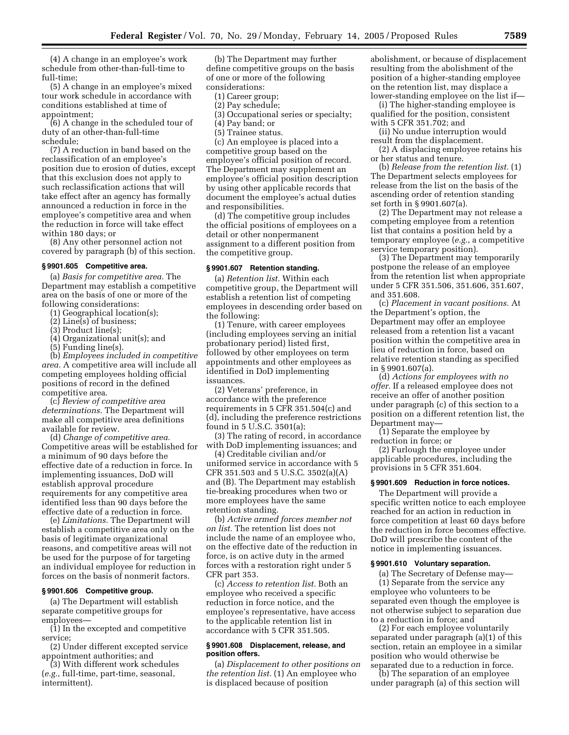(4) A change in an employee's work schedule from other-than-full-time to full-time;

(5) A change in an employee's mixed tour work schedule in accordance with conditions established at time of appointment;

(6) A change in the scheduled tour of duty of an other-than-full-time schedule;

(7) A reduction in band based on the reclassification of an employee's position due to erosion of duties, except that this exclusion does not apply to such reclassification actions that will take effect after an agency has formally announced a reduction in force in the employee's competitive area and when the reduction in force will take effect within 180 days; or

(8) Any other personnel action not covered by paragraph (b) of this section.

#### **§ 9901.605 Competitive area.**

(a) *Basis for competitive area.* The Department may establish a competitive area on the basis of one or more of the following considerations:

(1) Geographical location(s);

- (2) Line(s) of business;
- (3) Product line(s);
- (4) Organizational unit(s); and

(5) Funding line(s).

(b) *Employees included in competitive area.* A competitive area will include all competing employees holding official positions of record in the defined competitive area.

(c) *Review of competitive area determinations.* The Department will make all competitive area definitions available for review.

(d) *Change of competitive area.* Competitive areas will be established for a minimum of 90 days before the effective date of a reduction in force. In implementing issuances, DoD will establish approval procedure requirements for any competitive area identified less than 90 days before the effective date of a reduction in force.

(e) *Limitations.* The Department will establish a competitive area only on the basis of legitimate organizational reasons, and competitive areas will not be used for the purpose of for targeting an individual employee for reduction in forces on the basis of nonmerit factors.

## **§ 9901.606 Competitive group.**

(a) The Department will establish separate competitive groups for employees—

(1) In the excepted and competitive service;

(2) Under different excepted service appointment authorities; and

(3) With different work schedules (*e.g.*, full-time, part-time, seasonal, intermittent).

(b) The Department may further define competitive groups on the basis of one or more of the following considerations:

- (1) Career group;
- (2) Pay schedule;
- (3) Occupational series or specialty;
- (4) Pay band; or
- (5) Trainee status.

(c) An employee is placed into a competitive group based on the employee's official position of record. The Department may supplement an employee's official position description by using other applicable records that document the employee's actual duties and responsibilities.

(d) The competitive group includes the official positions of employees on a detail or other nonpermanent assignment to a different position from the competitive group.

#### **§ 9901.607 Retention standing.**

(a) *Retention list.* Within each competitive group, the Department will establish a retention list of competing employees in descending order based on the following:

(1) Tenure, with career employees (including employees serving an initial probationary period) listed first, followed by other employees on term appointments and other employees as identified in DoD implementing issuances.

(2) Veterans' preference, in accordance with the preference requirements in 5 CFR 351.504(c) and (d), including the preference restrictions found in 5 U.S.C. 3501(a);

(3) The rating of record, in accordance with DoD implementing issuances; and

(4) Creditable civilian and/or uniformed service in accordance with 5 CFR 351.503 and 5 U.S.C. 3502(a)(A) and (B). The Department may establish tie-breaking procedures when two or more employees have the same retention standing.

(b) *Active armed forces member not on list.* The retention list does not include the name of an employee who, on the effective date of the reduction in force, is on active duty in the armed forces with a restoration right under 5 CFR part 353.

(c) *Access to retention list.* Both an employee who received a specific reduction in force notice, and the employee's representative, have access to the applicable retention list in accordance with 5 CFR 351.505.

## **§ 9901.608 Displacement, release, and position offers.**

(a) *Displacement to other positions on the retention list.* (1) An employee who is displaced because of position

abolishment, or because of displacement resulting from the abolishment of the position of a higher-standing employee on the retention list, may displace a lower-standing employee on the list if—

(i) The higher-standing employee is qualified for the position, consistent with 5 CFR 351.702; and

(ii) No undue interruption would result from the displacement.

(2) A displacing employee retains his or her status and tenure.

(b) *Release from the retention list.* (1) The Department selects employees for release from the list on the basis of the ascending order of retention standing set forth in § 9901.607(a).

(2) The Department may not release a competing employee from a retention list that contains a position held by a temporary employee (*e.g.*, a competitive service temporary position).

(3) The Department may temporarily postpone the release of an employee from the retention list when appropriate under 5 CFR 351.506, 351.606, 351.607, and 351.608.

(c) *Placement in vacant positions.* At the Department's option, the Department may offer an employee released from a retention list a vacant position within the competitive area in lieu of reduction in force, based on relative retention standing as specified in § 9901.607(a).

(d) *Actions for employees with no offer.* If a released employee does not receive an offer of another position under paragraph (c) of this section to a position on a different retention list, the Department may—

(1) Separate the employee by reduction in force; or

(2) Furlough the employee under applicable procedures, including the provisions in 5 CFR 351.604.

## **§ 9901.609 Reduction in force notices.**

The Department will provide a specific written notice to each employee reached for an action in reduction in force competition at least 60 days before the reduction in force becomes effective. DoD will prescribe the content of the notice in implementing issuances.

#### **§ 9901.610 Voluntary separation.**

(a) The Secretary of Defense may— (1) Separate from the service any employee who volunteers to be separated even though the employee is

not otherwise subject to separation due to a reduction in force; and (2) For each employee voluntarily separated under paragraph (a)(1) of this

section, retain an employee in a similar position who would otherwise be separated due to a reduction in force.

(b) The separation of an employee under paragraph (a) of this section will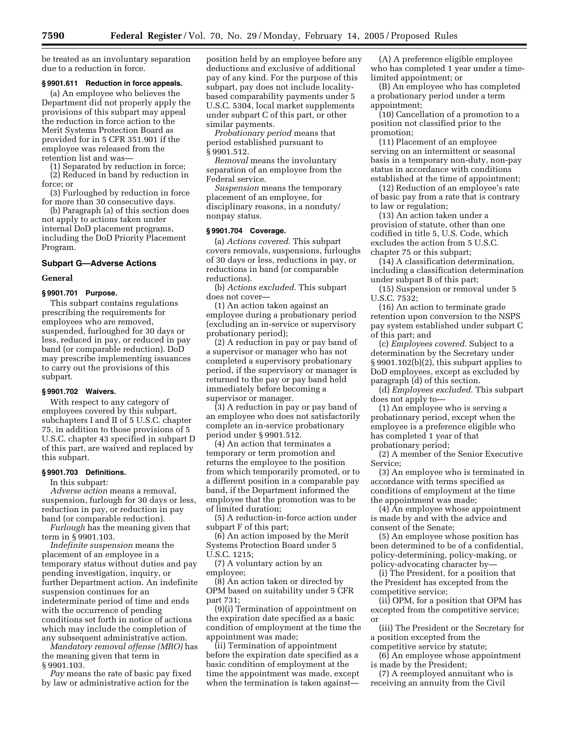be treated as an involuntary separation due to a reduction in force.

## **§ 9901.611 Reduction in force appeals.**

(a) An employee who believes the Department did not properly apply the provisions of this subpart may appeal the reduction in force action to the Merit Systems Protection Board as provided for in 5 CFR 351.901 if the employee was released from the retention list and was—

(1) Separated by reduction in force; (2) Reduced in band by reduction in

force; or (3) Furloughed by reduction in force

for more than 30 consecutive days.

(b) Paragraph (a) of this section does not apply to actions taken under internal DoD placement programs, including the DoD Priority Placement Program.

#### **Subpart G—Adverse Actions**

#### **General**

#### **§ 9901.701 Purpose.**

This subpart contains regulations prescribing the requirements for employees who are removed, suspended, furloughed for 30 days or less, reduced in pay, or reduced in pay band (or comparable reduction). DoD may prescribe implementing issuances to carry out the provisions of this subpart.

## **§ 9901.702 Waivers.**

With respect to any category of employees covered by this subpart, subchapters I and II of 5 U.S.C. chapter 75, in addition to those provisions of 5 U.S.C. chapter 43 specified in subpart D of this part, are waived and replaced by this subpart.

#### **§ 9901.703 Definitions.**

In this subpart:

*Adverse action* means a removal, suspension, furlough for 30 days or less, reduction in pay, or reduction in pay band (or comparable reduction).

*Furlough* has the meaning given that term in § 9901.103.

*Indefinite suspension* means the placement of an employee in a temporary status without duties and pay pending investigation, inquiry, or further Department action. An indefinite suspension continues for an indeterminate period of time and ends with the occurrence of pending conditions set forth in notice of actions which may include the completion of any subsequent administrative action.

*Mandatory removal offense (MRO)* has the meaning given that term in § 9901.103.

*Pay* means the rate of basic pay fixed by law or administrative action for the

position held by an employee before any deductions and exclusive of additional pay of any kind. For the purpose of this subpart, pay does not include localitybased comparability payments under 5 U.S.C. 5304, local market supplements under subpart C of this part, or other similar payments.

*Probationary period* means that period established pursuant to § 9901.512.

*Removal* means the involuntary separation of an employee from the Federal service.

*Suspension* means the temporary placement of an employee, for disciplinary reasons, in a nonduty/ nonpay status.

## **§ 9901.704 Coverage.**

(a) *Actions covered*. This subpart covers removals, suspensions, furloughs of 30 days or less, reductions in pay, or reductions in band (or comparable reductions).

(b) *Actions excluded*. This subpart does not cover—

(1) An action taken against an employee during a probationary period (excluding an in-service or supervisory probationary period);

(2) A reduction in pay or pay band of a supervisor or manager who has not completed a supervisory probationary period, if the supervisory or manager is returned to the pay or pay band held immediately before becoming a supervisor or manager.

(3) A reduction in pay or pay band of an employee who does not satisfactorily complete an in-service probationary period under § 9901.512.

(4) An action that terminates a temporary or term promotion and returns the employee to the position from which temporarily promoted, or to a different position in a comparable pay band, if the Department informed the employee that the promotion was to be of limited duration;

(5) A reduction-in-force action under subpart F of this part;

(6) An action imposed by the Merit Systems Protection Board under 5

U.S.C. 1215; (7) A voluntary action by an employee;

(8) An action taken or directed by OPM based on suitability under 5 CFR part 731;

(9)(i) Termination of appointment on the expiration date specified as a basic condition of employment at the time the appointment was made;

(ii) Termination of appointment before the expiration date specified as a basic condition of employment at the time the appointment was made, except when the termination is taken against—

(A) A preference eligible employee who has completed 1 year under a timelimited appointment; or

(B) An employee who has completed a probationary period under a term appointment;

(10) Cancellation of a promotion to a position not classified prior to the promotion;

(11) Placement of an employee serving on an intermittent or seasonal basis in a temporary non-duty, non-pay status in accordance with conditions established at the time of appointment;

(12) Reduction of an employee's rate of basic pay from a rate that is contrary to law or regulation;

(13) An action taken under a provision of statute, other than one codified in title 5, U.S. Code, which excludes the action from 5 U.S.C. chapter 75 or this subpart;

(14) A classification determination, including a classification determination under subpart B of this part;

(15) Suspension or removal under 5 U.S.C. 7532;

(16) An action to terminate grade retention upon conversion to the NSPS pay system established under subpart C of this part; and

(c) *Employees covered*. Subject to a determination by the Secretary under § 9901.102(b)(2), this subpart applies to DoD employees, except as excluded by paragraph (d) of this section.

(d) *Employees excluded*. This subpart does not apply to—

(1) An employee who is serving a probationary period, except when the employee is a preference eligible who has completed 1 year of that probationary period;

(2) A member of the Senior Executive Service;

(3) An employee who is terminated in accordance with terms specified as conditions of employment at the time the appointment was made;

(4) An employee whose appointment is made by and with the advice and consent of the Senate;

(5) An employee whose position has been determined to be of a confidential, policy-determining, policy-making, or policy-advocating character by—

(i) The President, for a position that the President has excepted from the competitive service;

(ii) OPM, for a position that OPM has excepted from the competitive service; or

(iii) The President or the Secretary for a position excepted from the competitive service by statute;

(6) An employee whose appointment is made by the President;

(7) A reemployed annuitant who is receiving an annuity from the Civil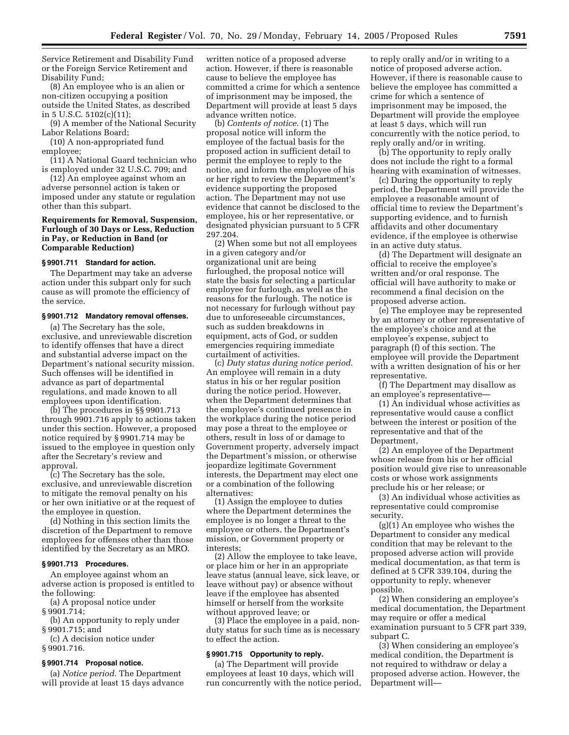Service Retirement and Disability Fund or the Foreign Service Retirement and Disability Fund;

(8) An employee who is an alien or non-citizen occupying a position outside the United States, as described in 5 U.S.C. 5102(c)(11);

(9) A member of the National Security Labor Relations Board;

(10) A non-appropriated fund employee;

(11) A National Guard technician who is employed under 32 U.S.C. 709; and

(12) An employee against whom an adverse personnel action is taken or imposed under any statute or regulation other than this subpart.

## **Requirements for Removal, Suspension, Furlough of 30 Days or Less, Reduction in Pay, or Reduction in Band (or Comparable Reduction)**

#### **§ 9901.711 Standard for action.**

The Department may take an adverse action under this subpart only for such cause as will promote the efficiency of the service.

#### **§ 9901.712 Mandatory removal offenses.**

(a) The Secretary has the sole, exclusive, and unreviewable discretion to identify offenses that have a direct and substantial adverse impact on the Department's national security mission. Such offenses will be identified in advance as part of departmental regulations, and made known to all employees upon identification.

(b) The procedures in §§ 9901.713 through 9901.716 apply to actions taken under this section. However, a proposed notice required by § 9901.714 may be issued to the employee in question only after the Secretary's review and approval.

(c) The Secretary has the sole, exclusive, and unreviewable discretion to mitigate the removal penalty on his or her own initiative or at the request of the employee in question.

(d) Nothing in this section limits the discretion of the Department to remove employees for offenses other than those identified by the Secretary as an MRO.

## **§ 9901.713 Procedures.**

An employee against whom an adverse action is proposed is entitled to the following:

(a) A proposal notice under § 9901.714;

(b) An opportunity to reply under § 9901.715; and

(c) A decision notice under § 9901.716.

## **§ 9901.714 Proposal notice.**

(a) *Notice period*. The Department will provide at least 15 days advance written notice of a proposed adverse action. However, if there is reasonable cause to believe the employee has committed a crime for which a sentence of imprisonment may be imposed, the Department will provide at least 5 days advance written notice.

(b) *Contents of notice*. (1) The proposal notice will inform the employee of the factual basis for the proposed action in sufficient detail to permit the employee to reply to the notice, and inform the employee of his or her right to review the Department's evidence supporting the proposed action. The Department may not use evidence that cannot be disclosed to the employee, his or her representative, or designated physician pursuant to 5 CFR 297.204.

(2) When some but not all employees in a given category and/or organizational unit are being furloughed, the proposal notice will state the basis for selecting a particular employee for furlough, as well as the reasons for the furlough. The notice is not necessary for furlough without pay due to unforeseeable circumstances, such as sudden breakdowns in equipment, acts of God, or sudden emergencies requiring immediate curtailment of activities.

(c) *Duty status during notice period*. An employee will remain in a duty status in his or her regular position during the notice period. However, when the Department determines that the employee's continued presence in the workplace during the notice period may pose a threat to the employee or others, result in loss of or damage to Government property, adversely impact the Department's mission, or otherwise jeopardize legitimate Government interests, the Department may elect one or a combination of the following alternatives:

(1) Assign the employee to duties where the Department determines the employee is no longer a threat to the employee or others, the Department's mission, or Government property or interests;

(2) Allow the employee to take leave, or place him or her in an appropriate leave status (annual leave, sick leave, or leave without pay) or absence without leave if the employee has absented himself or herself from the worksite without approved leave; or

(3) Place the employee in a paid, nonduty status for such time as is necessary to effect the action.

#### **§ 9901.715 Opportunity to reply.**

(a) The Department will provide employees at least 10 days, which will run concurrently with the notice period,

to reply orally and/or in writing to a notice of proposed adverse action. However, if there is reasonable cause to believe the employee has committed a crime for which a sentence of imprisonment may be imposed, the Department will provide the employee at least 5 days, which will run concurrently with the notice period, to reply orally and/or in writing.

(b) The opportunity to reply orally does not include the right to a formal hearing with examination of witnesses.

(c) During the opportunity to reply period, the Department will provide the employee a reasonable amount of official time to review the Department's supporting evidence, and to furnish affidavits and other documentary evidence, if the employee is otherwise in an active duty status.

(d) The Department will designate an official to receive the employee's written and/or oral response. The official will have authority to make or recommend a final decision on the proposed adverse action.

(e) The employee may be represented by an attorney or other representative of the employee's choice and at the employee's expense, subject to paragraph (f) of this section. The employee will provide the Department with a written designation of his or her representative.

(f) The Department may disallow as an employee's representative—

(1) An individual whose activities as representative would cause a conflict between the interest or position of the representative and that of the Department,

(2) An employee of the Department whose release from his or her official position would give rise to unreasonable costs or whose work assignments preclude his or her release; or

(3) An individual whose activities as representative could compromise security.

(g)(1) An employee who wishes the Department to consider any medical condition that may be relevant to the proposed adverse action will provide medical documentation, as that term is defined at 5 CFR 339.104, during the opportunity to reply, whenever possible.

(2) When considering an employee's medical documentation, the Department may require or offer a medical examination pursuant to 5 CFR part 339, subpart C.

(3) When considering an employee's medical condition, the Department is not required to withdraw or delay a proposed adverse action. However, the Department will—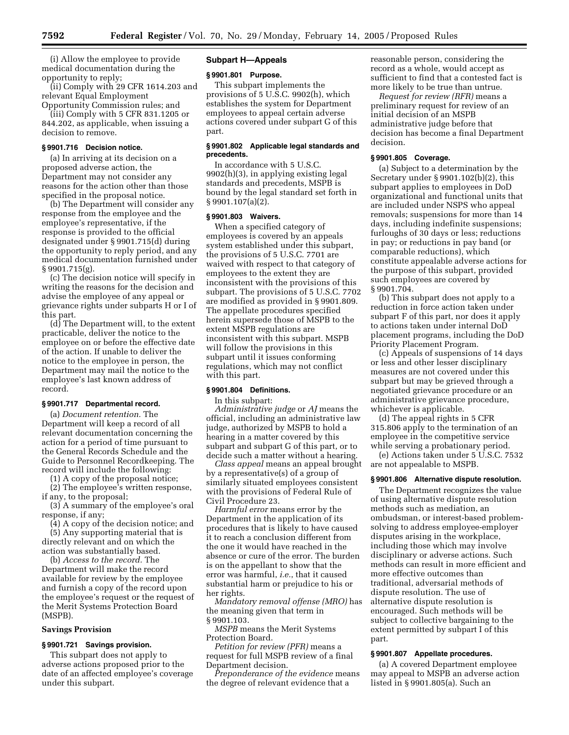(i) Allow the employee to provide medical documentation during the opportunity to reply;

(ii) Comply with 29 CFR 1614.203 and relevant Equal Employment Opportunity Commission rules; and

(iii) Comply with 5 CFR 831.1205 or 844.202, as applicable, when issuing a decision to remove.

## **§ 9901.716 Decision notice.**

(a) In arriving at its decision on a proposed adverse action, the Department may not consider any reasons for the action other than those specified in the proposal notice.

(b) The Department will consider any response from the employee and the employee's representative, if the response is provided to the official designated under § 9901.715(d) during the opportunity to reply period, and any medical documentation furnished under § 9901.715(g).

(c) The decision notice will specify in writing the reasons for the decision and advise the employee of any appeal or grievance rights under subparts H or I of this part.

(d) The Department will, to the extent practicable, deliver the notice to the employee on or before the effective date of the action. If unable to deliver the notice to the employee in person, the Department may mail the notice to the employee's last known address of record.

## **§ 9901.717 Departmental record.**

(a) *Document retention.* The Department will keep a record of all relevant documentation concerning the action for a period of time pursuant to the General Records Schedule and the Guide to Personnel Recordkeeping. The record will include the following:

(1) A copy of the proposal notice;

(2) The employee's written response, if any, to the proposal;

(3) A summary of the employee's oral response, if any;

(4) A copy of the decision notice; and (5) Any supporting material that is directly relevant and on which the action was substantially based.

(b) *Access to the record.* The Department will make the record available for review by the employee and furnish a copy of the record upon the employee's request or the request of the Merit Systems Protection Board (MSPB).

#### **Savings Provision**

## **§ 9901.721 Savings provision.**

This subpart does not apply to adverse actions proposed prior to the date of an affected employee's coverage under this subpart.

## **Subpart H—Appeals**

#### **§ 9901.801 Purpose.**

This subpart implements the provisions of 5 U.S.C. 9902(h), which establishes the system for Department employees to appeal certain adverse actions covered under subpart G of this part.

## **§ 9901.802 Applicable legal standards and precedents.**

In accordance with 5 U.S.C. 9902(h)(3), in applying existing legal standards and precedents, MSPB is bound by the legal standard set forth in § 9901.107(a)(2).

#### **§ 9901.803 Waivers.**

When a specified category of employees is covered by an appeals system established under this subpart, the provisions of 5 U.S.C. 7701 are waived with respect to that category of employees to the extent they are inconsistent with the provisions of this subpart. The provisions of 5 U.S.C. 7702 are modified as provided in § 9901.809. The appellate procedures specified herein supersede those of MSPB to the extent MSPB regulations are inconsistent with this subpart. MSPB will follow the provisions in this subpart until it issues conforming regulations, which may not conflict with this part.

#### **§ 9901.804 Definitions.**

In this subpart:

*Administrative judge* or *AJ* means the official, including an administrative law judge, authorized by MSPB to hold a hearing in a matter covered by this subpart and subpart G of this part, or to decide such a matter without a hearing.

*Class appeal* means an appeal brought by a representative(s) of a group of similarly situated employees consistent with the provisions of Federal Rule of Civil Procedure 23.

*Harmful error* means error by the Department in the application of its procedures that is likely to have caused it to reach a conclusion different from the one it would have reached in the absence or cure of the error. The burden is on the appellant to show that the error was harmful, *i.e.*, that it caused substantial harm or prejudice to his or her rights.

*Mandatory removal offense (MRO)* has the meaning given that term in § 9901.103.

*MSPB* means the Merit Systems Protection Board.

*Petition for review (PFR)* means a request for full MSPB review of a final Department decision.

*Preponderance of the evidence* means the degree of relevant evidence that a

reasonable person, considering the record as a whole, would accept as sufficient to find that a contested fact is more likely to be true than untrue.

*Request for review (RFR)* means a preliminary request for review of an initial decision of an MSPB administrative judge before that decision has become a final Department decision.

## **§ 9901.805 Coverage.**

(a) Subject to a determination by the Secretary under § 9901.102(b)(2), this subpart applies to employees in DoD organizational and functional units that are included under NSPS who appeal removals; suspensions for more than 14 days, including indefinite suspensions; furloughs of 30 days or less; reductions in pay; or reductions in pay band (or comparable reductions), which constitute appealable adverse actions for the purpose of this subpart, provided such employees are covered by § 9901.704.

(b) This subpart does not apply to a reduction in force action taken under subpart F of this part, nor does it apply to actions taken under internal DoD placement programs, including the DoD Priority Placement Program.

(c) Appeals of suspensions of 14 days or less and other lesser disciplinary measures are not covered under this subpart but may be grieved through a negotiated grievance procedure or an administrative grievance procedure, whichever is applicable.

(d) The appeal rights in 5 CFR 315.806 apply to the termination of an employee in the competitive service while serving a probationary period.

(e) Actions taken under 5 U.S.C. 7532 are not appealable to MSPB.

## **§ 9901.806 Alternative dispute resolution.**

The Department recognizes the value of using alternative dispute resolution methods such as mediation, an ombudsman, or interest-based problemsolving to address employee-employer disputes arising in the workplace, including those which may involve disciplinary or adverse actions. Such methods can result in more efficient and more effective outcomes than traditional, adversarial methods of dispute resolution. The use of alternative dispute resolution is encouraged. Such methods will be subject to collective bargaining to the extent permitted by subpart I of this part.

#### **§ 9901.807 Appellate procedures.**

(a) A covered Department employee may appeal to MSPB an adverse action listed in § 9901.805(a). Such an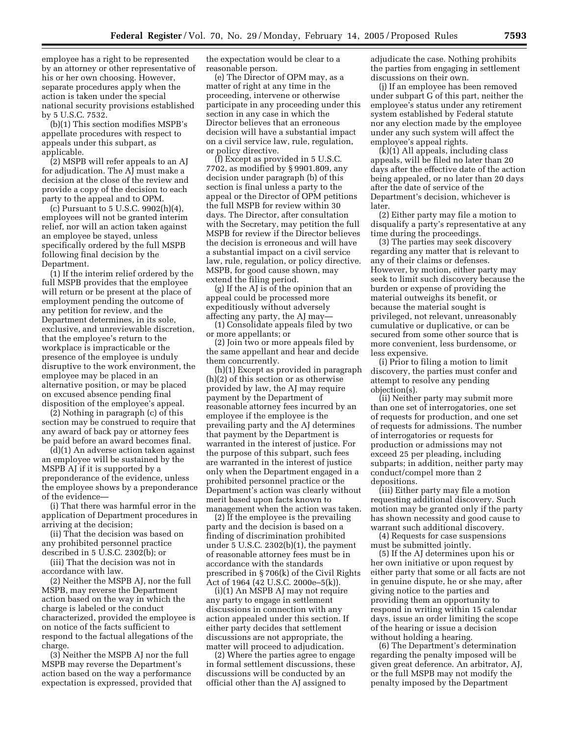employee has a right to be represented by an attorney or other representative of his or her own choosing. However, separate procedures apply when the action is taken under the special national security provisions established by 5 U.S.C. 7532.

(b)(1) This section modifies MSPB's appellate procedures with respect to appeals under this subpart, as applicable.

(2) MSPB will refer appeals to an AJ for adjudication. The AJ must make a decision at the close of the review and provide a copy of the decision to each party to the appeal and to OPM.

(c) Pursuant to 5 U.S.C. 9902(h)(4), employees will not be granted interim relief, nor will an action taken against an employee be stayed, unless specifically ordered by the full MSPB following final decision by the Department.

(1) If the interim relief ordered by the full MSPB provides that the employee will return or be present at the place of employment pending the outcome of any petition for review, and the Department determines, in its sole, exclusive, and unreviewable discretion, that the employee's return to the workplace is impracticable or the presence of the employee is unduly disruptive to the work environment, the employee may be placed in an alternative position, or may be placed on excused absence pending final disposition of the employee's appeal.

(2) Nothing in paragraph (c) of this section may be construed to require that any award of back pay or attorney fees be paid before an award becomes final.

(d)(1) An adverse action taken against an employee will be sustained by the MSPB AJ if it is supported by a preponderance of the evidence, unless the employee shows by a preponderance of the evidence—

(i) That there was harmful error in the application of Department procedures in arriving at the decision;

(ii) That the decision was based on any prohibited personnel practice described in 5 U.S.C. 2302(b); or

(iii) That the decision was not in accordance with law.

(2) Neither the MSPB AJ, nor the full MSPB, may reverse the Department action based on the way in which the charge is labeled or the conduct characterized, provided the employee is on notice of the facts sufficient to respond to the factual allegations of the charge.

(3) Neither the MSPB AJ nor the full MSPB may reverse the Department's action based on the way a performance expectation is expressed, provided that

the expectation would be clear to a reasonable person.

(e) The Director of OPM may, as a matter of right at any time in the proceeding, intervene or otherwise participate in any proceeding under this section in any case in which the Director believes that an erroneous decision will have a substantial impact on a civil service law, rule, regulation, or policy directive.

(f) Except as provided in 5 U.S.C. 7702, as modified by § 9901.809, any decision under paragraph (b) of this section is final unless a party to the appeal or the Director of OPM petitions the full MSPB for review within 30 days. The Director, after consultation with the Secretary, may petition the full MSPB for review if the Director believes the decision is erroneous and will have a substantial impact on a civil service law, rule, regulation, or policy directive. MSPB, for good cause shown, may extend the filing period.

(g) If the AJ is of the opinion that an appeal could be processed more expeditiously without adversely affecting any party, the AJ may—

(1) Consolidate appeals filed by two or more appellants; or

(2) Join two or more appeals filed by the same appellant and hear and decide them concurrently.

(h)(1) Except as provided in paragraph (h)(2) of this section or as otherwise provided by law, the AJ may require payment by the Department of reasonable attorney fees incurred by an employee if the employee is the prevailing party and the AJ determines that payment by the Department is warranted in the interest of justice. For the purpose of this subpart, such fees are warranted in the interest of justice only when the Department engaged in a prohibited personnel practice or the Department's action was clearly without merit based upon facts known to management when the action was taken.

(2) If the employee is the prevailing party and the decision is based on a finding of discrimination prohibited under 5 U.S.C. 2302(b)(1), the payment of reasonable attorney fees must be in accordance with the standards prescribed in § 706(k) of the Civil Rights Act of 1964 (42 U.S.C. 2000e–5(k)).

(i)(1) An MSPB AJ may not require any party to engage in settlement discussions in connection with any action appealed under this section. If either party decides that settlement discussions are not appropriate, the matter will proceed to adjudication.

(2) Where the parties agree to engage in formal settlement discussions, these discussions will be conducted by an official other than the AJ assigned to

adjudicate the case. Nothing prohibits the parties from engaging in settlement discussions on their own.

(j) If an employee has been removed under subpart G of this part, neither the employee's status under any retirement system established by Federal statute nor any election made by the employee under any such system will affect the employee's appeal rights.

(k)(1) All appeals, including class appeals, will be filed no later than 20 days after the effective date of the action being appealed, or no later than 20 days after the date of service of the Department's decision, whichever is later.

(2) Either party may file a motion to disqualify a party's representative at any time during the proceedings.

(3) The parties may seek discovery regarding any matter that is relevant to any of their claims or defenses. However, by motion, either party may seek to limit such discovery because the burden or expense of providing the material outweighs its benefit, or because the material sought is privileged, not relevant, unreasonably cumulative or duplicative, or can be secured from some other source that is more convenient, less burdensome, or less expensive.

(i) Prior to filing a motion to limit discovery, the parties must confer and attempt to resolve any pending objection(s).

(ii) Neither party may submit more than one set of interrogatories, one set of requests for production, and one set of requests for admissions. The number of interrogatories or requests for production or admissions may not exceed 25 per pleading, including subparts; in addition, neither party may conduct/compel more than 2 depositions.

(iii) Either party may file a motion requesting additional discovery. Such motion may be granted only if the party has shown necessity and good cause to warrant such additional discovery.

(4) Requests for case suspensions must be submitted jointly.

(5) If the AJ determines upon his or her own initiative or upon request by either party that some or all facts are not in genuine dispute, he or she may, after giving notice to the parties and providing them an opportunity to respond in writing within 15 calendar days, issue an order limiting the scope of the hearing or issue a decision without holding a hearing.

(6) The Department's determination regarding the penalty imposed will be given great deference. An arbitrator, AJ, or the full MSPB may not modify the penalty imposed by the Department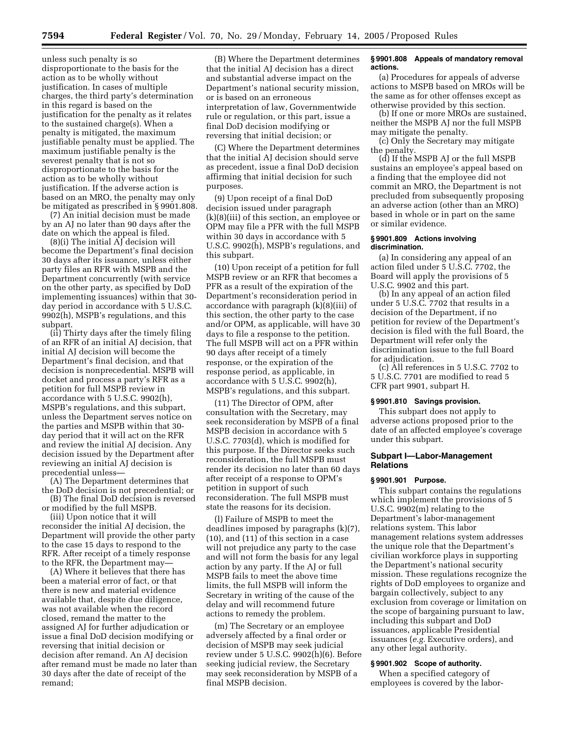unless such penalty is so disproportionate to the basis for the action as to be wholly without justification. In cases of multiple charges, the third party's determination in this regard is based on the justification for the penalty as it relates to the sustained charge(s). When a penalty is mitigated, the maximum justifiable penalty must be applied. The maximum justifiable penalty is the severest penalty that is not so disproportionate to the basis for the action as to be wholly without justification. If the adverse action is based on an MRO, the penalty may only be mitigated as prescribed in § 9901.808.

(7) An initial decision must be made by an AJ no later than 90 days after the date on which the appeal is filed.

(8)(i) The initial AJ decision will become the Department's final decision 30 days after its issuance, unless either party files an RFR with MSPB and the Department concurrently (with service on the other party, as specified by DoD implementing issuances) within that 30 day period in accordance with 5 U.S.C. 9902(h), MSPB's regulations, and this subpart.

(ii) Thirty days after the timely filing of an RFR of an initial AJ decision, that initial AJ decision will become the Department's final decision, and that decision is nonprecedential. MSPB will docket and process a party's RFR as a petition for full MSPB review in accordance with 5 U.S.C. 9902(h), MSPB's regulations, and this subpart, unless the Department serves notice on the parties and MSPB within that 30 day period that it will act on the RFR and review the initial AJ decision. Any decision issued by the Department after reviewing an initial AJ decision is precedential unless—

(A) The Department determines that the DoD decision is not precedential; or

(B) The final DoD decision is reversed or modified by the full MSPB.

(iii) Upon notice that it will reconsider the initial AJ decision, the Department will provide the other party to the case 15 days to respond to the RFR. After receipt of a timely response to the RFR, the Department may—

(A) Where it believes that there has been a material error of fact, or that there is new and material evidence available that, despite due diligence, was not available when the record closed, remand the matter to the assigned AJ for further adjudication or issue a final DoD decision modifying or reversing that initial decision or decision after remand. An AJ decision after remand must be made no later than 30 days after the date of receipt of the remand;

(B) Where the Department determines that the initial AJ decision has a direct and substantial adverse impact on the Department's national security mission, or is based on an erroneous interpretation of law, Governmentwide rule or regulation, or this part, issue a final DoD decision modifying or reversing that initial decision; or

(C) Where the Department determines that the initial AJ decision should serve as precedent, issue a final DoD decision affirming that initial decision for such purposes.

(9) Upon receipt of a final DoD decision issued under paragraph (k)(8)(iii) of this section, an employee or OPM may file a PFR with the full MSPB within 30 days in accordance with 5 U.S.C. 9902(h), MSPB's regulations, and this subpart.

(10) Upon receipt of a petition for full MSPB review or an RFR that becomes a PFR as a result of the expiration of the Department's reconsideration period in accordance with paragraph (k)(8)(iii) of this section, the other party to the case and/or OPM, as applicable, will have 30 days to file a response to the petition. The full MSPB will act on a PFR within 90 days after receipt of a timely response, or the expiration of the response period, as applicable, in accordance with 5 U.S.C. 9902(h), MSPB's regulations, and this subpart.

(11) The Director of OPM, after consultation with the Secretary, may seek reconsideration by MSPB of a final MSPB decision in accordance with 5 U.S.C. 7703(d), which is modified for this purpose. If the Director seeks such reconsideration, the full MSPB must render its decision no later than 60 days after receipt of a response to OPM's petition in support of such reconsideration. The full MSPB must state the reasons for its decision.

(l) Failure of MSPB to meet the deadlines imposed by paragraphs (k)(7), (10), and (11) of this section in a case will not prejudice any party to the case and will not form the basis for any legal action by any party. If the AJ or full MSPB fails to meet the above time limits, the full MSPB will inform the Secretary in writing of the cause of the delay and will recommend future actions to remedy the problem.

(m) The Secretary or an employee adversely affected by a final order or decision of MSPB may seek judicial review under 5 U.S.C. 9902(h)(6). Before seeking judicial review, the Secretary may seek reconsideration by MSPB of a final MSPB decision.

## **§ 9901.808 Appeals of mandatory removal actions.**

(a) Procedures for appeals of adverse actions to MSPB based on MROs will be the same as for other offenses except as otherwise provided by this section.

(b) If one or more MROs are sustained, neither the MSPB AJ nor the full MSPB may mitigate the penalty.

(c) Only the Secretary may mitigate the penalty.

(d) If the MSPB AJ or the full MSPB sustains an employee's appeal based on a finding that the employee did not commit an MRO, the Department is not precluded from subsequently proposing an adverse action (other than an MRO) based in whole or in part on the same or similar evidence.

#### **§ 9901.809 Actions involving discrimination.**

(a) In considering any appeal of an action filed under 5 U.S.C. 7702, the Board will apply the provisions of 5 U.S.C. 9902 and this part.

(b) In any appeal of an action filed under 5 U.S.C. 7702 that results in a decision of the Department, if no petition for review of the Department's decision is filed with the full Board, the Department will refer only the discrimination issue to the full Board for adjudication.

(c) All references in 5 U.S.C. 7702 to 5 U.S.C. 7701 are modified to read 5 CFR part 9901, subpart H.

#### **§ 9901.810 Savings provision.**

This subpart does not apply to adverse actions proposed prior to the date of an affected employee's coverage under this subpart.

## **Subpart I—Labor-Management Relations**

#### **§ 9901.901 Purpose.**

This subpart contains the regulations which implement the provisions of 5 U.S.C. 9902(m) relating to the Department's labor-management relations system. This labor management relations system addresses the unique role that the Department's civilian workforce plays in supporting the Department's national security mission. These regulations recognize the rights of DoD employees to organize and bargain collectively, subject to any exclusion from coverage or limitation on the scope of bargaining pursuant to law, including this subpart and DoD issuances, applicable Presidential issuances (*e.g.* Executive orders), and any other legal authority.

#### **§ 9901.902 Scope of authority.**

When a specified category of employees is covered by the labor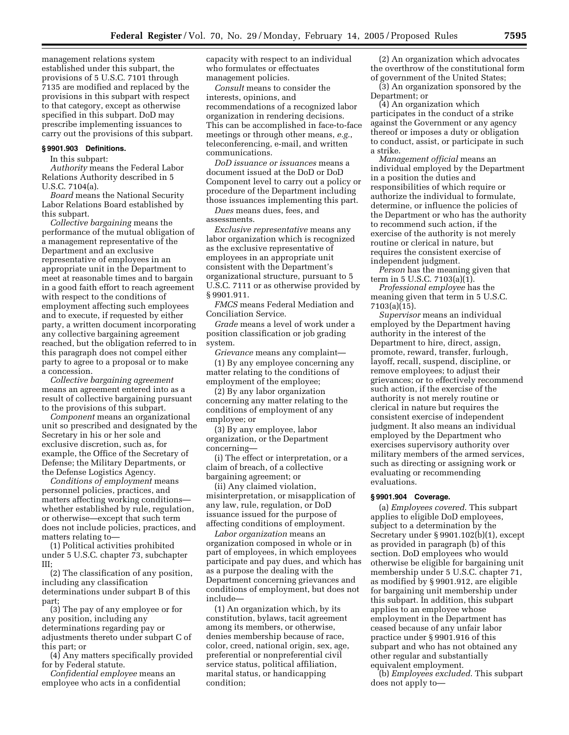management relations system established under this subpart, the provisions of 5 U.S.C. 7101 through 7135 are modified and replaced by the provisions in this subpart with respect to that category, except as otherwise specified in this subpart. DoD may prescribe implementing issuances to carry out the provisions of this subpart.

#### **§ 9901.903 Definitions.**

In this subpart:

*Authority* means the Federal Labor Relations Authority described in 5 U.S.C. 7104(a).

*Board* means the National Security Labor Relations Board established by this subpart.

*Collective bargaining* means the performance of the mutual obligation of a management representative of the Department and an exclusive representative of employees in an appropriate unit in the Department to meet at reasonable times and to bargain in a good faith effort to reach agreement with respect to the conditions of employment affecting such employees and to execute, if requested by either party, a written document incorporating any collective bargaining agreement reached, but the obligation referred to in this paragraph does not compel either party to agree to a proposal or to make a concession.

*Collective bargaining agreement* means an agreement entered into as a result of collective bargaining pursuant to the provisions of this subpart.

*Component* means an organizational unit so prescribed and designated by the Secretary in his or her sole and exclusive discretion, such as, for example, the Office of the Secretary of Defense; the Military Departments, or the Defense Logistics Agency.

*Conditions of employment* means personnel policies, practices, and matters affecting working conditions whether established by rule, regulation, or otherwise—except that such term does not include policies, practices, and matters relating to—

(1) Political activities prohibited under 5 U.S.C. chapter 73, subchapter III;

(2) The classification of any position, including any classification determinations under subpart B of this part;

(3) The pay of any employee or for any position, including any determinations regarding pay or adjustments thereto under subpart C of this part; or

(4) Any matters specifically provided for by Federal statute.

*Confidential employee* means an employee who acts in a confidential capacity with respect to an individual who formulates or effectuates management policies.

*Consult* means to consider the interests, opinions, and recommendations of a recognized labor organization in rendering decisions. This can be accomplished in face-to-face meetings or through other means, *e.g.*, teleconferencing, e-mail, and written communications.

*DoD issuance or issuances* means a document issued at the DoD or DoD Component level to carry out a policy or procedure of the Department including those issuances implementing this part.

*Dues* means dues, fees, and

assessments.

*Exclusive representative* means any labor organization which is recognized as the exclusive representative of employees in an appropriate unit consistent with the Department's organizational structure, pursuant to 5 U.S.C. 7111 or as otherwise provided by § 9901.911.

*FMCS* means Federal Mediation and Conciliation Service.

*Grade* means a level of work under a position classification or job grading system.

*Grievance* means any complaint— (1) By any employee concerning any matter relating to the conditions of employment of the employee;

(2) By any labor organization concerning any matter relating to the conditions of employment of any employee; or

(3) By any employee, labor organization, or the Department concerning—

(i) The effect or interpretation, or a claim of breach, of a collective bargaining agreement; or

(ii) Any claimed violation, misinterpretation, or misapplication of any law, rule, regulation, or DoD issuance issued for the purpose of affecting conditions of employment.

*Labor organization* means an organization composed in whole or in part of employees, in which employees participate and pay dues, and which has as a purpose the dealing with the Department concerning grievances and conditions of employment, but does not include—

(1) An organization which, by its constitution, bylaws, tacit agreement among its members, or otherwise, denies membership because of race, color, creed, national origin, sex, age, preferential or nonpreferential civil service status, political affiliation, marital status, or handicapping condition;

(2) An organization which advocates the overthrow of the constitutional form of government of the United States;

(3) An organization sponsored by the Department; or

(4) An organization which participates in the conduct of a strike against the Government or any agency thereof or imposes a duty or obligation to conduct, assist, or participate in such a strike.

*Management official* means an individual employed by the Department in a position the duties and responsibilities of which require or authorize the individual to formulate, determine, or influence the policies of the Department or who has the authority to recommend such action, if the exercise of the authority is not merely routine or clerical in nature, but requires the consistent exercise of independent judgment.

*Person* has the meaning given that term in 5 U.S.C. 7103(a)(1).

*Professional employee* has the meaning given that term in 5 U.S.C. 7103(a)(15).

*Supervisor* means an individual employed by the Department having authority in the interest of the Department to hire, direct, assign, promote, reward, transfer, furlough, layoff, recall, suspend, discipline, or remove employees; to adjust their grievances; or to effectively recommend such action, if the exercise of the authority is not merely routine or clerical in nature but requires the consistent exercise of independent judgment. It also means an individual employed by the Department who exercises supervisory authority over military members of the armed services, such as directing or assigning work or evaluating or recommending evaluations.

## **§ 9901.904 Coverage.**

(a) *Employees covered*. This subpart applies to eligible DoD employees, subject to a determination by the Secretary under § 9901.102(b)(1), except as provided in paragraph (b) of this section. DoD employees who would otherwise be eligible for bargaining unit membership under 5 U.S.C. chapter 71, as modified by § 9901.912, are eligible for bargaining unit membership under this subpart. In addition, this subpart applies to an employee whose employment in the Department has ceased because of any unfair labor practice under § 9901.916 of this subpart and who has not obtained any other regular and substantially equivalent employment.

(b) *Employees excluded*. This subpart does not apply to—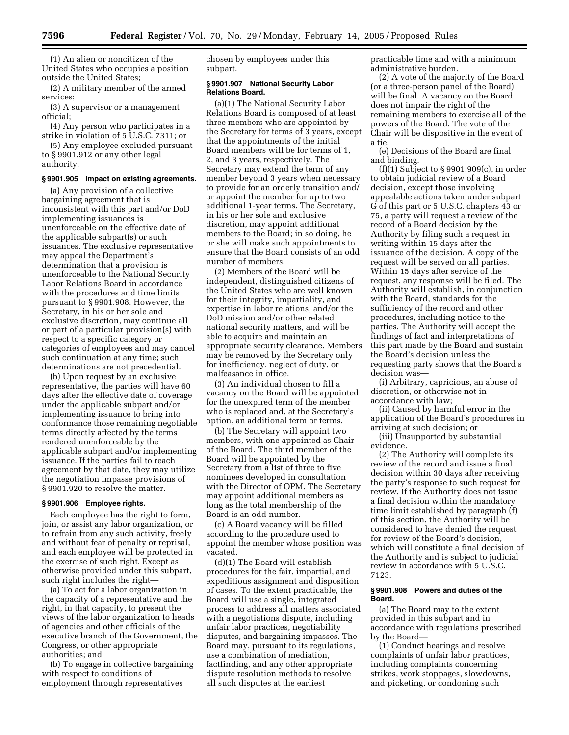(1) An alien or noncitizen of the United States who occupies a position outside the United States;

(2) A military member of the armed services;

(3) A supervisor or a management official;

(4) Any person who participates in a strike in violation of 5 U.S.C. 7311; or

(5) Any employee excluded pursuant to § 9901.912 or any other legal authority.

## **§ 9901.905 Impact on existing agreements.**

(a) Any provision of a collective bargaining agreement that is inconsistent with this part and/or DoD implementing issuances is unenforceable on the effective date of the applicable subpart(s) or such issuances. The exclusive representative may appeal the Department's determination that a provision is unenforceable to the National Security Labor Relations Board in accordance with the procedures and time limits pursuant to § 9901.908. However, the Secretary, in his or her sole and exclusive discretion, may continue all or part of a particular provision(s) with respect to a specific category or categories of employees and may cancel such continuation at any time; such determinations are not precedential.

(b) Upon request by an exclusive representative, the parties will have 60 days after the effective date of coverage under the applicable subpart and/or implementing issuance to bring into conformance those remaining negotiable terms directly affected by the terms rendered unenforceable by the applicable subpart and/or implementing issuance. If the parties fail to reach agreement by that date, they may utilize the negotiation impasse provisions of § 9901.920 to resolve the matter.

## **§ 9901.906 Employee rights.**

Each employee has the right to form, join, or assist any labor organization, or to refrain from any such activity, freely and without fear of penalty or reprisal, and each employee will be protected in the exercise of such right. Except as otherwise provided under this subpart, such right includes the right—

(a) To act for a labor organization in the capacity of a representative and the right, in that capacity, to present the views of the labor organization to heads of agencies and other officials of the executive branch of the Government, the Congress, or other appropriate authorities; and

(b) To engage in collective bargaining with respect to conditions of employment through representatives

chosen by employees under this subpart.

## **§ 9901.907 National Security Labor Relations Board.**

(a)(1) The National Security Labor Relations Board is composed of at least three members who are appointed by the Secretary for terms of 3 years, except that the appointments of the initial Board members will be for terms of 1, 2, and 3 years, respectively. The Secretary may extend the term of any member beyond 3 years when necessary to provide for an orderly transition and/ or appoint the member for up to two additional 1-year terms. The Secretary, in his or her sole and exclusive discretion, may appoint additional members to the Board; in so doing, he or she will make such appointments to ensure that the Board consists of an odd number of members.

(2) Members of the Board will be independent, distinguished citizens of the United States who are well known for their integrity, impartiality, and expertise in labor relations, and/or the DoD mission and/or other related national security matters, and will be able to acquire and maintain an appropriate security clearance. Members may be removed by the Secretary only for inefficiency, neglect of duty, or malfeasance in office.

(3) An individual chosen to fill a vacancy on the Board will be appointed for the unexpired term of the member who is replaced and, at the Secretary's option, an additional term or terms.

(b) The Secretary will appoint two members, with one appointed as Chair of the Board. The third member of the Board will be appointed by the Secretary from a list of three to five nominees developed in consultation with the Director of OPM. The Secretary may appoint additional members as long as the total membership of the Board is an odd number.

(c) A Board vacancy will be filled according to the procedure used to appoint the member whose position was vacated.

(d)(1) The Board will establish procedures for the fair, impartial, and expeditious assignment and disposition of cases. To the extent practicable, the Board will use a single, integrated process to address all matters associated with a negotiations dispute, including unfair labor practices, negotiability disputes, and bargaining impasses. The Board may, pursuant to its regulations, use a combination of mediation, factfinding, and any other appropriate dispute resolution methods to resolve all such disputes at the earliest

practicable time and with a minimum administrative burden.

(2) A vote of the majority of the Board (or a three-person panel of the Board) will be final. A vacancy on the Board does not impair the right of the remaining members to exercise all of the powers of the Board. The vote of the Chair will be dispositive in the event of a tie.

(e) Decisions of the Board are final and binding.

 $(f)(1)$  Subject to § 9901.909 $(c)$ , in order to obtain judicial review of a Board decision, except those involving appealable actions taken under subpart G of this part or 5 U.S.C. chapters 43 or 75, a party will request a review of the record of a Board decision by the Authority by filing such a request in writing within 15 days after the issuance of the decision. A copy of the request will be served on all parties. Within 15 days after service of the request, any response will be filed. The Authority will establish, in conjunction with the Board, standards for the sufficiency of the record and other procedures, including notice to the parties. The Authority will accept the findings of fact and interpretations of this part made by the Board and sustain the Board's decision unless the requesting party shows that the Board's decision was—

(i) Arbitrary, capricious, an abuse of discretion, or otherwise not in accordance with law;

(ii) Caused by harmful error in the application of the Board's procedures in arriving at such decision; or

(iii) Unsupported by substantial evidence.

(2) The Authority will complete its review of the record and issue a final decision within 30 days after receiving the party's response to such request for review. If the Authority does not issue a final decision within the mandatory time limit established by paragraph (f) of this section, the Authority will be considered to have denied the request for review of the Board's decision, which will constitute a final decision of the Authority and is subject to judicial review in accordance with 5 U.S.C. 7123.

## **§ 9901.908 Powers and duties of the Board.**

(a) The Board may to the extent provided in this subpart and in accordance with regulations prescribed by the Board—

(1) Conduct hearings and resolve complaints of unfair labor practices, including complaints concerning strikes, work stoppages, slowdowns, and picketing, or condoning such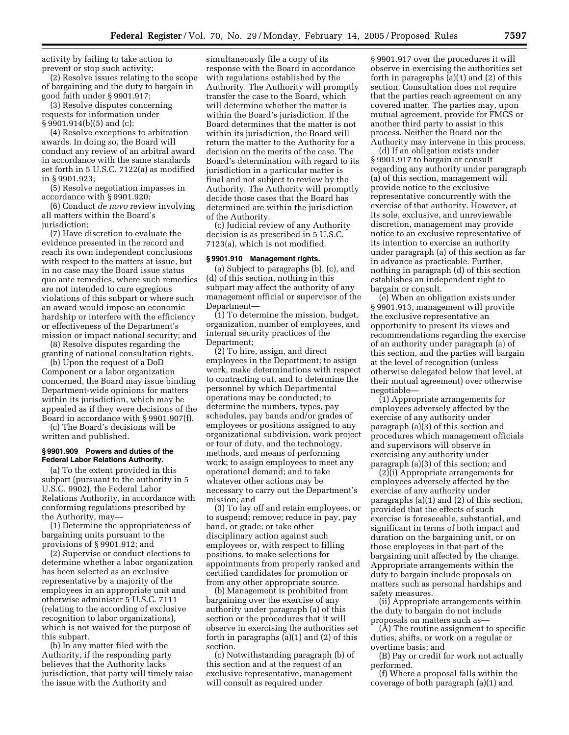activity by failing to take action to prevent or stop such activity;

(2) Resolve issues relating to the scope of bargaining and the duty to bargain in good faith under § 9901.917;

(3) Resolve disputes concerning requests for information under § 9901.914(b)(5) and (c);

(4) Resolve exceptions to arbitration awards. In doing so, the Board will conduct any review of an arbitral award in accordance with the same standards set forth in 5 U.S.C. 7122(a) as modified in § 9901.923;

(5) Resolve negotiation impasses in accordance with § 9901.920;

(6) Conduct *de novo* review involving all matters within the Board's jurisdiction;

(7) Have discretion to evaluate the evidence presented in the record and reach its own independent conclusions with respect to the matters at issue, but in no case may the Board issue status quo ante remedies, where such remedies are not intended to cure egregious violations of this subpart or where such an award would impose an economic hardship or interfere with the efficiency or effectiveness of the Department's mission or impact national security; and

(8) Resolve disputes regarding the granting of national consultation rights.

(b) Upon the request of a DoD Component or a labor organization concerned, the Board may issue binding Department-wide opinions for matters within its jurisdiction, which may be appealed as if they were decisions of the Board in accordance with § 9901.907(f).

(c) The Board's decisions will be written and published.

## **§ 9901.909 Powers and duties of the Federal Labor Relations Authority.**

(a) To the extent provided in this subpart (pursuant to the authority in 5 U.S.C. 9902), the Federal Labor Relations Authority, in accordance with conforming regulations prescribed by the Authority, may—

(1) Determine the appropriateness of bargaining units pursuant to the provisions of § 9901.912; and

(2) Supervise or conduct elections to determine whether a labor organization has been selected as an exclusive representative by a majority of the employees in an appropriate unit and otherwise administer 5 U.S.C. 7111 (relating to the according of exclusive recognition to labor organizations), which is not waived for the purpose of this subpart.

(b) In any matter filed with the Authority, if the responding party believes that the Authority lacks jurisdiction, that party will timely raise the issue with the Authority and

simultaneously file a copy of its response with the Board in accordance with regulations established by the Authority. The Authority will promptly transfer the case to the Board, which will determine whether the matter is within the Board's jurisdiction. If the Board determines that the matter is not within its jurisdiction, the Board will return the matter to the Authority for a decision on the merits of the case. The Board's determination with regard to its jurisdiction in a particular matter is final and not subject to review by the Authority. The Authority will promptly decide those cases that the Board has determined are within the jurisdiction of the Authority.

(c) Judicial review of any Authority decision is as prescribed in 5 U.S.C. 7123(a), which is not modified.

## **§ 9901.910 Management rights.**

(a) Subject to paragraphs (b), (c), and (d) of this section, nothing in this subpart may affect the authority of any management official or supervisor of the Department—

(1) To determine the mission, budget, organization, number of employees, and internal security practices of the Department;

(2) To hire, assign, and direct employees in the Department; to assign work, make determinations with respect to contracting out, and to determine the personnel by which Departmental operations may be conducted; to determine the numbers, types, pay schedules, pay bands and/or grades of employees or positions assigned to any organizational subdivision, work project or tour of duty, and the technology, methods, and means of performing work; to assign employees to meet any operational demand; and to take whatever other actions may be necessary to carry out the Department's mission; and

(3) To lay off and retain employees, or to suspend; remove; reduce in pay, pay band, or grade; or take other disciplinary action against such employees or, with respect to filling positions, to make selections for appointments from properly ranked and certified candidates for promotion or from any other appropriate source.

(b) Management is prohibited from bargaining over the exercise of any authority under paragraph (a) of this section or the procedures that it will observe in exercising the authorities set forth in paragraphs (a)(1) and (2) of this section.

(c) Notwithstanding paragraph (b) of this section and at the request of an exclusive representative, management will consult as required under

§ 9901.917 over the procedures it will observe in exercising the authorities set forth in paragraphs (a)(1) and (2) of this section. Consultation does not require that the parties reach agreement on any covered matter. The parties may, upon mutual agreement, provide for FMCS or another third party to assist in this process. Neither the Board nor the Authority may intervene in this process.

(d) If an obligation exists under § 9901.917 to bargain or consult regarding any authority under paragraph (a) of this section, management will provide notice to the exclusive representative concurrently with the exercise of that authority. However, at its sole, exclusive, and unreviewable discretion, management may provide notice to an exclusive representative of its intention to exercise an authority under paragraph (a) of this section as far in advance as practicable. Further, nothing in paragraph (d) of this section establishes an independent right to bargain or consult.

(e) When an obligation exists under § 9901.913, management will provide the exclusive representative an opportunity to present its views and recommendations regarding the exercise of an authority under paragraph (a) of this section, and the parties will bargain at the level of recognition (unless otherwise delegated below that level, at their mutual agreement) over otherwise negotiable—

(1) Appropriate arrangements for employees adversely affected by the exercise of any authority under paragraph (a)(3) of this section and procedures which management officials and supervisors will observe in exercising any authority under paragraph (a)(3) of this section; and

 $(2)$ (i) Appropriate arrangements for employees adversely affected by the exercise of any authority under paragraphs (a)(1) and (2) of this section, provided that the effects of such exercise is foreseeable, substantial, and significant in terms of both impact and duration on the bargaining unit, or on those employees in that part of the bargaining unit affected by the change. Appropriate arrangements within the duty to bargain include proposals on matters such as personal hardships and safety measures.

(ii) Appropriate arrangements within the duty to bargain do not include proposals on matters such as—

(A) The routine assignment to specific duties, shifts, or work on a regular or overtime basis; and

(B) Pay or credit for work not actually performed.

(f) Where a proposal falls within the coverage of both paragraph (a)(1) and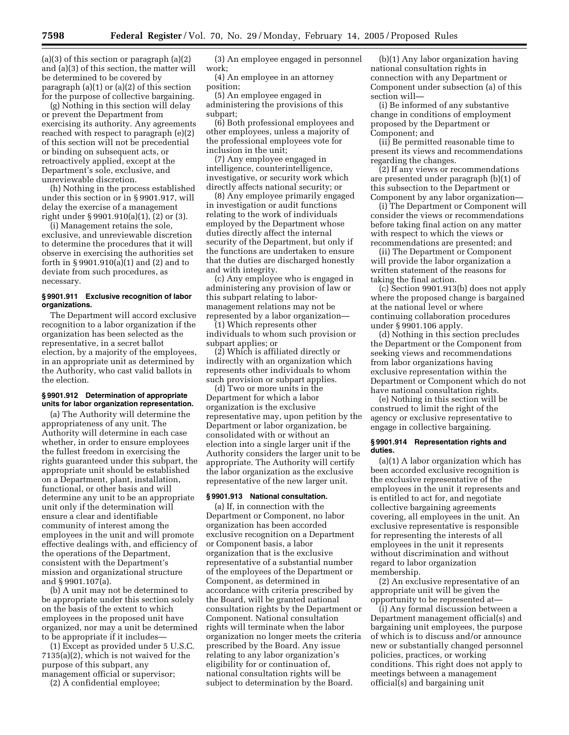(a)(3) of this section or paragraph (a)(2) and (a)(3) of this section, the matter will be determined to be covered by paragraph (a)(1) or (a)(2) of this section for the purpose of collective bargaining.

(g) Nothing in this section will delay or prevent the Department from exercising its authority. Any agreements reached with respect to paragraph (e)(2) of this section will not be precedential or binding on subsequent acts, or retroactively applied, except at the Department's sole, exclusive, and unreviewable discretion.

(h) Nothing in the process established under this section or in § 9901.917, will delay the exercise of a management right under § 9901.910(a)(1), (2) or (3).

(i) Management retains the sole, exclusive, and unreviewable discretion to determine the procedures that it will observe in exercising the authorities set forth in § 9901.910(a)(1) and (2) and to deviate from such procedures, as necessary.

## **§ 9901.911 Exclusive recognition of labor organizations.**

The Department will accord exclusive recognition to a labor organization if the organization has been selected as the representative, in a secret ballot election, by a majority of the employees, in an appropriate unit as determined by the Authority, who cast valid ballots in the election.

## **§ 9901.912 Determination of appropriate units for labor organization representation.**

(a) The Authority will determine the appropriateness of any unit. The Authority will determine in each case whether, in order to ensure employees the fullest freedom in exercising the rights guaranteed under this subpart, the appropriate unit should be established on a Department, plant, installation, functional, or other basis and will determine any unit to be an appropriate unit only if the determination will ensure a clear and identifiable community of interest among the employees in the unit and will promote effective dealings with, and efficiency of the operations of the Department, consistent with the Department's mission and organizational structure and § 9901.107(a).

(b) A unit may not be determined to be appropriate under this section solely on the basis of the extent to which employees in the proposed unit have organized, nor may a unit be determined to be appropriate if it includes—

(1) Except as provided under 5 U.S.C. 7135(a)(2), which is not waived for the purpose of this subpart, any management official or supervisor;

(2) A confidential employee;

(3) An employee engaged in personnel work;

(4) An employee in an attorney position;

(5) An employee engaged in administering the provisions of this subpart;

(6) Both professional employees and other employees, unless a majority of the professional employees vote for inclusion in the unit;

(7) Any employee engaged in intelligence, counterintelligence, investigative, or security work which directly affects national security; or

(8) Any employee primarily engaged in investigation or audit functions relating to the work of individuals employed by the Department whose duties directly affect the internal security of the Department, but only if the functions are undertaken to ensure that the duties are discharged honestly and with integrity.

(c) Any employee who is engaged in administering any provision of law or this subpart relating to labormanagement relations may not be represented by a labor organization—

(1) Which represents other individuals to whom such provision or subpart applies; or

(2) Which is affiliated directly or indirectly with an organization which represents other individuals to whom such provision or subpart applies.

(d) Two or more units in the Department for which a labor organization is the exclusive representative may, upon petition by the Department or labor organization, be consolidated with or without an election into a single larger unit if the Authority considers the larger unit to be appropriate. The Authority will certify the labor organization as the exclusive representative of the new larger unit.

## **§ 9901.913 National consultation.**

(a) If, in connection with the Department or Component, no labor organization has been accorded exclusive recognition on a Department or Component basis, a labor organization that is the exclusive representative of a substantial number of the employees of the Department or Component, as determined in accordance with criteria prescribed by the Board, will be granted national consultation rights by the Department or Component. National consultation rights will terminate when the labor organization no longer meets the criteria prescribed by the Board. Any issue relating to any labor organization's eligibility for or continuation of, national consultation rights will be subject to determination by the Board.

(b)(1) Any labor organization having national consultation rights in connection with any Department or Component under subsection (a) of this section will—

(i) Be informed of any substantive change in conditions of employment proposed by the Department or Component; and

(ii) Be permitted reasonable time to present its views and recommendations regarding the changes.

(2) If any views or recommendations are presented under paragraph (b)(1) of this subsection to the Department or Component by any labor organization—

(i) The Department or Component will consider the views or recommendations before taking final action on any matter with respect to which the views or recommendations are presented; and

(ii) The Department or Component will provide the labor organization a written statement of the reasons for taking the final action.

(c) Section 9901.913(b) does not apply where the proposed change is bargained at the national level or where continuing collaboration procedures under § 9901.106 apply.

(d) Nothing in this section precludes the Department or the Component from seeking views and recommendations from labor organizations having exclusive representation within the Department or Component which do not have national consultation rights.

(e) Nothing in this section will be construed to limit the right of the agency or exclusive representative to engage in collective bargaining.

#### **§ 9901.914 Representation rights and duties.**

(a)(1) A labor organization which has been accorded exclusive recognition is the exclusive representative of the employees in the unit it represents and is entitled to act for, and negotiate collective bargaining agreements covering, all employees in the unit. An exclusive representative is responsible for representing the interests of all employees in the unit it represents without discrimination and without regard to labor organization membership.

(2) An exclusive representative of an appropriate unit will be given the opportunity to be represented at—

(i) Any formal discussion between a Department management official(s) and bargaining unit employees, the purpose of which is to discuss and/or announce new or substantially changed personnel policies, practices, or working conditions. This right does not apply to meetings between a management official(s) and bargaining unit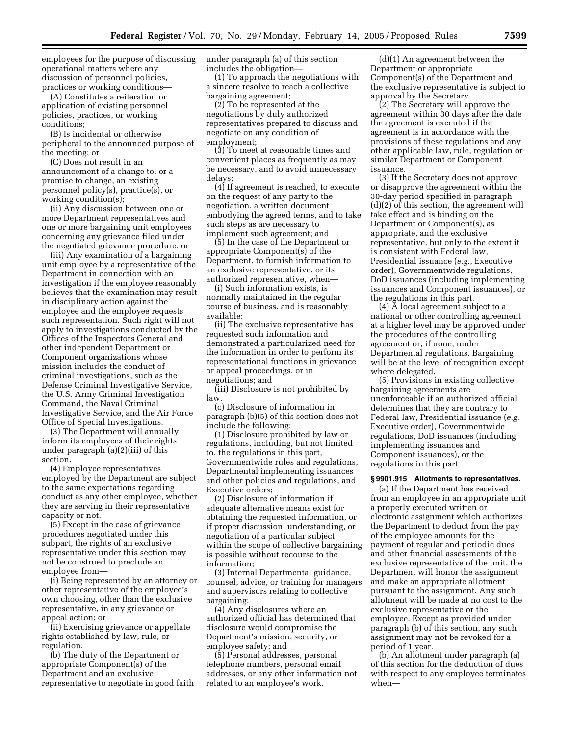employees for the purpose of discussing operational matters where any discussion of personnel policies, practices or working conditions—

(A) Constitutes a reiteration or application of existing personnel policies, practices, or working conditions;

(B) Is incidental or otherwise peripheral to the announced purpose of the meeting; or

(C) Does not result in an announcement of a change to, or a promise to change, an existing personnel policy(s), practice(s), or working condition(s);

(ii) Any discussion between one or more Department representatives and one or more bargaining unit employees concerning any grievance filed under the negotiated grievance procedure; or

(iii) Any examination of a bargaining unit employee by a representative of the Department in connection with an investigation if the employee reasonably believes that the examination may result in disciplinary action against the employee and the employee requests such representation. Such right will not apply to investigations conducted by the Offices of the Inspectors General and other independent Department or Component organizations whose mission includes the conduct of criminal investigations, such as the Defense Criminal Investigative Service, the U.S. Army Criminal Investigation Command, the Naval Criminal Investigative Service, and the Air Force Office of Special Investigations.

(3) The Department will annually inform its employees of their rights under paragraph (a)(2)(iii) of this section.

(4) Employee representatives employed by the Department are subject to the same expectations regarding conduct as any other employee, whether they are serving in their representative capacity or not.

(5) Except in the case of grievance procedures negotiated under this subpart, the rights of an exclusive representative under this section may not be construed to preclude an employee from—

(i) Being represented by an attorney or other representative of the employee's own choosing, other than the exclusive representative, in any grievance or appeal action; or

(ii) Exercising grievance or appellate rights established by law, rule, or regulation.

(b) The duty of the Department or appropriate Component(s) of the Department and an exclusive representative to negotiate in good faith under paragraph (a) of this section includes the obligation—

(1) To approach the negotiations with a sincere resolve to reach a collective bargaining agreement;

(2) To be represented at the negotiations by duly authorized representatives prepared to discuss and negotiate on any condition of employment;

(3) To meet at reasonable times and convenient places as frequently as may be necessary, and to avoid unnecessary delays;

(4) If agreement is reached, to execute on the request of any party to the negotiation, a written document embodying the agreed terms, and to take such steps as are necessary to implement such agreement; and

(5) In the case of the Department or appropriate Component(s) of the Department, to furnish information to an exclusive representative, or its authorized representative, when—

(i) Such information exists, is normally maintained in the regular course of business, and is reasonably available;

(ii) The exclusive representative has requested such information and demonstrated a particularized need for the information in order to perform its representational functions in grievance or appeal proceedings, or in negotiations; and

(iii) Disclosure is not prohibited by law.

(c) Disclosure of information in paragraph (b)(5) of this section does not include the following:

(1) Disclosure prohibited by law or regulations, including, but not limited to, the regulations in this part, Governmentwide rules and regulations, Departmental implementing issuances and other policies and regulations, and Executive orders;

(2) Disclosure of information if adequate alternative means exist for obtaining the requested information, or if proper discussion, understanding, or negotiation of a particular subject within the scope of collective bargaining is possible without recourse to the information;

(3) Internal Departmental guidance, counsel, advice, or training for managers and supervisors relating to collective bargaining;

(4) Any disclosures where an authorized official has determined that disclosure would compromise the Department's mission, security, or employee safety; and

(5) Personal addresses, personal telephone numbers, personal email addresses, or any other information not related to an employee's work.

(d)(1) An agreement between the Department or appropriate Component(s) of the Department and the exclusive representative is subject to approval by the Secretary.

(2) The Secretary will approve the agreement within 30 days after the date the agreement is executed if the agreement is in accordance with the provisions of these regulations and any other applicable law, rule, regulation or similar Department or Component issuance.

(3) If the Secretary does not approve or disapprove the agreement within the 30-day period specified in paragraph (d)(2) of this section, the agreement will take effect and is binding on the Department or Component(s), as appropriate, and the exclusive representative, but only to the extent it is consistent with Federal law, Presidential issuance (*e.g.*, Executive order), Governmentwide regulations, DoD issuances (including implementing issuances and Component issuances), or the regulations in this part.

(4) A local agreement subject to a national or other controlling agreement at a higher level may be approved under the procedures of the controlling agreement or, if none, under Departmental regulations. Bargaining will be at the level of recognition except where delegated.

(5) Provisions in existing collective bargaining agreements are unenforceable if an authorized official determines that they are contrary to Federal law, Presidential issuance (*e.g.* Executive order), Governmentwide regulations, DoD issuances (including implementing issuances and Component issuances), or the regulations in this part.

## **§ 9901.915 Allotments to representatives.**

(a) If the Department has received from an employee in an appropriate unit a properly executed written or electronic assignment which authorizes the Department to deduct from the pay of the employee amounts for the payment of regular and periodic dues and other financial assessments of the exclusive representative of the unit, the Department will honor the assignment and make an appropriate allotment pursuant to the assignment. Any such allotment will be made at no cost to the exclusive representative or the employee. Except as provided under paragraph (b) of this section, any such assignment may not be revoked for a period of 1 year.

(b) An allotment under paragraph (a) of this section for the deduction of dues with respect to any employee terminates when—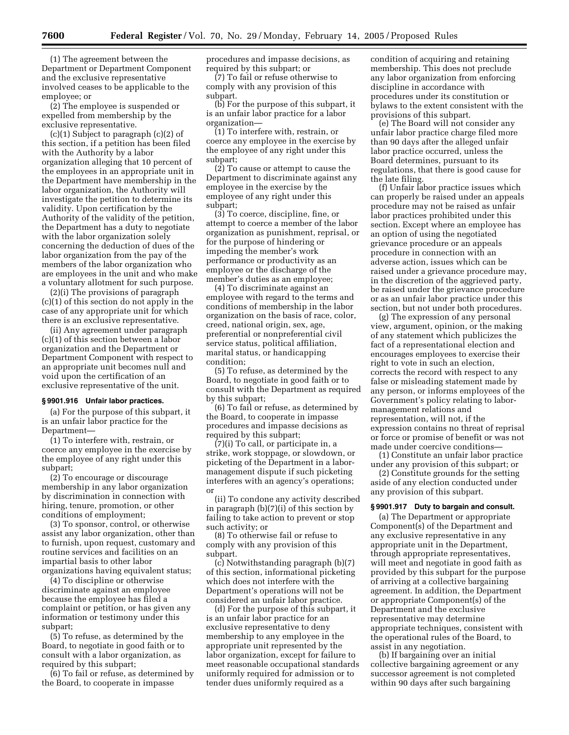(1) The agreement between the Department or Department Component and the exclusive representative involved ceases to be applicable to the employee; or

(2) The employee is suspended or expelled from membership by the exclusive representative.

(c)(1) Subject to paragraph (c)(2) of this section, if a petition has been filed with the Authority by a labor organization alleging that 10 percent of the employees in an appropriate unit in the Department have membership in the labor organization, the Authority will investigate the petition to determine its validity. Upon certification by the Authority of the validity of the petition, the Department has a duty to negotiate with the labor organization solely concerning the deduction of dues of the labor organization from the pay of the members of the labor organization who are employees in the unit and who make a voluntary allotment for such purpose.

(2)(i) The provisions of paragraph (c)(1) of this section do not apply in the case of any appropriate unit for which there is an exclusive representative.

(ii) Any agreement under paragraph (c)(1) of this section between a labor organization and the Department or Department Component with respect to an appropriate unit becomes null and void upon the certification of an exclusive representative of the unit.

## **§ 9901.916 Unfair labor practices.**

(a) For the purpose of this subpart, it is an unfair labor practice for the Department—

(1) To interfere with, restrain, or coerce any employee in the exercise by the employee of any right under this subpart;

(2) To encourage or discourage membership in any labor organization by discrimination in connection with hiring, tenure, promotion, or other conditions of employment;

(3) To sponsor, control, or otherwise assist any labor organization, other than to furnish, upon request, customary and routine services and facilities on an impartial basis to other labor organizations having equivalent status;

(4) To discipline or otherwise discriminate against an employee because the employee has filed a complaint or petition, or has given any information or testimony under this subpart;

(5) To refuse, as determined by the Board, to negotiate in good faith or to consult with a labor organization, as required by this subpart;

(6) To fail or refuse, as determined by the Board, to cooperate in impasse

procedures and impasse decisions, as required by this subpart; or

(7) To fail or refuse otherwise to comply with any provision of this subpart.

(b) For the purpose of this subpart, it is an unfair labor practice for a labor organization—

(1) To interfere with, restrain, or coerce any employee in the exercise by the employee of any right under this subpart;

(2) To cause or attempt to cause the Department to discriminate against any employee in the exercise by the employee of any right under this subpart;

(3) To coerce, discipline, fine, or attempt to coerce a member of the labor organization as punishment, reprisal, or for the purpose of hindering or impeding the member's work performance or productivity as an employee or the discharge of the member's duties as an employee;

(4) To discriminate against an employee with regard to the terms and conditions of membership in the labor organization on the basis of race, color, creed, national origin, sex, age, preferential or nonpreferential civil service status, political affiliation, marital status, or handicapping condition;

(5) To refuse, as determined by the Board, to negotiate in good faith or to consult with the Department as required by this subpart;

(6) To fail or refuse, as determined by the Board, to cooperate in impasse procedures and impasse decisions as required by this subpart;

(7)(i) To call, or participate in, a strike, work stoppage, or slowdown, or picketing of the Department in a labormanagement dispute if such picketing interferes with an agency's operations; or

(ii) To condone any activity described in paragraph (b)(7)(i) of this section by failing to take action to prevent or stop such activity; or

(8) To otherwise fail or refuse to comply with any provision of this subpart.

(c) Notwithstanding paragraph (b)(7) of this section, informational picketing which does not interfere with the Department's operations will not be considered an unfair labor practice.

(d) For the purpose of this subpart, it is an unfair labor practice for an exclusive representative to deny membership to any employee in the appropriate unit represented by the labor organization, except for failure to meet reasonable occupational standards uniformly required for admission or to tender dues uniformly required as a

condition of acquiring and retaining membership. This does not preclude any labor organization from enforcing discipline in accordance with procedures under its constitution or bylaws to the extent consistent with the provisions of this subpart.

(e) The Board will not consider any unfair labor practice charge filed more than 90 days after the alleged unfair labor practice occurred, unless the Board determines, pursuant to its regulations, that there is good cause for the late filing.

(f) Unfair labor practice issues which can properly be raised under an appeals procedure may not be raised as unfair labor practices prohibited under this section. Except where an employee has an option of using the negotiated grievance procedure or an appeals procedure in connection with an adverse action, issues which can be raised under a grievance procedure may, in the discretion of the aggrieved party, be raised under the grievance procedure or as an unfair labor practice under this section, but not under both procedures.

(g) The expression of any personal view, argument, opinion, or the making of any statement which publicizes the fact of a representational election and encourages employees to exercise their right to vote in such an election, corrects the record with respect to any false or misleading statement made by any person, or informs employees of the Government's policy relating to labormanagement relations and representation, will not, if the expression contains no threat of reprisal or force or promise of benefit or was not made under coercive conditions—

(1) Constitute an unfair labor practice under any provision of this subpart; or

(2) Constitute grounds for the setting aside of any election conducted under any provision of this subpart.

#### **§ 9901.917 Duty to bargain and consult.**

(a) The Department or appropriate Component(s) of the Department and any exclusive representative in any appropriate unit in the Department, through appropriate representatives, will meet and negotiate in good faith as provided by this subpart for the purpose of arriving at a collective bargaining agreement. In addition, the Department or appropriate Component(s) of the Department and the exclusive representative may determine appropriate techniques, consistent with the operational rules of the Board, to assist in any negotiation.

(b) If bargaining over an initial collective bargaining agreement or any successor agreement is not completed within 90 days after such bargaining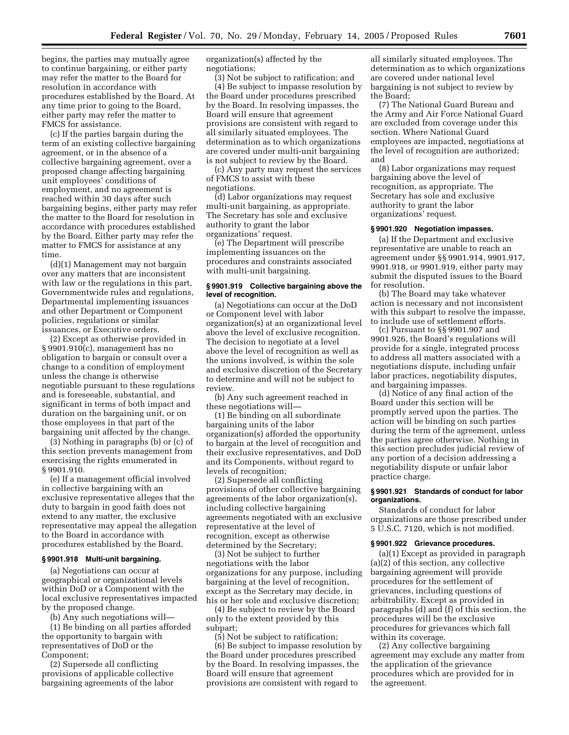begins, the parties may mutually agree to continue bargaining, or either party may refer the matter to the Board for resolution in accordance with procedures established by the Board. At any time prior to going to the Board, either party may refer the matter to FMCS for assistance.

(c) If the parties bargain during the term of an existing collective bargaining agreement, or in the absence of a collective bargaining agreement, over a proposed change affecting bargaining unit employees' conditions of employment, and no agreement is reached within 30 days after such bargaining begins, either party may refer the matter to the Board for resolution in accordance with procedures established by the Board. Either party may refer the matter to FMCS for assistance at any time.

(d)(1) Management may not bargain over any matters that are inconsistent with law or the regulations in this part, Governmentwide rules and regulations, Departmental implementing issuances and other Department or Component policies, regulations or similar issuances, or Executive orders.

(2) Except as otherwise provided in § 9901.910(c), management has no obligation to bargain or consult over a change to a condition of employment unless the change is otherwise negotiable pursuant to these regulations and is foreseeable, substantial, and significant in terms of both impact and duration on the bargaining unit, or on those employees in that part of the bargaining unit affected by the change.

(3) Nothing in paragraphs (b) or (c) of this section prevents management from exercising the rights enumerated in § 9901.910.

(e) If a management official involved in collective bargaining with an exclusive representative alleges that the duty to bargain in good faith does not extend to any matter, the exclusive representative may appeal the allegation to the Board in accordance with procedures established by the Board.

#### **§ 9901.918 Multi-unit bargaining.**

(a) Negotiations can occur at geographical or organizational levels within DoD or a Component with the local exclusive representatives impacted by the proposed change.

(b) Any such negotiations will—

(1) Be binding on all parties afforded the opportunity to bargain with representatives of DoD or the Component;

(2) Supersede all conflicting provisions of applicable collective bargaining agreements of the labor organization(s) affected by the negotiations;

(3) Not be subject to ratification; and (4) Be subject to impasse resolution by the Board under procedures prescribed by the Board. In resolving impasses, the Board will ensure that agreement provisions are consistent with regard to all similarly situated employees. The determination as to which organizations are covered under multi-unit bargaining is not subject to review by the Board.

(c) Any party may request the services of FMCS to assist with these negotiations.

(d) Labor organizations may request multi-unit bargaining, as appropriate. The Secretary has sole and exclusive authority to grant the labor organizations' request.

(e) The Department will prescribe implementing issuances on the procedures and constraints associated with multi-unit bargaining.

## **§ 9901.919 Collective bargaining above the level of recognition.**

(a) Negotiations can occur at the DoD or Component level with labor organization(s) at an organizational level above the level of exclusive recognition. The decision to negotiate at a level above the level of recognition as well as the unions involved, is within the sole and exclusive discretion of the Secretary to determine and will not be subject to review.

(b) Any such agreement reached in these negotiations will—

(1) Be binding on all subordinate bargaining units of the labor organization(s) afforded the opportunity to bargain at the level of recognition and their exclusive representatives, and DoD and its Components, without regard to levels of recognition;

(2) Supersede all conflicting provisions of other collective bargaining agreements of the labor organization(s), including collective bargaining agreements negotiated with an exclusive representative at the level of recognition, except as otherwise determined by the Secretary;

(3) Not be subject to further negotiations with the labor organizations for any purpose, including bargaining at the level of recognition, except as the Secretary may decide, in his or her sole and exclusive discretion;

(4) Be subject to review by the Board only to the extent provided by this subpart;

(5) Not be subject to ratification; (6) Be subject to impasse resolution by the Board under procedures prescribed by the Board. In resolving impasses, the Board will ensure that agreement provisions are consistent with regard to

all similarly situated employees. The determination as to which organizations are covered under national level bargaining is not subject to review by the Board;

(7) The National Guard Bureau and the Army and Air Force National Guard are excluded from coverage under this section. Where National Guard employees are impacted, negotiations at the level of recognition are authorized; and

(8) Labor organizations may request bargaining above the level of recognition, as appropriate. The Secretary has sole and exclusive authority to grant the labor organizations' request.

## **§ 9901.920 Negotiation impasses.**

(a) If the Department and exclusive representative are unable to reach an agreement under §§ 9901.914, 9901.917, 9901.918, or 9901.919, either party may submit the disputed issues to the Board for resolution.

(b) The Board may take whatever action is necessary and not inconsistent with this subpart to resolve the impasse, to include use of settlement efforts.

(c) Pursuant to §§ 9901.907 and 9901.926, the Board's regulations will provide for a single, integrated process to address all matters associated with a negotiations dispute, including unfair labor practices, negotiability disputes, and bargaining impasses.

(d) Notice of any final action of the Board under this section will be promptly served upon the parties. The action will be binding on such parties during the term of the agreement, unless the parties agree otherwise. Nothing in this section precludes judicial review of any portion of a decision addressing a negotiability dispute or unfair labor practice charge.

#### **§ 9901.921 Standards of conduct for labor organizations.**

Standards of conduct for labor organizations are those prescribed under 5 U.S.C. 7120, which is not modified.

#### **§ 9901.922 Grievance procedures.**

(a)(1) Except as provided in paragraph (a)(2) of this section, any collective bargaining agreement will provide procedures for the settlement of grievances, including questions of arbitrability. Except as provided in paragraphs (d) and (f) of this section, the procedures will be the exclusive procedures for grievances which fall within its coverage.

(2) Any collective bargaining agreement may exclude any matter from the application of the grievance procedures which are provided for in the agreement.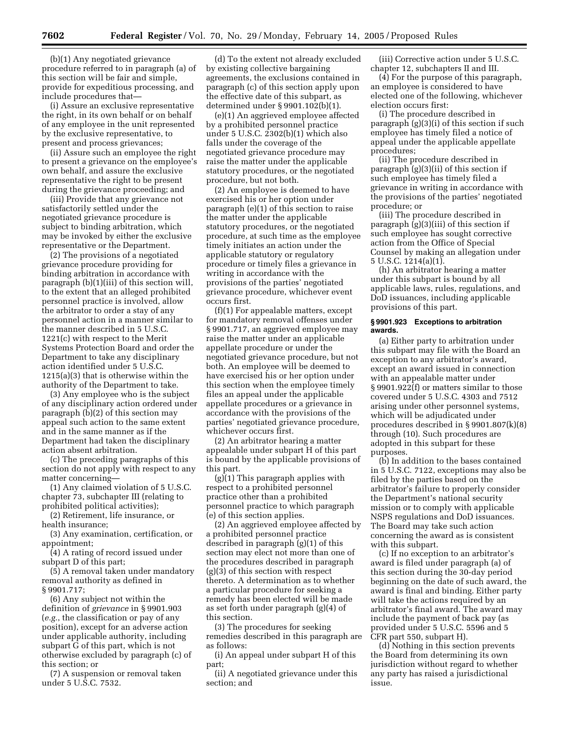(b)(1) Any negotiated grievance procedure referred to in paragraph (a) of this section will be fair and simple, provide for expeditious processing, and include procedures that—

(i) Assure an exclusive representative the right, in its own behalf or on behalf of any employee in the unit represented by the exclusive representative, to present and process grievances;

(ii) Assure such an employee the right to present a grievance on the employee's own behalf, and assure the exclusive representative the right to be present during the grievance proceeding; and

(iii) Provide that any grievance not satisfactorily settled under the negotiated grievance procedure is subject to binding arbitration, which may be invoked by either the exclusive representative or the Department.

(2) The provisions of a negotiated grievance procedure providing for binding arbitration in accordance with paragraph (b)(1)(iii) of this section will, to the extent that an alleged prohibited personnel practice is involved, allow the arbitrator to order a stay of any personnel action in a manner similar to the manner described in 5 U.S.C. 1221(c) with respect to the Merit Systems Protection Board and order the Department to take any disciplinary action identified under 5 U.S.C. 1215(a)(3) that is otherwise within the authority of the Department to take.

(3) Any employee who is the subject of any disciplinary action ordered under paragraph (b)(2) of this section may appeal such action to the same extent and in the same manner as if the Department had taken the disciplinary action absent arbitration.

(c) The preceding paragraphs of this section do not apply with respect to any matter concerning—

(1) Any claimed violation of 5 U.S.C. chapter 73, subchapter III (relating to prohibited political activities);

(2) Retirement, life insurance, or health insurance;

(3) Any examination, certification, or appointment;

(4) A rating of record issued under subpart D of this part;

(5) A removal taken under mandatory removal authority as defined in § 9901.717;

(6) Any subject not within the definition of *grievance* in § 9901.903 (*e.g.*, the classification or pay of any position), except for an adverse action under applicable authority, including subpart G of this part, which is not otherwise excluded by paragraph (c) of this section; or

(7) A suspension or removal taken under 5 U.S.C. 7532.

(d) To the extent not already excluded by existing collective bargaining agreements, the exclusions contained in paragraph (c) of this section apply upon the effective date of this subpart, as determined under § 9901.102(b)(1).

(e)(1) An aggrieved employee affected by a prohibited personnel practice under 5 U.S.C. 2302(b)(1) which also falls under the coverage of the negotiated grievance procedure may raise the matter under the applicable statutory procedures, or the negotiated procedure, but not both.

(2) An employee is deemed to have exercised his or her option under paragraph (e)(1) of this section to raise the matter under the applicable statutory procedures, or the negotiated procedure, at such time as the employee timely initiates an action under the applicable statutory or regulatory procedure or timely files a grievance in writing in accordance with the provisions of the parties' negotiated grievance procedure, whichever event occurs first.

(f)(1) For appealable matters, except for mandatory removal offenses under § 9901.717, an aggrieved employee may raise the matter under an applicable appellate procedure or under the negotiated grievance procedure, but not both. An employee will be deemed to have exercised his or her option under this section when the employee timely files an appeal under the applicable appellate procedures or a grievance in accordance with the provisions of the parties' negotiated grievance procedure, whichever occurs first.

(2) An arbitrator hearing a matter appealable under subpart H of this part is bound by the applicable provisions of this part.

(g)(1) This paragraph applies with respect to a prohibited personnel practice other than a prohibited personnel practice to which paragraph (e) of this section applies.

(2) An aggrieved employee affected by a prohibited personnel practice described in paragraph (g)(1) of this section may elect not more than one of the procedures described in paragraph (g)(3) of this section with respect thereto. A determination as to whether a particular procedure for seeking a remedy has been elected will be made as set forth under paragraph (g)(4) of this section.

(3) The procedures for seeking remedies described in this paragraph are as follows:

(i) An appeal under subpart H of this part;

(ii) A negotiated grievance under this section; and

(iii) Corrective action under 5 U.S.C. chapter 12, subchapters II and III.

(4) For the purpose of this paragraph, an employee is considered to have elected one of the following, whichever election occurs first:

(i) The procedure described in paragraph (g)(3)(i) of this section if such employee has timely filed a notice of appeal under the applicable appellate procedures;

(ii) The procedure described in paragraph (g)(3)(ii) of this section if such employee has timely filed a grievance in writing in accordance with the provisions of the parties' negotiated procedure; or

(iii) The procedure described in paragraph (g)(3)(iii) of this section if such employee has sought corrective action from the Office of Special Counsel by making an allegation under 5 U.S.C. 1214(a)(1).

(h) An arbitrator hearing a matter under this subpart is bound by all applicable laws, rules, regulations, and DoD issuances, including applicable provisions of this part.

#### **§ 9901.923 Exceptions to arbitration awards.**

(a) Either party to arbitration under this subpart may file with the Board an exception to any arbitrator's award, except an award issued in connection with an appealable matter under  $\S 9901.922(f)$  or matters similar to those covered under 5 U.S.C. 4303 and 7512 arising under other personnel systems, which will be adjudicated under procedures described in § 9901.807(k)(8) through (10). Such procedures are adopted in this subpart for these purposes.

(b) In addition to the bases contained in 5 U.S.C. 7122, exceptions may also be filed by the parties based on the arbitrator's failure to properly consider the Department's national security mission or to comply with applicable NSPS regulations and DoD issuances. The Board may take such action concerning the award as is consistent with this subpart.

(c) If no exception to an arbitrator's award is filed under paragraph (a) of this section during the 30-day period beginning on the date of such award, the award is final and binding. Either party will take the actions required by an arbitrator's final award. The award may include the payment of back pay (as provided under 5 U.S.C. 5596 and 5 CFR part 550, subpart H).

(d) Nothing in this section prevents the Board from determining its own jurisdiction without regard to whether any party has raised a jurisdictional issue.